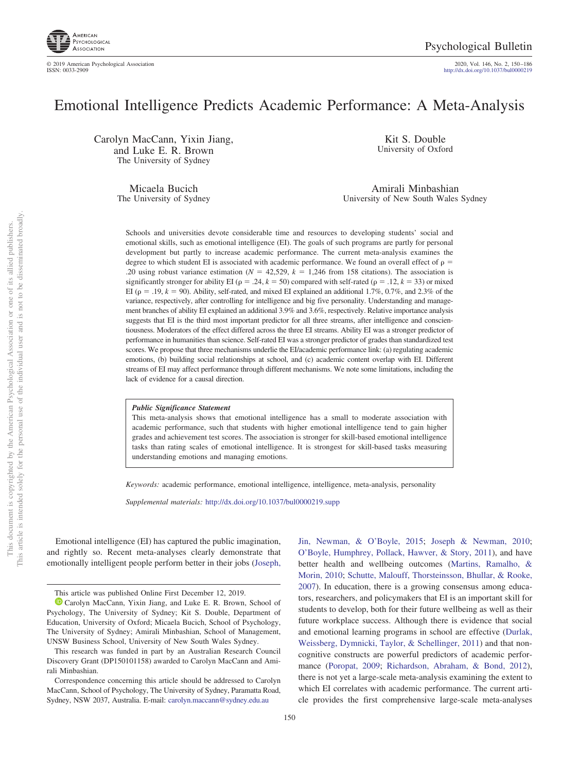

2020, Vol. 146, No. 2, 150-186<br>http://dx.doi.org[/10.1037/bul0000219](http://dx.doi.org/10.1037/bul0000219)

## Emotional Intelligence Predicts Academic Performance: A Meta-Analysis

Carolyn MacCann, Yixin Jiang, and Luke E. R. Brown The University of Sydney

Kit S. Double University of Oxford

Micaela Bucich The University of Sydney

Amirali Minbashian University of New South Wales Sydney

Schools and universities devote considerable time and resources to developing students' social and emotional skills, such as emotional intelligence (EI). The goals of such programs are partly for personal development but partly to increase academic performance. The current meta-analysis examines the degree to which student EI is associated with academic performance. We found an overall effect of  $\rho =$ .20 using robust variance estimation ( $N = 42,529$ ,  $k = 1,246$  from 158 citations). The association is significantly stronger for ability EI ( $\rho = .24$ ,  $k = 50$ ) compared with self-rated ( $\rho = .12$ ,  $k = 33$ ) or mixed EI ( $\rho = .19, k = 90$ ). Ability, self-rated, and mixed EI explained an additional 1.7%, 0.7%, and 2.3% of the variance, respectively, after controlling for intelligence and big five personality. Understanding and management branches of ability EI explained an additional 3.9% and 3.6%, respectively. Relative importance analysis suggests that EI is the third most important predictor for all three streams, after intelligence and conscientiousness. Moderators of the effect differed across the three EI streams. Ability EI was a stronger predictor of performance in humanities than science. Self-rated EI was a stronger predictor of grades than standardized test scores. We propose that three mechanisms underlie the EI/academic performance link: (a) regulating academic emotions, (b) building social relationships at school, and (c) academic content overlap with EI. Different streams of EI may affect performance through different mechanisms. We note some limitations, including the lack of evidence for a causal direction.

#### *Public Significance Statement*

This meta-analysis shows that emotional intelligence has a small to moderate association with academic performance, such that students with higher emotional intelligence tend to gain higher grades and achievement test scores. The association is stronger for skill-based emotional intelligence tasks than rating scales of emotional intelligence. It is strongest for skill-based tasks measuring understanding emotions and managing emotions.

*Keywords:* academic performance, emotional intelligence, intelligence, meta-analysis, personality

*Supplemental materials:* http://dx.doi.org/10.1037/bul0000219.supp

Emotional intelligence (EI) has captured the public imagination, and rightly so. Recent meta-analyses clearly demonstrate that emotionally intelligent people perform better in their jobs [\(Joseph,](#page-28-0)

better health and wellbeing outcomes [\(Martins, Ramalho, &](#page-29-0) [Morin, 2010;](#page-29-0) [Schutte, Malouff, Thorsteinsson, Bhullar, & Rooke,](#page-32-0) [2007\)](#page-32-0). In education, there is a growing consensus among educators, researchers, and policymakers that EI is an important skill for students to develop, both for their future wellbeing as well as their future workplace success. Although there is evidence that social and emotional learning programs in school are effective [\(Durlak,](#page-26-0) [Weissberg, Dymnicki, Taylor, & Schellinger, 2011\)](#page-26-0) and that noncognitive constructs are powerful predictors of academic performance [\(Poropat, 2009;](#page-31-0) [Richardson, Abraham, & Bond, 2012\)](#page-31-1), there is not yet a large-scale meta-analysis examining the extent to which EI correlates with academic performance. The current article provides the first comprehensive large-scale meta-analyses

[Jin, Newman, & O'Boyle, 2015;](#page-28-0) [Joseph & Newman, 2010;](#page-28-1) [O'Boyle, Humphrey, Pollack, Hawver, & Story, 2011\)](#page-30-0), and have

This article was published Online First December 12, 2019.

<sup>&</sup>lt;sup>1</sup> [Carolyn MacCann,](https://orcid.org/0000-0001-7789-6368) Yixin Jiang, and Luke E. R. Brown, School of Psychology, The University of Sydney; Kit S. Double, Department of Education, University of Oxford; Micaela Bucich, School of Psychology, The University of Sydney; Amirali Minbashian, School of Management, UNSW Business School, University of New South Wales Sydney.

This research was funded in part by an Australian Research Council Discovery Grant (DP150101158) awarded to Carolyn MacCann and Amirali Minbashian.

Correspondence concerning this article should be addressed to Carolyn MacCann, School of Psychology, The University of Sydney, Paramatta Road, Sydney, NSW 2037, Australia. E-mail: [carolyn.maccann@sydney.edu.au](mailto:carolyn.maccann@sydney.edu.au)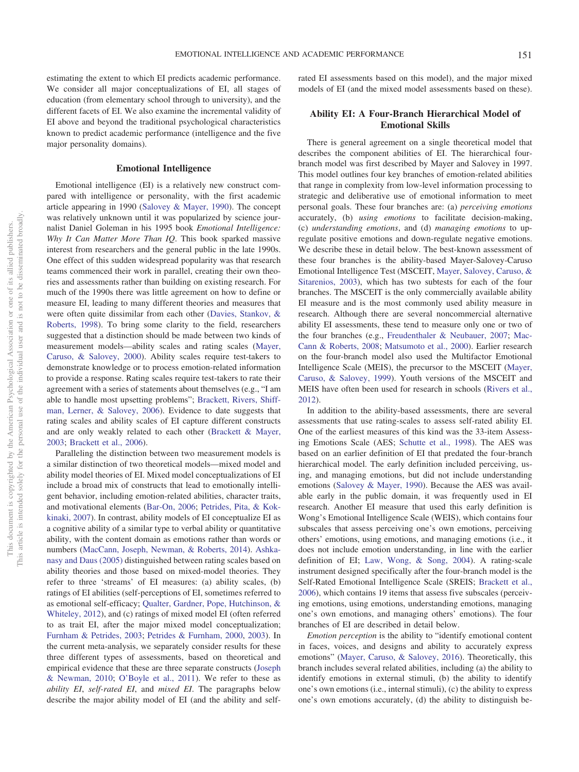estimating the extent to which EI predicts academic performance. We consider all major conceptualizations of EI, all stages of education (from elementary school through to university), and the different facets of EI. We also examine the incremental validity of EI above and beyond the traditional psychological characteristics known to predict academic performance (intelligence and the five major personality domains).

#### **Emotional Intelligence**

Emotional intelligence (EI) is a relatively new construct compared with intelligence or personality, with the first academic article appearing in 1990 [\(Salovey & Mayer, 1990\)](#page-32-1). The concept was relatively unknown until it was popularized by science journalist Daniel Goleman in his 1995 book *Emotional Intelligence: Why It Can Matter More Than IQ*. This book sparked massive interest from researchers and the general public in the late 1990s. One effect of this sudden widespread popularity was that research teams commenced their work in parallel, creating their own theories and assessments rather than building on existing research. For much of the 1990s there was little agreement on how to define or measure EI, leading to many different theories and measures that were often quite dissimilar from each other [\(Davies, Stankov, &](#page-26-1) [Roberts, 1998\)](#page-26-1). To bring some clarity to the field, researchers suggested that a distinction should be made between two kinds of measurement models—ability scales and rating scales [\(Mayer,](#page-29-1) [Caruso, & Salovey, 2000\)](#page-29-1). Ability scales require test-takers to demonstrate knowledge or to process emotion-related information to provide a response. Rating scales require test-takers to rate their agreement with a series of statements about themselves (e.g., "I am able to handle most upsetting problems"; [Brackett, Rivers, Shiff](#page-25-0)[man, Lerner, & Salovey, 2006\)](#page-25-0). Evidence to date suggests that rating scales and ability scales of EI capture different constructs and are only weakly related to each other [\(Brackett & Mayer,](#page-25-1) [2003;](#page-25-1) [Brackett et al., 2006\)](#page-25-0).

Paralleling the distinction between two measurement models is a similar distinction of two theoretical models—mixed model and ability model theories of EI. Mixed model conceptualizations of EI include a broad mix of constructs that lead to emotionally intelligent behavior, including emotion-related abilities, character traits, and motivational elements [\(Bar-On, 2006;](#page-25-2) [Petrides, Pita, & Kok](#page-31-2)[kinaki, 2007\)](#page-31-2). In contrast, ability models of EI conceptualize EI as a cognitive ability of a similar type to verbal ability or quantitative ability, with the content domain as emotions rather than words or numbers [\(MacCann, Joseph, Newman, & Roberts, 2014\)](#page-29-2). [Ashka](#page-25-3)[nasy and Daus \(2005\)](#page-25-3) distinguished between rating scales based on ability theories and those based on mixed-model theories. They refer to three 'streams' of EI measures: (a) ability scales, (b) ratings of EI abilities (self-perceptions of EI, sometimes referred to as emotional self-efficacy; [Qualter, Gardner, Pope, Hutchinson, &](#page-31-3) [Whiteley, 2012\)](#page-31-3), and (c) ratings of mixed model EI (often referred to as trait EI, after the major mixed model conceptualization; [Furnham & Petrides, 2003;](#page-27-0) [Petrides & Furnham, 2000,](#page-31-4) [2003\)](#page-31-5). In the current meta-analysis, we separately consider results for these three different types of assessments, based on theoretical and empirical evidence that these are three separate constructs [\(Joseph](#page-28-1) [& Newman, 2010;](#page-28-1) [O'Boyle et al., 2011\)](#page-30-0). We refer to these as *ability EI*, *self-rated EI*, and *mixed EI*. The paragraphs below describe the major ability model of EI (and the ability and selfrated EI assessments based on this model), and the major mixed models of EI (and the mixed model assessments based on these).

## **Ability EI: A Four-Branch Hierarchical Model of Emotional Skills**

There is general agreement on a single theoretical model that describes the component abilities of EI. The hierarchical fourbranch model was first described by Mayer and Salovey in 1997. This model outlines four key branches of emotion-related abilities that range in complexity from low-level information processing to strategic and deliberative use of emotional information to meet personal goals. These four branches are: (a) *perceiving emotions* accurately, (b) *using emotions* to facilitate decision-making, (c) *understanding emotions*, and (d) *managing emotions* to upregulate positive emotions and down-regulate negative emotions. We describe these in detail below. The best-known assessment of these four branches is the ability-based Mayer-Salovey-Caruso Emotional Intelligence Test (MSCEIT, [Mayer, Salovey, Caruso, &](#page-29-3) [Sitarenios, 2003\)](#page-29-3), which has two subtests for each of the four branches. The MSCEIT is the only commercially available ability EI measure and is the most commonly used ability measure in research. Although there are several noncommercial alternative ability EI assessments, these tend to measure only one or two of the four branches (e.g., [Freudenthaler & Neubauer, 2007;](#page-27-1) [Mac-](#page-29-4)[Cann & Roberts, 2008;](#page-29-4) [Matsumoto et al., 2000\)](#page-29-5). Earlier research on the four-branch model also used the Multifactor Emotional Intelligence Scale (MEIS), the precursor to the MSCEIT [\(Mayer,](#page-29-6) [Caruso, & Salovey, 1999\)](#page-29-6). Youth versions of the MSCEIT and MEIS have often been used for research in schools [\(Rivers et al.,](#page-31-6) [2012\)](#page-31-6).

In addition to the ability-based assessments, there are several assessments that use rating-scales to assess self-rated ability EI. One of the earliest measures of this kind was the 33-item Assessing Emotions Scale (AES; [Schutte et al., 1998\)](#page-32-2). The AES was based on an earlier definition of EI that predated the four-branch hierarchical model. The early definition included perceiving, using, and managing emotions, but did not include understanding emotions [\(Salovey & Mayer, 1990\)](#page-32-1). Because the AES was available early in the public domain, it was frequently used in EI research. Another EI measure that used this early definition is Wong's Emotional Intelligence Scale (WEIS), which contains four subscales that assess perceiving one's own emotions, perceiving others' emotions, using emotions, and managing emotions (i.e., it does not include emotion understanding, in line with the earlier definition of EI; [Law, Wong, & Song, 2004\)](#page-28-2). A rating-scale instrument designed specifically after the four-branch model is the Self-Rated Emotional Intelligence Scale (SREIS; [Brackett et al.,](#page-25-0) [2006\)](#page-25-0), which contains 19 items that assess five subscales (perceiving emotions, using emotions, understanding emotions, managing one's own emotions, and managing others' emotions). The four branches of EI are described in detail below.

*Emotion perception* is the ability to "identify emotional content in faces, voices, and designs and ability to accurately express emotions" [\(Mayer, Caruso, & Salovey, 2016\)](#page-29-7). Theoretically, this branch includes several related abilities, including (a) the ability to identify emotions in external stimuli, (b) the ability to identify one's own emotions (i.e., internal stimuli), (c) the ability to express one's own emotions accurately, (d) the ability to distinguish be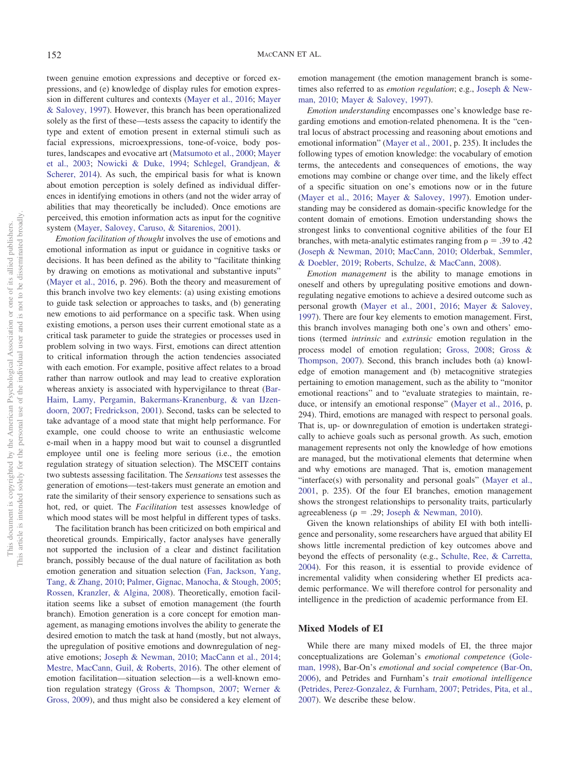tween genuine emotion expressions and deceptive or forced expressions, and (e) knowledge of display rules for emotion expression in different cultures and contexts [\(Mayer et al., 2016;](#page-29-7) [Mayer](#page-29-8) [& Salovey, 1997\)](#page-29-8). However, this branch has been operationalized solely as the first of these—tests assess the capacity to identify the type and extent of emotion present in external stimuli such as facial expressions, microexpressions, tone-of-voice, body postures, landscapes and evocative art [\(Matsumoto et al., 2000;](#page-29-5) [Mayer](#page-29-3) [et al., 2003;](#page-29-3) [Nowicki & Duke, 1994;](#page-30-1) [Schlegel, Grandjean, &](#page-32-3) [Scherer, 2014\)](#page-32-3). As such, the empirical basis for what is known about emotion perception is solely defined as individual differences in identifying emotions in others (and not the wider array of abilities that may theoretically be included). Once emotions are perceived, this emotion information acts as input for the cognitive system [\(Mayer, Salovey, Caruso, & Sitarenios, 2001\)](#page-29-9).

*Emotion facilitation of thought* involves the use of emotions and emotional information as input or guidance in cognitive tasks or decisions. It has been defined as the ability to "facilitate thinking by drawing on emotions as motivational and substantive inputs" [\(Mayer et al., 2016,](#page-29-7) p. 296). Both the theory and measurement of this branch involve two key elements: (a) using existing emotions to guide task selection or approaches to tasks, and (b) generating new emotions to aid performance on a specific task. When using existing emotions, a person uses their current emotional state as a critical task parameter to guide the strategies or processes used in problem solving in two ways. First, emotions can direct attention to critical information through the action tendencies associated with each emotion. For example, positive affect relates to a broad rather than narrow outlook and may lead to creative exploration whereas anxiety is associated with hypervigilance to threat [\(Bar-](#page-25-4)[Haim, Lamy, Pergamin, Bakermans-Kranenburg, & van IJzen](#page-25-4)[doorn, 2007;](#page-25-4) [Fredrickson, 2001\)](#page-27-2). Second, tasks can be selected to take advantage of a mood state that might help performance. For example, one could choose to write an enthusiastic welcome e-mail when in a happy mood but wait to counsel a disgruntled employee until one is feeling more serious (i.e., the emotion regulation strategy of situation selection). The MSCEIT contains two subtests assessing facilitation. The *Sensations* test assesses the generation of emotions—test-takers must generate an emotion and rate the similarity of their sensory experience to sensations such as hot, red, or quiet. The *Facilitation* test assesses knowledge of which mood states will be most helpful in different types of tasks.

The facilitation branch has been criticized on both empirical and theoretical grounds. Empirically, factor analyses have generally not supported the inclusion of a clear and distinct facilitation branch, possibly because of the dual nature of facilitation as both emotion generation and situation selection [\(Fan, Jackson, Yang,](#page-26-2) [Tang, & Zhang, 2010;](#page-26-2) [Palmer, Gignac, Manocha, & Stough, 2005;](#page-30-2) [Rossen, Kranzler, & Algina, 2008\)](#page-31-7). Theoretically, emotion facilitation seems like a subset of emotion management (the fourth branch). Emotion generation is a core concept for emotion management, as managing emotions involves the ability to generate the desired emotion to match the task at hand (mostly, but not always, the upregulation of positive emotions and downregulation of negative emotions; [Joseph & Newman, 2010;](#page-28-1) [MacCann et al., 2014;](#page-29-2) [Mestre, MacCann, Guil, & Roberts, 2016\)](#page-30-3). The other element of emotion facilitation—situation selection—is a well-known emotion regulation strategy [\(Gross & Thompson, 2007;](#page-27-3) [Werner &](#page-33-0) [Gross, 2009\)](#page-33-0), and thus might also be considered a key element of emotion management (the emotion management branch is sometimes also referred to as *emotion regulation*; e.g., [Joseph & New](#page-28-1)[man, 2010;](#page-28-1) [Mayer & Salovey, 1997\)](#page-29-8).

*Emotion understanding* encompasses one's knowledge base regarding emotions and emotion-related phenomena. It is the "central locus of abstract processing and reasoning about emotions and emotional information" [\(Mayer et al., 2001,](#page-29-9) p. 235). It includes the following types of emotion knowledge: the vocabulary of emotion terms, the antecedents and consequences of emotions, the way emotions may combine or change over time, and the likely effect of a specific situation on one's emotions now or in the future [\(Mayer et al., 2016;](#page-29-7) [Mayer & Salovey, 1997\)](#page-29-8). Emotion understanding may be considered as domain-specific knowledge for the content domain of emotions. Emotion understanding shows the strongest links to conventional cognitive abilities of the four EI branches, with meta-analytic estimates ranging from  $\rho = .39$  to .42 [\(Joseph & Newman, 2010;](#page-28-1) [MacCann, 2010;](#page-29-10) [Olderbak, Semmler,](#page-30-4) [& Doebler, 2019;](#page-30-4) [Roberts, Schulze, & MacCann, 2008\)](#page-31-8).

*Emotion management* is the ability to manage emotions in oneself and others by upregulating positive emotions and downregulating negative emotions to achieve a desired outcome such as personal growth [\(Mayer et al., 2001,](#page-29-9) [2016;](#page-29-7) [Mayer & Salovey,](#page-29-8) [1997\)](#page-29-8). There are four key elements to emotion management. First, this branch involves managing both one's own and others' emotions (termed *intrinsic* and *extrinsic* emotion regulation in the process model of emotion regulation; [Gross, 2008;](#page-27-4) [Gross &](#page-27-3) [Thompson, 2007\)](#page-27-3). Second, this branch includes both (a) knowledge of emotion management and (b) metacognitive strategies pertaining to emotion management, such as the ability to "monitor emotional reactions" and to "evaluate strategies to maintain, reduce, or intensify an emotional response" [\(Mayer et al., 2016,](#page-29-7) p. 294). Third, emotions are managed with respect to personal goals. That is, up- or downregulation of emotion is undertaken strategically to achieve goals such as personal growth. As such, emotion management represents not only the knowledge of how emotions are managed, but the motivational elements that determine when and why emotions are managed. That is, emotion management "interface(s) with personality and personal goals" [\(Mayer et al.,](#page-29-9) [2001,](#page-29-9) p. 235). Of the four EI branches, emotion management shows the strongest relationships to personality traits, particularly agreeableness ( $\rho = .29$ ; [Joseph & Newman, 2010\)](#page-28-1).

Given the known relationships of ability EI with both intelligence and personality, some researchers have argued that ability EI shows little incremental prediction of key outcomes above and beyond the effects of personality (e.g., [Schulte, Ree, & Carretta,](#page-32-4) [2004\)](#page-32-4). For this reason, it is essential to provide evidence of incremental validity when considering whether EI predicts academic performance. We will therefore control for personality and intelligence in the prediction of academic performance from EI.

#### **Mixed Models of EI**

While there are many mixed models of EI, the three major conceptualizations are Goleman's *emotional competence* [\(Gole](#page-27-5)[man, 1998\)](#page-27-5), Bar-On's *emotional and social competence* [\(Bar-On,](#page-25-2) [2006\)](#page-25-2), and Petrides and Furnham's *trait emotional intelligence* [\(Petrides, Perez-Gonzalez, & Furnham, 2007;](#page-31-9) [Petrides, Pita, et al.,](#page-31-2) [2007\)](#page-31-2). We describe these below.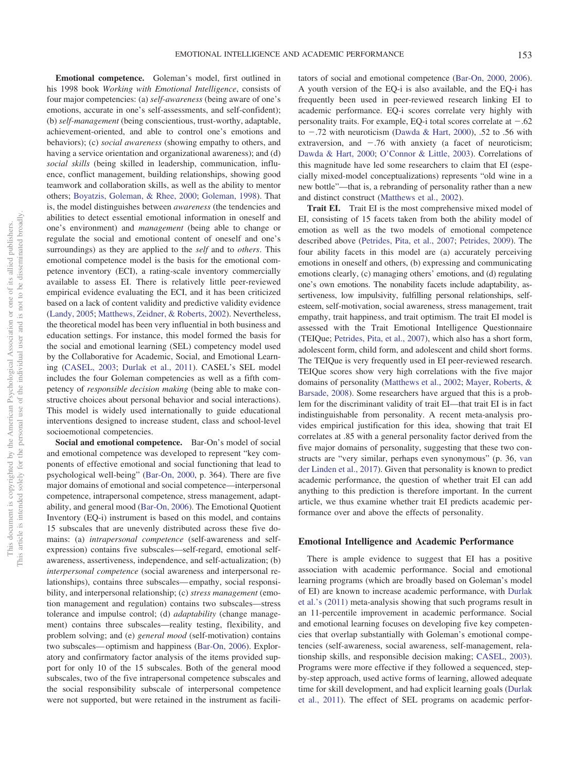**Emotional competence.** Goleman's model, first outlined in his 1998 book *Working with Emotional Intelligence*, consists of four major competencies: (a) *self-awareness* (being aware of one's emotions, accurate in one's self-assessments, and self-confident); (b) *self-management* (being conscientious, trust-worthy, adaptable, achievement-oriented, and able to control one's emotions and behaviors); (c) *social awareness* (showing empathy to others, and having a service orientation and organizational awareness); and (d) *social skills* (being skilled in leadership, communication, influence, conflict management, building relationships, showing good teamwork and collaboration skills, as well as the ability to mentor others; [Boyatzis, Goleman, & Rhee, 2000;](#page-25-5) [Goleman, 1998\)](#page-27-5). That is, the model distinguishes between *awareness* (the tendencies and abilities to detect essential emotional information in oneself and one's environment) and *management* (being able to change or regulate the social and emotional content of oneself and one's surroundings) as they are applied to the *self* and to *others*. This emotional competence model is the basis for the emotional competence inventory (ECI), a rating-scale inventory commercially available to assess EI. There is relatively little peer-reviewed empirical evidence evaluating the ECI, and it has been criticized based on a lack of content validity and predictive validity evidence [\(Landy, 2005;](#page-28-3) [Matthews, Zeidner, & Roberts, 2002\)](#page-29-11). Nevertheless, the theoretical model has been very influential in both business and education settings. For instance, this model formed the basis for the social and emotional learning (SEL) competency model used by the Collaborative for Academic, Social, and Emotional Learning [\(CASEL, 2003;](#page-25-6) [Durlak et al., 2011\)](#page-26-0). CASEL's SEL model includes the four Goleman competencies as well as a fifth competency of *responsible decision making* (being able to make constructive choices about personal behavior and social interactions). This model is widely used internationally to guide educational interventions designed to increase student, class and school-level socioemotional competencies.

**Social and emotional competence.** Bar-On's model of social and emotional competence was developed to represent "key components of effective emotional and social functioning that lead to psychological well-being" [\(Bar-On, 2000,](#page-25-7) p. 364). There are five major domains of emotional and social competence—interpersonal competence, intrapersonal competence, stress management, adaptability, and general mood [\(Bar-On, 2006\)](#page-25-2). The Emotional Quotient Inventory (EQ-i) instrument is based on this model, and contains 15 subscales that are unevenly distributed across these five domains: (a) *intrapersonal competence* (self-awareness and selfexpression) contains five subscales—self-regard, emotional selfawareness, assertiveness, independence, and self-actualization; (b) *interpersonal competence* (social awareness and interpersonal relationships), contains three subscales— empathy, social responsibility, and interpersonal relationship; (c) *stress management* (emotion management and regulation) contains two subscales—stress tolerance and impulse control; (d) *adaptability* (change management) contains three subscales—reality testing, flexibility, and problem solving; and (e) *general mood* (self-motivation) contains two subscales— optimism and happiness [\(Bar-On, 2006\)](#page-25-2). Exploratory and confirmatory factor analysis of the items provided support for only 10 of the 15 subscales. Both of the general mood subscales, two of the five intrapersonal competence subscales and the social responsibility subscale of interpersonal competence were not supported, but were retained in the instrument as facilitators of social and emotional competence [\(Bar-On, 2000,](#page-25-7) [2006\)](#page-25-2). A youth version of the EQ-i is also available, and the EQ-i has frequently been used in peer-reviewed research linking EI to academic performance. EQ-i scores correlate very highly with personality traits. For example, EQ-i total scores correlate at  $-.62$ to  $-.72$  with neuroticism [\(Dawda & Hart, 2000\)](#page-26-3), .52 to .56 with extraversion, and  $-.76$  with anxiety (a facet of neuroticism; [Dawda & Hart, 2000;](#page-26-3) [O'Connor & Little, 2003\)](#page-30-5). Correlations of this magnitude have led some researchers to claim that EI (especially mixed-model conceptualizations) represents "old wine in a new bottle"—that is, a rebranding of personality rather than a new and distinct construct [\(Matthews et al., 2002\)](#page-29-11).

**Trait EI.** Trait EI is the most comprehensive mixed model of EI, consisting of 15 facets taken from both the ability model of emotion as well as the two models of emotional competence described above [\(Petrides, Pita, et al., 2007;](#page-31-2) [Petrides, 2009\)](#page-31-10). The four ability facets in this model are (a) accurately perceiving emotions in oneself and others, (b) expressing and communicating emotions clearly, (c) managing others' emotions, and (d) regulating one's own emotions. The nonability facets include adaptability, assertiveness, low impulsivity, fulfilling personal relationships, selfesteem, self-motivation, social awareness, stress management, trait empathy, trait happiness, and trait optimism. The trait EI model is assessed with the Trait Emotional Intelligence Questionnaire (TEIQue; [Petrides, Pita, et al., 2007\)](#page-31-2), which also has a short form, adolescent form, child form, and adolescent and child short forms. The TEIQue is very frequently used in EI peer-reviewed research. TEIQue scores show very high correlations with the five major domains of personality [\(Matthews et al., 2002;](#page-29-11) [Mayer, Roberts, &](#page-29-12) [Barsade, 2008\)](#page-29-12). Some researchers have argued that this is a problem for the discriminant validity of trait EI—that trait EI is in fact indistinguishable from personality. A recent meta-analysis provides empirical justification for this idea, showing that trait EI correlates at .85 with a general personality factor derived from the five major domains of personality, suggesting that these two constructs are "very similar, perhaps even synonymous" (p. 36, [van](#page-33-1) [der Linden et al., 2017\)](#page-33-1). Given that personality is known to predict academic performance, the question of whether trait EI can add anything to this prediction is therefore important. In the current article, we thus examine whether trait EI predicts academic performance over and above the effects of personality.

#### **Emotional Intelligence and Academic Performance**

There is ample evidence to suggest that EI has a positive association with academic performance. Social and emotional learning programs (which are broadly based on Goleman's model of EI) are known to increase academic performance, with [Durlak](#page-26-0) [et al.'s \(2011\)](#page-26-0) meta-analysis showing that such programs result in an 11-percentile improvement in academic performance. Social and emotional learning focuses on developing five key competencies that overlap substantially with Goleman's emotional competencies (self-awareness, social awareness, self-management, relationship skills, and responsible decision making; [CASEL, 2003\)](#page-25-6). Programs were more effective if they followed a sequenced, stepby-step approach, used active forms of learning, allowed adequate time for skill development, and had explicit learning goals [\(Durlak](#page-26-0) [et al., 2011\)](#page-26-0). The effect of SEL programs on academic perfor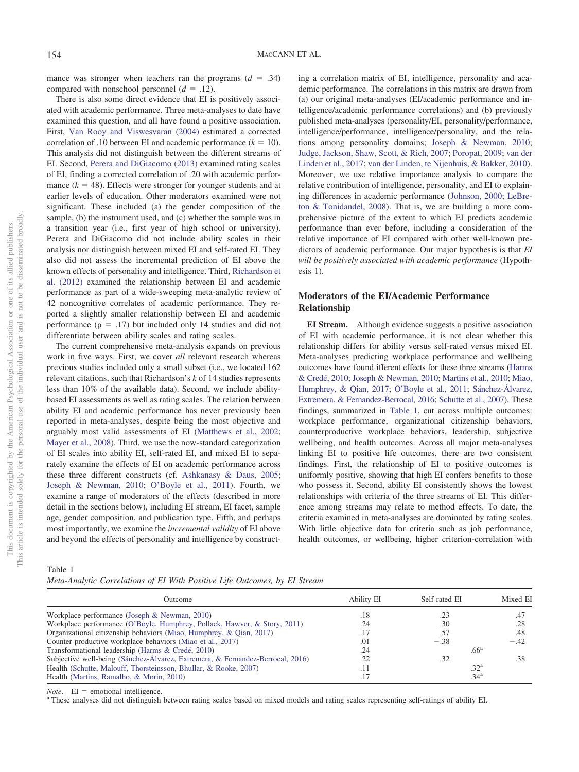mance was stronger when teachers ran the programs  $(d = .34)$ compared with nonschool personnel  $(d = .12)$ .

There is also some direct evidence that EI is positively associated with academic performance. Three meta-analyses to date have examined this question, and all have found a positive association. First, [Van Rooy and Viswesvaran \(2004\)](#page-33-2) estimated a corrected correlation of .10 between EI and academic performance  $(k = 10)$ . This analysis did not distinguish between the different streams of EI. Second, [Perera and DiGiacomo \(2013\)](#page-31-11) examined rating scales of EI, finding a corrected correlation of .20 with academic performance  $(k = 48)$ . Effects were stronger for younger students and at earlier levels of education. Other moderators examined were not significant. These included (a) the gender composition of the sample, (b) the instrument used, and (c) whether the sample was in a transition year (i.e., first year of high school or university). Perera and DiGiacomo did not include ability scales in their analysis nor distinguish between mixed EI and self-rated EI. They also did not assess the incremental prediction of EI above the known effects of personality and intelligence. Third, [Richardson et](#page-31-1) [al. \(2012\)](#page-31-1) examined the relationship between EI and academic performance as part of a wide-sweeping meta-analytic review of 42 noncognitive correlates of academic performance. They reported a slightly smaller relationship between EI and academic performance ( $\rho = .17$ ) but included only 14 studies and did not differentiate between ability scales and rating scales.

The current comprehensive meta-analysis expands on previous work in five ways. First, we cover *all* relevant research whereas previous studies included only a small subset (i.e., we located 162 relevant citations, such that Richardson's *k* of 14 studies represents less than 10% of the available data). Second, we include abilitybased EI assessments as well as rating scales. The relation between ability EI and academic performance has never previously been reported in meta-analyses, despite being the most objective and arguably most valid assessments of EI [\(Matthews et al., 2002;](#page-29-11) [Mayer et al., 2008\)](#page-29-12). Third, we use the now-standard categorization of EI scales into ability EI, self-rated EI, and mixed EI to separately examine the effects of EI on academic performance across these three different constructs (cf. [Ashkanasy & Daus, 2005;](#page-25-3) [Joseph & Newman, 2010;](#page-28-1) [O'Boyle et al., 2011\)](#page-30-0). Fourth, we examine a range of moderators of the effects (described in more detail in the sections below), including EI stream, EI facet, sample age, gender composition, and publication type. Fifth, and perhaps most importantly, we examine the *incremental validity* of EI above and beyond the effects of personality and intelligence by constructing a correlation matrix of EI, intelligence, personality and academic performance. The correlations in this matrix are drawn from (a) our original meta-analyses (EI/academic performance and intelligence/academic performance correlations) and (b) previously published meta-analyses (personality/EI, personality/performance, intelligence/performance, intelligence/personality, and the relations among personality domains; [Joseph & Newman, 2010;](#page-28-1) [Judge, Jackson, Shaw, Scott, & Rich, 2007;](#page-28-4) [Poropat, 2009;](#page-31-0) [van der](#page-33-1) [Linden et al., 2017;](#page-33-1) [van der Linden, te Nijenhuis, & Bakker, 2010\)](#page-33-3). Moreover, we use relative importance analysis to compare the relative contribution of intelligence, personality, and EI to explaining differences in academic performance [\(Johnson, 2000;](#page-28-5) [LeBre](#page-28-6)[ton & Tonidandel, 2008\)](#page-28-6). That is, we are building a more comprehensive picture of the extent to which EI predicts academic performance than ever before, including a consideration of the relative importance of EI compared with other well-known predictors of academic performance. Our major hypothesis is that *EI will be positively associated with academic performance* (Hypothesis 1).

## **Moderators of the EI/Academic Performance Relationship**

**EI Stream.** Although evidence suggests a positive association of EI with academic performance, it is not clear whether this relationship differs for ability versus self-rated versus mixed EI. Meta-analyses predicting workplace performance and wellbeing outcomes have found ifferent effects for these three streams [\(Harms](#page-27-6) [& Credé, 2010;](#page-27-6) [Joseph & Newman, 2010;](#page-28-1) [Martins et al., 2010;](#page-29-0) [Miao,](#page-30-6) [Humphrey, & Qian, 2017;](#page-30-6) [O'Boyle et al., 2011;](#page-30-0) [Sánchez-Álvarez,](#page-32-5) [Extremera, & Fernandez-Berrocal, 2016;](#page-32-5) [Schutte et al., 2007\)](#page-32-0). These findings, summarized in [Table 1,](#page-4-0) cut across multiple outcomes: workplace performance, organizational citizenship behaviors, counterproductive workplace behaviors, leadership, subjective wellbeing, and health outcomes. Across all major meta-analyses linking EI to positive life outcomes, there are two consistent findings. First, the relationship of EI to positive outcomes is uniformly positive, showing that high EI confers benefits to those who possess it. Second, ability EI consistently shows the lowest relationships with criteria of the three streams of EI. This difference among streams may relate to method effects. To date, the criteria examined in meta-analyses are dominated by rating scales. With little objective data for criteria such as job performance, health outcomes, or wellbeing, higher criterion-correlation with

<span id="page-4-0"></span>Table 1

*Meta-Analytic Correlations of EI With Positive Life Outcomes, by EI Stream*

Outcome Ability EI Self-rated EI Mixed EI Workplace performance [\(Joseph & Newman, 2010\)](#page-28-1) .18 .23 .47 Workplace performance [\(O'Boyle, Humphrey, Pollack, Hawver, & Story, 2011\)](#page-30-0) .24 .30 .30 .28<br>28 .37 .37 .37 .48 .48 .31 .37 .48 .48 .48 .48 .48 .57 .48 .48 .48 .48 .48 .57 .48 .48 .48 .57 .48 .48 .48 .48 Organizational citizenship behaviors [\(Miao, Humphrey, & Qian, 2017\)](#page-30-6) .17 .57 .48 Counter-productive workplace behaviors [\(Miao et al., 2017\)](#page-30-6) .01  $-0.38$   $-0.42$ Transformational leadership [\(Harms & Credé, 2010\)](#page-27-6)<br>
Subjective well-being (Sánchez-Álvarez, Extremera, & Fernandez-Berrocal, 2016) .22 . 23 .32 Subjective well-being [\(Sánchez-Álvarez, Extremera, & Fernandez-Berrocal, 2016\)](#page-32-5) .32 .32 .38 Health [\(Schutte, Malouff, Thorsteinsson, Bhullar, & Rooke, 2007\)](#page-32-0) .11 .11 .32<sup>a</sup> Health [\(Martins, Ramalho, & Morin, 2010\)](#page-29-0) .17 .17 .19 .34<sup>a</sup>

*Note*. EI = emotional intelligence.<br><sup>a</sup> These analyses did not distinguish between rating scales based on mixed models and rating scales representing self-ratings of ability EI.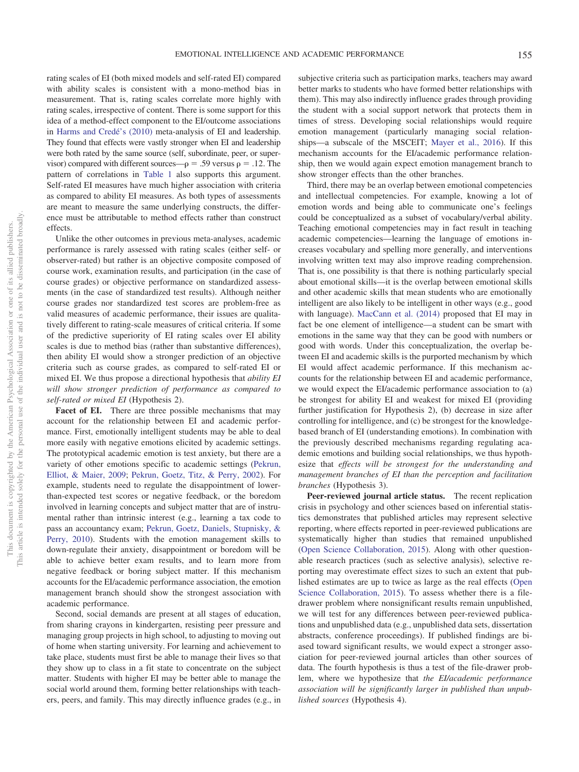rating scales of EI (both mixed models and self-rated EI) compared with ability scales is consistent with a mono-method bias in measurement. That is, rating scales correlate more highly with rating scales, irrespective of content. There is some support for this idea of a method-effect component to the EI/outcome associations in [Harms and Credé's \(2010\)](#page-27-6) meta-analysis of EI and leadership. They found that effects were vastly stronger when EI and leadership were both rated by the same source (self, subordinate, peer, or supervisor) compared with different sources— $\rho = .59$  versus  $\rho = .12$ . The pattern of correlations in [Table 1](#page-4-0) also supports this argument. Self-rated EI measures have much higher association with criteria as compared to ability EI measures. As both types of assessments are meant to measure the same underlying constructs, the difference must be attributable to method effects rather than construct effects.

Unlike the other outcomes in previous meta-analyses, academic performance is rarely assessed with rating scales (either self- or observer-rated) but rather is an objective composite composed of course work, examination results, and participation (in the case of course grades) or objective performance on standardized assessments (in the case of standardized test results). Although neither course grades nor standardized test scores are problem-free as valid measures of academic performance, their issues are qualitatively different to rating-scale measures of critical criteria. If some of the predictive superiority of EI rating scales over EI ability scales is due to method bias (rather than substantive differences), then ability EI would show a stronger prediction of an objective criteria such as course grades, as compared to self-rated EI or mixed EI. We thus propose a directional hypothesis that *ability EI will show stronger prediction of performance as compared to self-rated or mixed EI* (Hypothesis 2).

**Facet of EI.** There are three possible mechanisms that may account for the relationship between EI and academic performance. First, emotionally intelligent students may be able to deal more easily with negative emotions elicited by academic settings. The prototypical academic emotion is test anxiety, but there are a variety of other emotions specific to academic settings [\(Pekrun,](#page-30-7) [Elliot, & Maier, 2009;](#page-30-7) [Pekrun, Goetz, Titz, & Perry, 2002\)](#page-31-12). For example, students need to regulate the disappointment of lowerthan-expected test scores or negative feedback, or the boredom involved in learning concepts and subject matter that are of instrumental rather than intrinsic interest (e.g., learning a tax code to pass an accountancy exam; [Pekrun, Goetz, Daniels, Stupnisky, &](#page-30-8) [Perry, 2010\)](#page-30-8). Students with the emotion management skills to down-regulate their anxiety, disappointment or boredom will be able to achieve better exam results, and to learn more from negative feedback or boring subject matter. If this mechanism accounts for the EI/academic performance association, the emotion management branch should show the strongest association with academic performance.

Second, social demands are present at all stages of education, from sharing crayons in kindergarten, resisting peer pressure and managing group projects in high school, to adjusting to moving out of home when starting university. For learning and achievement to take place, students must first be able to manage their lives so that they show up to class in a fit state to concentrate on the subject matter. Students with higher EI may be better able to manage the social world around them, forming better relationships with teachers, peers, and family. This may directly influence grades (e.g., in subjective criteria such as participation marks, teachers may award better marks to students who have formed better relationships with them). This may also indirectly influence grades through providing the student with a social support network that protects them in times of stress. Developing social relationships would require emotion management (particularly managing social relationships—a subscale of the MSCEIT; [Mayer et al., 2016\)](#page-29-7). If this mechanism accounts for the EI/academic performance relationship, then we would again expect emotion management branch to show stronger effects than the other branches.

Third, there may be an overlap between emotional competencies and intellectual competencies. For example, knowing a lot of emotion words and being able to communicate one's feelings could be conceptualized as a subset of vocabulary/verbal ability. Teaching emotional competencies may in fact result in teaching academic competencies—learning the language of emotions increases vocabulary and spelling more generally, and interventions involving written text may also improve reading comprehension. That is, one possibility is that there is nothing particularly special about emotional skills—it is the overlap between emotional skills and other academic skills that mean students who are emotionally intelligent are also likely to be intelligent in other ways (e.g., good with language). [MacCann et al. \(2014\)](#page-29-2) proposed that EI may in fact be one element of intelligence—a student can be smart with emotions in the same way that they can be good with numbers or good with words. Under this conceptualization, the overlap between EI and academic skills is the purported mechanism by which EI would affect academic performance. If this mechanism accounts for the relationship between EI and academic performance, we would expect the EI/academic performance association to (a) be strongest for ability EI and weakest for mixed EI (providing further justification for Hypothesis 2), (b) decrease in size after controlling for intelligence, and (c) be strongest for the knowledgebased branch of EI (understanding emotions). In combination with the previously described mechanisms regarding regulating academic emotions and building social relationships, we thus hypothesize that *effects will be strongest for the understanding and management branches of EI than the perception and facilitation branches* (Hypothesis 3).

**Peer-reviewed journal article status.** The recent replication crisis in psychology and other sciences based on inferential statistics demonstrates that published articles may represent selective reporting, where effects reported in peer-reviewed publications are systematically higher than studies that remained unpublished [\(Open Science Collaboration, 2015\)](#page-30-9). Along with other questionable research practices (such as selective analysis), selective reporting may overestimate effect sizes to such an extent that published estimates are up to twice as large as the real effects [\(Open](#page-30-9) [Science Collaboration, 2015\)](#page-30-9). To assess whether there is a filedrawer problem where nonsignificant results remain unpublished, we will test for any differences between peer-reviewed publications and unpublished data (e.g., unpublished data sets, dissertation abstracts, conference proceedings). If published findings are biased toward significant results, we would expect a stronger association for peer-reviewed journal articles than other sources of data. The fourth hypothesis is thus a test of the file-drawer problem, where we hypothesize that *the EI/academic performance association will be significantly larger in published than unpublished sources* (Hypothesis 4).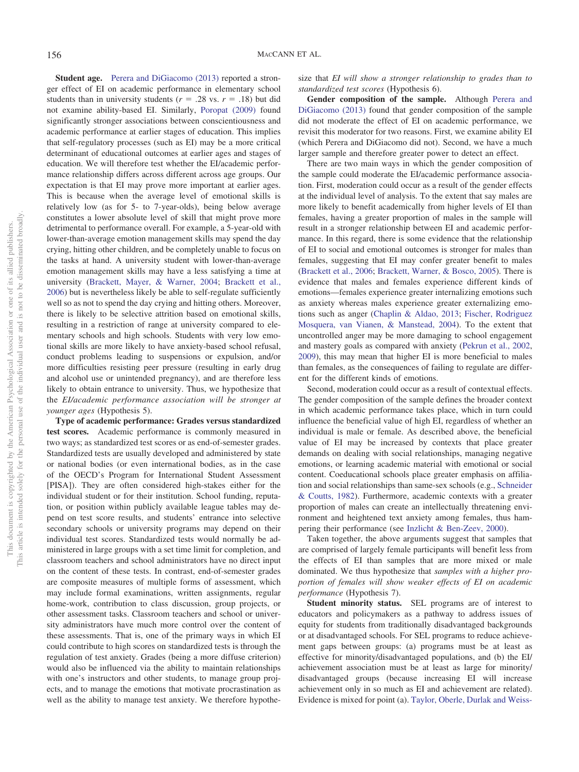**Student age.** [Perera and DiGiacomo \(2013\)](#page-31-11) reported a stronger effect of EI on academic performance in elementary school students than in university students ( $r = .28$  vs.  $r = .18$ ) but did not examine ability-based EI. Similarly, [Poropat \(2009\)](#page-31-0) found significantly stronger associations between conscientiousness and academic performance at earlier stages of education. This implies that self-regulatory processes (such as EI) may be a more critical determinant of educational outcomes at earlier ages and stages of education. We will therefore test whether the EI/academic performance relationship differs across different across age groups. Our expectation is that EI may prove more important at earlier ages. This is because when the average level of emotional skills is relatively low (as for 5- to 7-year-olds), being below average constitutes a lower absolute level of skill that might prove more detrimental to performance overall. For example, a 5-year-old with lower-than-average emotion management skills may spend the day crying, hitting other children, and be completely unable to focus on the tasks at hand. A university student with lower-than-average emotion management skills may have a less satisfying a time at university [\(Brackett, Mayer, & Warner, 2004;](#page-25-8) [Brackett et al.,](#page-25-0) [2006\)](#page-25-0) but is nevertheless likely be able to self-regulate sufficiently well so as not to spend the day crying and hitting others. Moreover, there is likely to be selective attrition based on emotional skills, resulting in a restriction of range at university compared to elementary schools and high schools. Students with very low emotional skills are more likely to have anxiety-based school refusal, conduct problems leading to suspensions or expulsion, and/or more difficulties resisting peer pressure (resulting in early drug and alcohol use or unintended pregnancy), and are therefore less likely to obtain entrance to university. Thus, we hypothesize that the *EI/academic performance association will be stronger at younger ages* (Hypothesis 5).

**Type of academic performance: Grades versus standardized test scores.** Academic performance is commonly measured in two ways; as standardized test scores or as end-of-semester grades. Standardized tests are usually developed and administered by state or national bodies (or even international bodies, as in the case of the OECD's Program for International Student Assessment [PISA]). They are often considered high-stakes either for the individual student or for their institution. School funding, reputation, or position within publicly available league tables may depend on test score results, and students' entrance into selective secondary schools or university programs may depend on their individual test scores. Standardized tests would normally be administered in large groups with a set time limit for completion, and classroom teachers and school administrators have no direct input on the content of these tests. In contrast, end-of-semester grades are composite measures of multiple forms of assessment, which may include formal examinations, written assignments, regular home-work, contribution to class discussion, group projects, or other assessment tasks. Classroom teachers and school or university administrators have much more control over the content of these assessments. That is, one of the primary ways in which EI could contribute to high scores on standardized tests is through the regulation of test anxiety. Grades (being a more diffuse criterion) would also be influenced via the ability to maintain relationships with one's instructors and other students, to manage group projects, and to manage the emotions that motivate procrastination as well as the ability to manage test anxiety. We therefore hypothesize that *EI will show a stronger relationship to grades than to standardized test scores* (Hypothesis 6).

**Gender composition of the sample.** Although [Perera and](#page-31-11) [DiGiacomo \(2013\)](#page-31-11) found that gender composition of the sample did not moderate the effect of EI on academic performance, we revisit this moderator for two reasons. First, we examine ability EI (which Perera and DiGiacomo did not). Second, we have a much larger sample and therefore greater power to detect an effect.

There are two main ways in which the gender composition of the sample could moderate the EI/academic performance association. First, moderation could occur as a result of the gender effects at the individual level of analysis. To the extent that say males are more likely to benefit academically from higher levels of EI than females, having a greater proportion of males in the sample will result in a stronger relationship between EI and academic performance. In this regard, there is some evidence that the relationship of EI to social and emotional outcomes is stronger for males than females, suggesting that EI may confer greater benefit to males [\(Brackett et al., 2006;](#page-25-0) [Brackett, Warner, & Bosco, 2005\)](#page-25-9). There is evidence that males and females experience different kinds of emotions—females experience greater internalizing emotions such as anxiety whereas males experience greater externalizing emotions such as anger [\(Chaplin & Aldao, 2013;](#page-26-4) [Fischer, Rodriguez](#page-27-7) [Mosquera, van Vianen, & Manstead, 2004\)](#page-27-7). To the extent that uncontrolled anger may be more damaging to school engagement and mastery goals as compared with anxiety [\(Pekrun et al., 2002,](#page-31-12) [2009\)](#page-30-7), this may mean that higher EI is more beneficial to males than females, as the consequences of failing to regulate are different for the different kinds of emotions.

Second, moderation could occur as a result of contextual effects. The gender composition of the sample defines the broader context in which academic performance takes place, which in turn could influence the beneficial value of high EI, regardless of whether an individual is male or female. As described above, the beneficial value of EI may be increased by contexts that place greater demands on dealing with social relationships, managing negative emotions, or learning academic material with emotional or social content. Coeducational schools place greater emphasis on affiliation and social relationships than same-sex schools (e.g., [Schneider](#page-32-6) [& Coutts, 1982\)](#page-32-6). Furthermore, academic contexts with a greater proportion of males can create an intellectually threatening environment and heightened text anxiety among females, thus hampering their performance (see [Inzlicht & Ben-Zeev, 2000\)](#page-28-7).

Taken together, the above arguments suggest that samples that are comprised of largely female participants will benefit less from the effects of EI than samples that are more mixed or male dominated. We thus hypothesize that *samples with a higher proportion of females will show weaker effects of EI on academic performance* (Hypothesis 7).

**Student minority status.** SEL programs are of interest to educators and policymakers as a pathway to address issues of equity for students from traditionally disadvantaged backgrounds or at disadvantaged schools. For SEL programs to reduce achievement gaps between groups: (a) programs must be at least as effective for minority/disadvantaged populations, and (b) the EI/ achievement association must be at least as large for minority/ disadvantaged groups (because increasing EI will increase achievement only in so much as EI and achievement are related). Evidence is mixed for point (a). [Taylor, Oberle, Durlak and Weiss-](#page-32-7)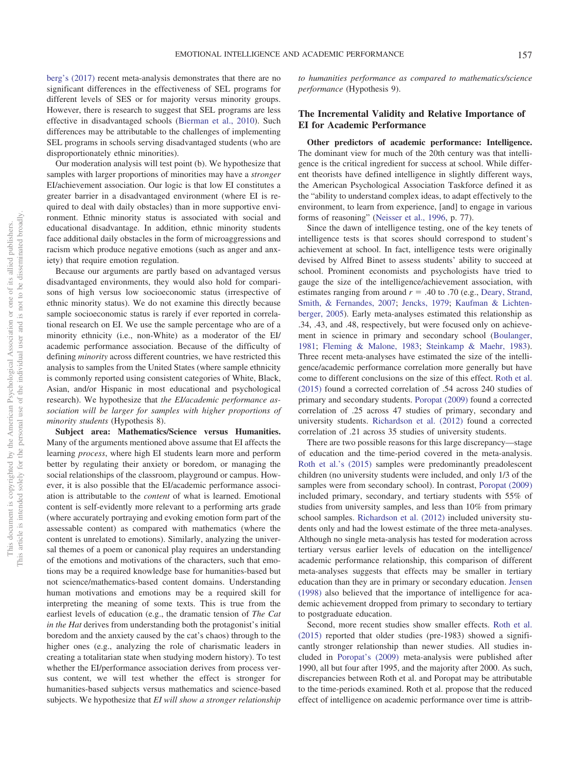[berg's \(2017\)](#page-32-7) recent meta-analysis demonstrates that there are no significant differences in the effectiveness of SEL programs for different levels of SES or for majority versus minority groups. However, there is research to suggest that SEL programs are less effective in disadvantaged schools [\(Bierman et al., 2010\)](#page-25-10). Such differences may be attributable to the challenges of implementing SEL programs in schools serving disadvantaged students (who are disproportionately ethnic minorities).

Our moderation analysis will test point (b). We hypothesize that samples with larger proportions of minorities may have a *stronger* EI/achievement association. Our logic is that low EI constitutes a greater barrier in a disadvantaged environment (where EI is required to deal with daily obstacles) than in more supportive environment. Ethnic minority status is associated with social and educational disadvantage. In addition, ethnic minority students face additional daily obstacles in the form of microaggressions and racism which produce negative emotions (such as anger and anxiety) that require emotion regulation.

Because our arguments are partly based on advantaged versus disadvantaged environments, they would also hold for comparisons of high versus low socioeconomic status (irrespective of ethnic minority status). We do not examine this directly because sample socioeconomic status is rarely if ever reported in correlational research on EI. We use the sample percentage who are of a minority ethnicity (i.e., non-White) as a moderator of the EI/ academic performance association. Because of the difficulty of defining *minority* across different countries, we have restricted this analysis to samples from the United States (where sample ethnicity is commonly reported using consistent categories of White, Black, Asian, and/or Hispanic in most educational and psychological research). We hypothesize that *the EI/academic performance association will be larger for samples with higher proportions of minority students* (Hypothesis 8).

**Subject area: Mathematics/Science versus Humanities.** Many of the arguments mentioned above assume that EI affects the learning *process*, where high EI students learn more and perform better by regulating their anxiety or boredom, or managing the social relationships of the classroom, playground or campus. However, it is also possible that the EI/academic performance association is attributable to the *content* of what is learned. Emotional content is self-evidently more relevant to a performing arts grade (where accurately portraying and evoking emotion form part of the assessable content) as compared with mathematics (where the content is unrelated to emotions). Similarly, analyzing the universal themes of a poem or canonical play requires an understanding of the emotions and motivations of the characters, such that emotions may be a required knowledge base for humanities-based but not science/mathematics-based content domains. Understanding human motivations and emotions may be a required skill for interpreting the meaning of some texts. This is true from the earliest levels of education (e.g., the dramatic tension of *The Cat in the Hat* derives from understanding both the protagonist's initial boredom and the anxiety caused by the cat's chaos) through to the higher ones (e.g., analyzing the role of charismatic leaders in creating a totalitarian state when studying modern history). To test whether the EI/performance association derives from process versus content, we will test whether the effect is stronger for humanities-based subjects versus mathematics and science-based subjects. We hypothesize that *EI will show a stronger relationship* *to humanities performance as compared to mathematics/science performance* (Hypothesis 9).

## **The Incremental Validity and Relative Importance of EI for Academic Performance**

**Other predictors of academic performance: Intelligence.** The dominant view for much of the 20th century was that intelligence is the critical ingredient for success at school. While different theorists have defined intelligence in slightly different ways, the American Psychological Association Taskforce defined it as the "ability to understand complex ideas, to adapt effectively to the environment, to learn from experience, [and] to engage in various forms of reasoning" [\(Neisser et al., 1996,](#page-30-10) p. 77).

Since the dawn of intelligence testing, one of the key tenets of intelligence tests is that scores should correspond to student's achievement at school. In fact, intelligence tests were originally devised by Alfred Binet to assess students' ability to succeed at school. Prominent economists and psychologists have tried to gauge the size of the intelligence/achievement association, with estimates ranging from around  $r = .40$  to .70 (e.g., [Deary, Strand,](#page-26-5) [Smith, & Fernandes, 2007;](#page-26-5) [Jencks, 1979;](#page-28-8) [Kaufman & Lichten](#page-28-9)[berger, 2005\)](#page-28-9). Early meta-analyses estimated this relationship as .34, .43, and .48, respectively, but were focused only on achievement in science in primary and secondary school [\(Boulanger,](#page-25-11) [1981;](#page-25-11) [Fleming & Malone, 1983;](#page-27-8) [Steinkamp & Maehr, 1983\)](#page-32-8). Three recent meta-analyses have estimated the size of the intelligence/academic performance correlation more generally but have come to different conclusions on the size of this effect. [Roth et al.](#page-31-13) [\(2015\)](#page-31-13) found a corrected correlation of .54 across 240 studies of primary and secondary students. [Poropat \(2009\)](#page-31-0) found a corrected correlation of .25 across 47 studies of primary, secondary and university students. [Richardson et al. \(2012\)](#page-31-1) found a corrected correlation of .21 across 35 studies of university students.

There are two possible reasons for this large discrepancy—stage of education and the time-period covered in the meta-analysis. [Roth et al.'s \(2015\)](#page-31-13) samples were predominantly preadolescent children (no university students were included, and only 1/3 of the samples were from secondary school). In contrast, [Poropat \(2009\)](#page-31-0) included primary, secondary, and tertiary students with 55% of studies from university samples, and less than 10% from primary school samples. [Richardson et al. \(2012\)](#page-31-1) included university students only and had the lowest estimate of the three meta-analyses. Although no single meta-analysis has tested for moderation across tertiary versus earlier levels of education on the intelligence/ academic performance relationship, this comparison of different meta-analyses suggests that effects may be smaller in tertiary education than they are in primary or secondary education. [Jensen](#page-28-10) [\(1998\)](#page-28-10) also believed that the importance of intelligence for academic achievement dropped from primary to secondary to tertiary to postgraduate education.

Second, more recent studies show smaller effects. [Roth et al.](#page-31-13) [\(2015\)](#page-31-13) reported that older studies (pre-1983) showed a significantly stronger relationship than newer studies. All studies included in [Poropat's \(2009\)](#page-31-0) meta-analysis were published after 1990, all but four after 1995, and the majority after 2000. As such, discrepancies between Roth et al. and Poropat may be attributable to the time-periods examined. Roth et al. propose that the reduced effect of intelligence on academic performance over time is attrib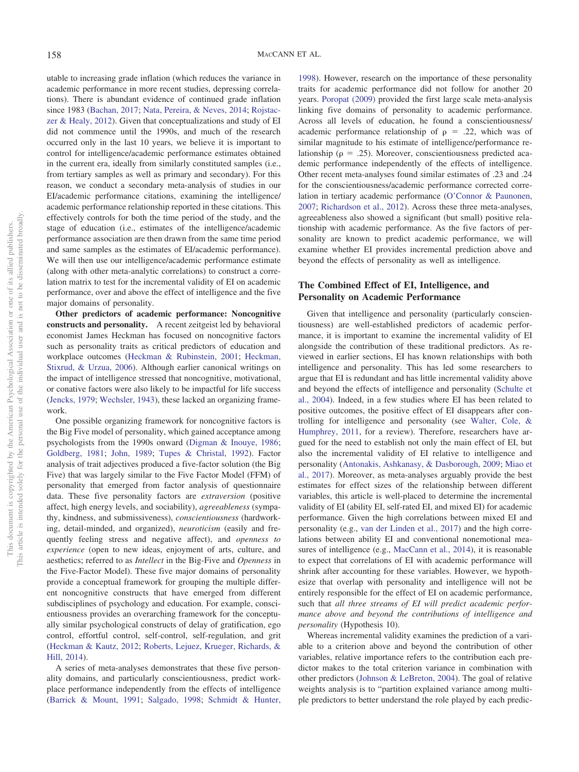utable to increasing grade inflation (which reduces the variance in academic performance in more recent studies, depressing correlations). There is abundant evidence of continued grade inflation since 1983 [\(Bachan, 2017;](#page-25-12) [Nata, Pereira, & Neves, 2014;](#page-30-11) [Rojstac](#page-31-14)[zer & Healy, 2012\)](#page-31-14). Given that conceptualizations and study of EI did not commence until the 1990s, and much of the research occurred only in the last 10 years, we believe it is important to control for intelligence/academic performance estimates obtained in the current era, ideally from similarly constituted samples (i.e., from tertiary samples as well as primary and secondary). For this reason, we conduct a secondary meta-analysis of studies in our EI/academic performance citations, examining the intelligence/ academic performance relationship reported in these citations. This effectively controls for both the time period of the study, and the stage of education (i.e., estimates of the intelligence/academic performance association are then drawn from the same time period and same samples as the estimates of EI/academic performance). We will then use our intelligence/academic performance estimate (along with other meta-analytic correlations) to construct a correlation matrix to test for the incremental validity of EI on academic performance, over and above the effect of intelligence and the five major domains of personality.

**Other predictors of academic performance: Noncognitive constructs and personality.** A recent zeitgeist led by behavioral economist James Heckman has focused on noncognitive factors such as personality traits as critical predictors of education and workplace outcomes [\(Heckman & Rubinstein, 2001;](#page-27-9) [Heckman,](#page-27-10) [Stixrud, & Urzua, 2006\)](#page-27-10). Although earlier canonical writings on the impact of intelligence stressed that noncognitive, motivational, or conative factors were also likely to be impactful for life success [\(Jencks, 1979;](#page-28-8) [Wechsler, 1943\)](#page-33-4), these lacked an organizing framework.

One possible organizing framework for noncognitive factors is the Big Five model of personality, which gained acceptance among psychologists from the 1990s onward [\(Digman & Inouye, 1986;](#page-26-6) [Goldberg, 1981;](#page-27-11) [John, 1989;](#page-28-11) [Tupes & Christal, 1992\)](#page-32-9). Factor analysis of trait adjectives produced a five-factor solution (the Big Five) that was largely similar to the Five Factor Model (FFM) of personality that emerged from factor analysis of questionnaire data. These five personality factors are *extraversion* (positive affect, high energy levels, and sociability), *agreeableness* (sympathy, kindness, and submissiveness), *conscientiousness* (hardworking, detail-minded, and organized), *neuroticism* (easily and frequently feeling stress and negative affect), and *openness to experience* (open to new ideas, enjoyment of arts, culture, and aesthetics; referred to as *Intellect* in the Big-Five and *Openness* in the Five-Factor Model). These five major domains of personality provide a conceptual framework for grouping the multiple different noncognitive constructs that have emerged from different subdisciplines of psychology and education. For example, conscientiousness provides an overarching framework for the conceptually similar psychological constructs of delay of gratification, ego control, effortful control, self-control, self-regulation, and grit [\(Heckman & Kautz, 2012;](#page-27-12) [Roberts, Lejuez, Krueger, Richards, &](#page-31-15) [Hill, 2014\)](#page-31-15).

A series of meta-analyses demonstrates that these five personality domains, and particularly conscientiousness, predict workplace performance independently from the effects of intelligence [\(Barrick & Mount, 1991;](#page-25-13) [Salgado, 1998;](#page-32-10) [Schmidt & Hunter,](#page-32-11)

[1998\)](#page-32-11). However, research on the importance of these personality traits for academic performance did not follow for another 20 years. [Poropat \(2009\)](#page-31-0) provided the first large scale meta-analysis linking five domains of personality to academic performance. Across all levels of education, he found a conscientiousness/ academic performance relationship of  $\rho = .22$ , which was of similar magnitude to his estimate of intelligence/performance relationship ( $\rho = .25$ ). Moreover, conscientiousness predicted academic performance independently of the effects of intelligence. Other recent meta-analyses found similar estimates of .23 and .24 for the conscientiousness/academic performance corrected correlation in tertiary academic performance [\(O'Connor & Paunonen,](#page-30-12) [2007;](#page-30-12) [Richardson et al., 2012\)](#page-31-1). Across these three meta-analyses, agreeableness also showed a significant (but small) positive relationship with academic performance. As the five factors of personality are known to predict academic performance, we will examine whether EI provides incremental prediction above and beyond the effects of personality as well as intelligence.

## **The Combined Effect of EI, Intelligence, and Personality on Academic Performance**

Given that intelligence and personality (particularly conscientiousness) are well-established predictors of academic performance, it is important to examine the incremental validity of EI alongside the contribution of these traditional predictors. As reviewed in earlier sections, EI has known relationships with both intelligence and personality. This has led some researchers to argue that EI is redundant and has little incremental validity above and beyond the effects of intelligence and personality [\(Schulte et](#page-32-4) [al., 2004\)](#page-32-4). Indeed, in a few studies where EI has been related to positive outcomes, the positive effect of EI disappears after controlling for intelligence and personality (see [Walter, Cole, &](#page-33-5) [Humphrey, 2011,](#page-33-5) for a review). Therefore, researchers have argued for the need to establish not only the main effect of EI, but also the incremental validity of EI relative to intelligence and personality [\(Antonakis, Ashkanasy, & Dasborough, 2009;](#page-25-14) [Miao et](#page-30-6) [al., 2017\)](#page-30-6). Moreover, as meta-analyses arguably provide the best estimates for effect sizes of the relationship between different variables, this article is well-placed to determine the incremental validity of EI (ability EI, self-rated EI, and mixed EI) for academic performance. Given the high correlations between mixed EI and personality (e.g., [van der Linden et al., 2017\)](#page-33-1) and the high correlations between ability EI and conventional nonemotional measures of intelligence (e.g., [MacCann et al., 2014\)](#page-29-2), it is reasonable to expect that correlations of EI with academic performance will shrink after accounting for these variables. However, we hypothesize that overlap with personality and intelligence will not be entirely responsible for the effect of EI on academic performance, such that *all three streams of EI will predict academic performance above and beyond the contributions of intelligence and personality* (Hypothesis 10).

Whereas incremental validity examines the prediction of a variable to a criterion above and beyond the contribution of other variables, relative importance refers to the contribution each predictor makes to the total criterion variance in combination with other predictors [\(Johnson & LeBreton, 2004\)](#page-28-12). The goal of relative weights analysis is to "partition explained variance among multiple predictors to better understand the role played by each predic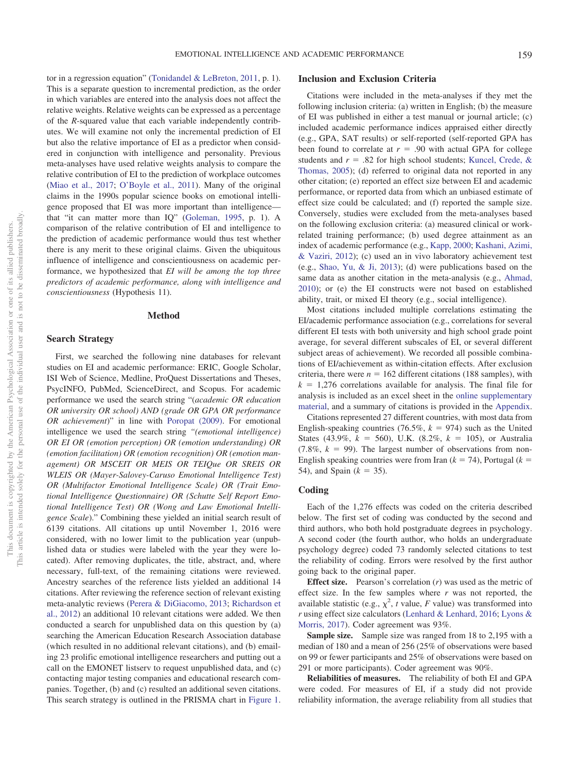tor in a regression equation" [\(Tonidandel & LeBreton, 2011,](#page-32-12) p. 1). This is a separate question to incremental prediction, as the order in which variables are entered into the analysis does not affect the relative weights. Relative weights can be expressed as a percentage of the *R*-squared value that each variable independently contributes. We will examine not only the incremental prediction of EI but also the relative importance of EI as a predictor when considered in conjunction with intelligence and personality. Previous meta-analyses have used relative weights analysis to compare the relative contribution of EI to the prediction of workplace outcomes [\(Miao et al., 2017;](#page-30-6) [O'Boyle et al., 2011\)](#page-30-0). Many of the original claims in the 1990s popular science books on emotional intelligence proposed that EI was more important than intelligence that "it can matter more than IQ" [\(Goleman, 1995,](#page-27-13) p. 1). A comparison of the relative contribution of EI and intelligence to the prediction of academic performance would thus test whether there is any merit to these original claims. Given the ubiquitous influence of intelligence and conscientiousness on academic performance, we hypothesized that *EI will be among the top three predictors of academic performance, along with intelligence and conscientiousness* (Hypothesis 11).

#### **Method**

#### **Search Strategy**

First, we searched the following nine databases for relevant studies on EI and academic performance: ERIC, Google Scholar, ISI Web of Science, Medline, ProQuest Dissertations and Theses, PsycINFO, PubMed, ScienceDirect, and Scopus. For academic performance we used the search string "(*academic OR education OR university OR school) AND (grade OR GPA OR performance OR achievement*)" in line with [Poropat \(2009\).](#page-31-0) For emotional intelligence we used the search string *"(emotional intelligence) OR EI OR (emotion perception) OR (emotion understanding) OR (emotion facilitation) OR (emotion recognition) OR (emotion management) OR MSCEIT OR MEIS OR TEIQue OR SREIS OR WLEIS OR (Mayer-Salovey-Caruso Emotional Intelligence Test) OR (Multifactor Emotional Intelligence Scale) OR (Trait Emotional Intelligence Questionnaire) OR (Schutte Self Report Emotional Intelligence Test) OR (Wong and Law Emotional Intelligence Scale*)." Combining these yielded an initial search result of 6139 citations. All citations up until November 1, 2016 were considered, with no lower limit to the publication year (unpublished data or studies were labeled with the year they were located). After removing duplicates, the title, abstract, and, where necessary, full-text, of the remaining citations were reviewed. Ancestry searches of the reference lists yielded an additional 14 citations. After reviewing the reference section of relevant existing meta-analytic reviews [\(Perera & DiGiacomo, 2013;](#page-31-11) [Richardson et](#page-31-1) [al., 2012\)](#page-31-1) an additional 10 relevant citations were added. We then conducted a search for unpublished data on this question by (a) searching the American Education Research Association database (which resulted in no additional relevant citations), and (b) emailing 23 prolific emotional intelligence researchers and putting out a call on the EMONET listserv to request unpublished data, and (c) contacting major testing companies and educational research companies. Together, (b) and (c) resulted an additional seven citations. This search strategy is outlined in the PRISMA chart in [Figure 1.](#page-10-0)

#### **Inclusion and Exclusion Criteria**

Citations were included in the meta-analyses if they met the following inclusion criteria: (a) written in English; (b) the measure of EI was published in either a test manual or journal article; (c) included academic performance indices appraised either directly (e.g., GPA, SAT results) or self-reported (self-reported GPA has been found to correlate at  $r = .90$  with actual GPA for college students and  $r = .82$  for high school students; [Kuncel, Crede, &](#page-28-13) [Thomas, 2005\)](#page-28-13); (d) referred to original data not reported in any other citation; (e) reported an effect size between EI and academic performance, or reported data from which an unbiased estimate of effect size could be calculated; and (f) reported the sample size. Conversely, studies were excluded from the meta-analyses based on the following exclusion criteria: (a) measured clinical or workrelated training performance; (b) used degree attainment as an index of academic performance (e.g., [Kapp, 2000;](#page-28-14) [Kashani, Azimi,](#page-28-15) [& Vaziri, 2012\)](#page-28-15); (c) used an in vivo laboratory achievement test (e.g., [Shao, Yu, & Ji, 2013\)](#page-32-13); (d) were publications based on the same data as another citation in the meta-analysis (e.g., [Ahmad,](#page-24-0) [2010\)](#page-24-0); or (e) the EI constructs were not based on established ability, trait, or mixed EI theory (e.g., social intelligence).

Most citations included multiple correlations estimating the EI/academic performance association (e.g., correlations for several different EI tests with both university and high school grade point average, for several different subscales of EI, or several different subject areas of achievement). We recorded all possible combinations of EI/achievement as within-citation effects. After exclusion criteria, there were  $n = 162$  different citations (188 samples), with  $k = 1,276$  correlations available for analysis. The final file for analysis is included as an excel sheet in the [online supplementary](http://dx.doi.org/10.1037/bul0000219.supp) [material,](http://dx.doi.org/10.1037/bul0000219.supp) and a summary of citations is provided in the [Appendix.](#page-34-0)

Citations represented 27 different countries, with most data from English-speaking countries (76.5%,  $k = 974$ ) such as the United States (43.9%,  $k = 560$ ), U.K. (8.2%,  $k = 105$ ), or Australia  $(7.8\%, k = 99)$ . The largest number of observations from non-English speaking countries were from Iran  $(k = 74)$ , Portugal  $(k = 1)$ 54), and Spain  $(k = 35)$ .

#### **Coding**

Each of the 1,276 effects was coded on the criteria described below. The first set of coding was conducted by the second and third authors, who both hold postgraduate degrees in psychology. A second coder (the fourth author, who holds an undergraduate psychology degree) coded 73 randomly selected citations to test the reliability of coding. Errors were resolved by the first author going back to the original paper.

**Effect size.** Pearson's correlation (*r*) was used as the metric of effect size. In the few samples where *r* was not reported, the available statistic (e.g.,  $\chi^2$ , *t* value, *F* value) was transformed into *r* using effect size calculators [\(Lenhard & Lenhard, 2016;](#page-29-13) [Lyons &](#page-29-14) [Morris, 2017\)](#page-29-14). Coder agreement was 93%.

**Sample size.** Sample size was ranged from 18 to 2,195 with a median of 180 and a mean of 256 (25% of observations were based on 99 or fewer participants and 25% of observations were based on 291 or more participants). Coder agreement was 90%.

**Reliabilities of measures.** The reliability of both EI and GPA were coded. For measures of EI, if a study did not provide reliability information, the average reliability from all studies that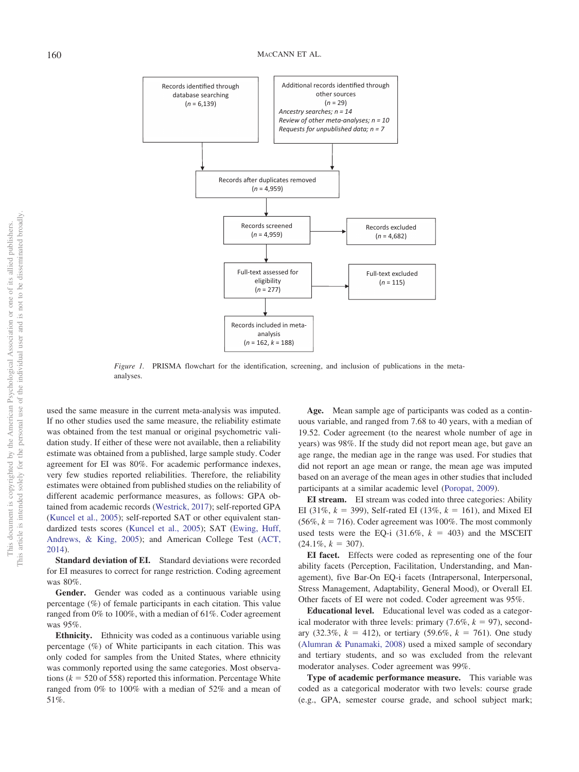

<span id="page-10-0"></span>*Figure 1.* PRISMA flowchart for the identification, screening, and inclusion of publications in the metaanalyses.

used the same measure in the current meta-analysis was imputed. If no other studies used the same measure, the reliability estimate was obtained from the test manual or original psychometric validation study. If either of these were not available, then a reliability estimate was obtained from a published, large sample study. Coder agreement for EI was 80%. For academic performance indexes, very few studies reported reliabilities. Therefore, the reliability estimates were obtained from published studies on the reliability of different academic performance measures, as follows: GPA obtained from academic records [\(Westrick, 2017\)](#page-33-6); self-reported GPA [\(Kuncel et al., 2005\)](#page-28-13); self-reported SAT or other equivalent standardized tests scores [\(Kuncel et al., 2005\)](#page-28-13); SAT [\(Ewing, Huff,](#page-26-7) [Andrews, & King, 2005\)](#page-26-7); and American College Test [\(ACT,](#page-24-1) [2014\)](#page-24-1).

**Standard deviation of EI.** Standard deviations were recorded for EI measures to correct for range restriction. Coding agreement was 80%.

**Gender.** Gender was coded as a continuous variable using percentage (%) of female participants in each citation. This value ranged from 0% to 100%, with a median of 61%. Coder agreement was 95%.

**Ethnicity.** Ethnicity was coded as a continuous variable using percentage (%) of White participants in each citation. This was only coded for samples from the United States, where ethnicity was commonly reported using the same categories. Most observations  $(k = 520$  of 558) reported this information. Percentage White ranged from 0% to 100% with a median of 52% and a mean of 51%.

**Age.** Mean sample age of participants was coded as a continuous variable, and ranged from 7.68 to 40 years, with a median of 19.52. Coder agreement (to the nearest whole number of age in years) was 98%. If the study did not report mean age, but gave an age range, the median age in the range was used. For studies that did not report an age mean or range, the mean age was imputed based on an average of the mean ages in other studies that included participants at a similar academic level [\(Poropat, 2009\)](#page-31-0).

**EI stream.** EI stream was coded into three categories: Ability EI (31%,  $k = 399$ ), Self-rated EI (13%,  $k = 161$ ), and Mixed EI  $(56\%, k = 716)$ . Coder agreement was 100%. The most commonly used tests were the EQ-i  $(31.6\%, k = 403)$  and the MSCEIT  $(24.1\%, k = 307)$ .

**EI facet.** Effects were coded as representing one of the four ability facets (Perception, Facilitation, Understanding, and Management), five Bar-On EQ-i facets (Intrapersonal, Interpersonal, Stress Management, Adaptability, General Mood), or Overall EI. Other facets of EI were not coded. Coder agreement was 95%.

**Educational level.** Educational level was coded as a categorical moderator with three levels: primary  $(7.6\%, k = 97)$ , secondary (32.3%,  $k = 412$ ), or tertiary (59.6%,  $k = 761$ ). One study [\(Alumran & Punamaki, 2008\)](#page-24-2) used a mixed sample of secondary and tertiary students, and so was excluded from the relevant moderator analyses. Coder agreement was 99%.

**Type of academic performance measure.** This variable was coded as a categorical moderator with two levels: course grade (e.g., GPA, semester course grade, and school subject mark;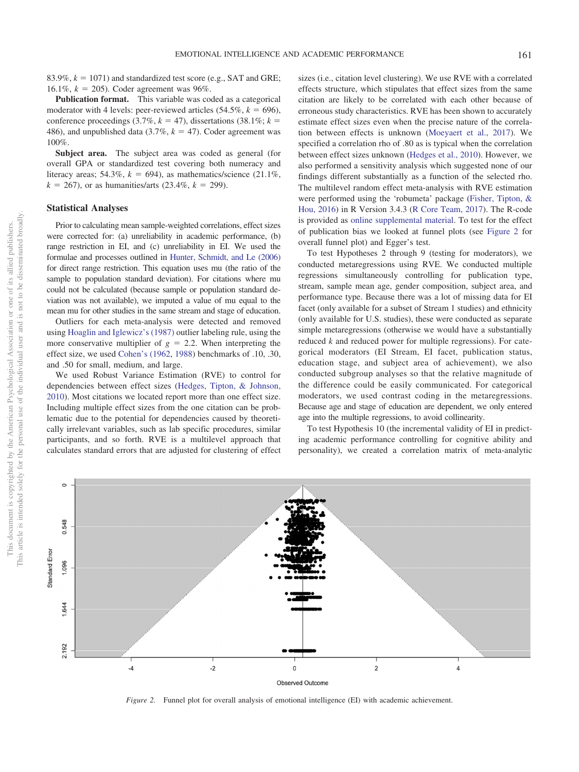83.9%,  $k = 1071$ ) and standardized test score (e.g., SAT and GRE; 16.1%,  $k = 205$ ). Coder agreement was 96%.

**Publication format.** This variable was coded as a categorical moderator with 4 levels: peer-reviewed articles  $(54.5\%, k = 696)$ , conference proceedings (3.7%,  $k = 47$ ), dissertations (38.1%;  $k =$ 486), and unpublished data  $(3.7\%, k = 47)$ . Coder agreement was 100%.

**Subject area.** The subject area was coded as general (for overall GPA or standardized test covering both numeracy and literacy areas; 54.3%,  $k = 694$ ), as mathematics/science (21.1%,  $k = 267$ , or as humanities/arts (23.4%,  $k = 299$ ).

#### **Statistical Analyses**

Prior to calculating mean sample-weighted correlations, effect sizes were corrected for: (a) unreliability in academic performance, (b) range restriction in EI, and (c) unreliability in EI. We used the formulae and processes outlined in [Hunter, Schmidt, and Le \(2006\)](#page-28-16) for direct range restriction. This equation uses mu (the ratio of the sample to population standard deviation). For citations where mu could not be calculated (because sample or population standard deviation was not available), we imputed a value of mu equal to the mean mu for other studies in the same stream and stage of education.

Outliers for each meta-analysis were detected and removed using [Hoaglin and Iglewicz's \(1987\)](#page-27-14) outlier labeling rule, using the more conservative multiplier of  $g = 2.2$ . When interpreting the effect size, we used [Cohen's \(1962,](#page-26-8) [1988\)](#page-26-9) benchmarks of .10, .30, and .50 for small, medium, and large.

We used Robust Variance Estimation (RVE) to control for dependencies between effect sizes [\(Hedges, Tipton, & Johnson,](#page-27-15) [2010\)](#page-27-15). Most citations we located report more than one effect size. Including multiple effect sizes from the one citation can be problematic due to the potential for dependencies caused by theoretically irrelevant variables, such as lab specific procedures, similar participants, and so forth. RVE is a multilevel approach that calculates standard errors that are adjusted for clustering of effect

sizes (i.e., citation level clustering). We use RVE with a correlated effects structure, which stipulates that effect sizes from the same citation are likely to be correlated with each other because of erroneous study characteristics. RVE has been shown to accurately estimate effect sizes even when the precise nature of the correlation between effects is unknown [\(Moeyaert et al., 2017\)](#page-30-13). We specified a correlation rho of .80 as is typical when the correlation between effect sizes unknown [\(Hedges et al., 2010\)](#page-27-15). However, we also performed a sensitivity analysis which suggested none of our findings different substantially as a function of the selected rho. The multilevel random effect meta-analysis with RVE estimation were performed using the 'robumeta' package [\(Fisher, Tipton, &](#page-27-16) [Hou, 2016\)](#page-27-16) in R Version 3.4.3 [\(R Core Team, 2017\)](#page-31-16). The R-code is provided as [online supplemental material.](http://dx.doi.org/10.1037/bul0000219.supp) To test for the effect of publication bias we looked at funnel plots (see [Figure 2](#page-11-0) for overall funnel plot) and Egger's test.

To test Hypotheses 2 through 9 (testing for moderators), we conducted metaregressions using RVE. We conducted multiple regressions simultaneously controlling for publication type, stream, sample mean age, gender composition, subject area, and performance type. Because there was a lot of missing data for EI facet (only available for a subset of Stream 1 studies) and ethnicity (only available for U.S. studies), these were conducted as separate simple metaregressions (otherwise we would have a substantially reduced *k* and reduced power for multiple regressions). For categorical moderators (EI Stream, EI facet, publication status, education stage, and subject area of achievement), we also conducted subgroup analyses so that the relative magnitude of the difference could be easily communicated. For categorical moderators, we used contrast coding in the metaregressions. Because age and stage of education are dependent, we only entered age into the multiple regressions, to avoid collinearity.

To test Hypothesis 10 (the incremental validity of EI in predicting academic performance controlling for cognitive ability and personality), we created a correlation matrix of meta-analytic



<span id="page-11-0"></span>*Figure 2.* Funnel plot for overall analysis of emotional intelligence (EI) with academic achievement.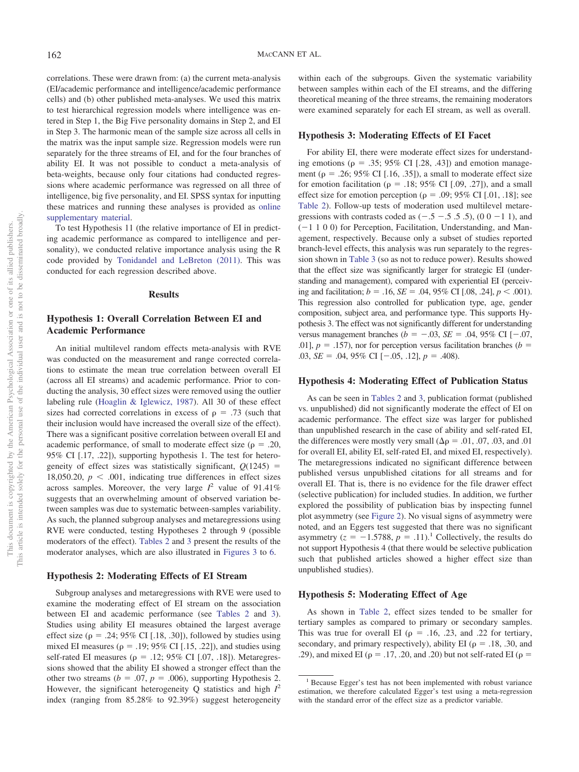correlations. These were drawn from: (a) the current meta-analysis (EI/academic performance and intelligence/academic performance cells) and (b) other published meta-analyses. We used this matrix to test hierarchical regression models where intelligence was entered in Step 1, the Big Five personality domains in Step 2, and EI in Step 3. The harmonic mean of the sample size across all cells in the matrix was the input sample size. Regression models were run separately for the three streams of EI, and for the four branches of ability EI. It was not possible to conduct a meta-analysis of beta-weights, because only four citations had conducted regressions where academic performance was regressed on all three of intelligence, big five personality, and EI. SPSS syntax for inputting these matrices and running these analyses is provided as [online](http://dx.doi.org/10.1037/bul0000219.supp) [supplementary material.](http://dx.doi.org/10.1037/bul0000219.supp)

To test Hypothesis 11 (the relative importance of EI in predicting academic performance as compared to intelligence and personality), we conducted relative importance analysis using the R code provided by [Tonidandel and LeBreton \(2011\).](#page-32-12) This was conducted for each regression described above.

#### **Results**

## **Hypothesis 1: Overall Correlation Between EI and Academic Performance**

An initial multilevel random effects meta-analysis with RVE was conducted on the measurement and range corrected correlations to estimate the mean true correlation between overall EI (across all EI streams) and academic performance. Prior to conducting the analysis, 30 effect sizes were removed using the outlier labeling rule [\(Hoaglin & Iglewicz, 1987\)](#page-27-14). All 30 of these effect sizes had corrected correlations in excess of  $\rho = .73$  (such that their inclusion would have increased the overall size of the effect). There was a significant positive correlation between overall EI and academic performance, of small to moderate effect size ( $\rho = .20$ , 95% CI [.17, .22]), supporting hypothesis 1. The test for heterogeneity of effect sizes was statistically significant,  $Q(1245)$  = 18,050.20,  $p < .001$ , indicating true differences in effect sizes across samples. Moreover, the very large  $I^2$  value of 91.41% suggests that an overwhelming amount of observed variation between samples was due to systematic between-samples variability. As such, the planned subgroup analyses and metaregressions using RVE were conducted, testing Hypotheses 2 through 9 (possible moderators of the effect). [Tables 2](#page-13-0) and [3](#page-14-0) present the results of the moderator analyses, which are also illustrated in [Figures 3](#page-15-0) to [6.](#page-18-0)

#### **Hypothesis 2: Moderating Effects of EI Stream**

Subgroup analyses and metaregressions with RVE were used to examine the moderating effect of EI stream on the association between EI and academic performance (see [Tables 2](#page-13-0) and [3\)](#page-14-0). Studies using ability EI measures obtained the largest average effect size ( $\rho = .24$ ; 95% CI [.18, .30]), followed by studies using mixed EI measures ( $\rho = .19$ ; 95% CI [.15, .22]), and studies using self-rated EI measures ( $\rho = .12$ ; 95% CI [.07, .18]). Metaregressions showed that the ability EI showed a stronger effect than the other two streams ( $b = .07$ ,  $p = .006$ ), supporting Hypothesis 2. However, the significant heterogeneity Q statistics and high *I* 2 index (ranging from 85.28% to 92.39%) suggest heterogeneity

within each of the subgroups. Given the systematic variability between samples within each of the EI streams, and the differing theoretical meaning of the three streams, the remaining moderators were examined separately for each EI stream, as well as overall.

#### **Hypothesis 3: Moderating Effects of EI Facet**

For ability EI, there were moderate effect sizes for understanding emotions ( $\rho = .35$ ; 95% CI [.28, .43]) and emotion management ( $\rho = .26$ ; 95% CI [.16, .35]), a small to moderate effect size for emotion facilitation ( $\rho = .18$ ; 95% CI [.09, .27]), and a small effect size for emotion perception ( $\rho = .09$ ; 95% CI [.01, .18]; see [Table 2\)](#page-13-0). Follow-up tests of moderation used multilevel metaregressions with contrasts coded as  $(-.5 - .5 .5 .5)$ ,  $(0 0 - 1 1)$ , and  $(-1 1 0 0)$  for Perception, Facilitation, Understanding, and Management, respectively. Because only a subset of studies reported branch-level effects, this analysis was run separately to the regression shown in [Table 3](#page-14-0) (so as not to reduce power). Results showed that the effect size was significantly larger for strategic EI (understanding and management), compared with experiential EI (perceiving and facilitation;  $b = .16$ ,  $SE = .04$ , 95% CI [.08, .24],  $p < .001$ ). This regression also controlled for publication type, age, gender composition, subject area, and performance type. This supports Hypothesis 3. The effect was not significantly different for understanding versus management branches ( $b = -.03$ ,  $SE = .04$ , 95% CI [ $-.07$ , .01],  $p = .157$ ), nor for perception versus facilitation branches ( $b =$ .03,  $SE = .04$ , 95% CI  $[-.05, .12]$ ,  $p = .408$ ).

#### **Hypothesis 4: Moderating Effect of Publication Status**

As can be seen in [Tables 2](#page-13-0) and [3,](#page-14-0) publication format (published vs. unpublished) did not significantly moderate the effect of EI on academic performance. The effect size was larger for published than unpublished research in the case of ability and self-rated EI, the differences were mostly very small ( $\Delta \rho = .01, .07, .03,$  and .01 for overall EI, ability EI, self-rated EI, and mixed EI, respectively). The metaregressions indicated no significant difference between published versus unpublished citations for all streams and for overall EI. That is, there is no evidence for the file drawer effect (selective publication) for included studies. In addition, we further explored the possibility of publication bias by inspecting funnel plot asymmetry (see [Figure 2\)](#page-11-0). No visual signs of asymmetry were noted, and an Eggers test suggested that there was no significant asymmetry  $(z = -1.5788, p = .11).$ <sup>1</sup> Collectively, the results do not support Hypothesis 4 (that there would be selective publication such that published articles showed a higher effect size than unpublished studies).

#### **Hypothesis 5: Moderating Effect of Age**

As shown in [Table 2,](#page-13-0) effect sizes tended to be smaller for tertiary samples as compared to primary or secondary samples. This was true for overall EI ( $\rho = .16, .23,$  and .22 for tertiary, secondary, and primary respectively), ability EI ( $\rho = .18, .30,$  and .29), and mixed EI ( $\rho = .17, .20,$  and .20) but not self-rated EI ( $\rho =$ 

<sup>&</sup>lt;sup>1</sup> Because Egger's test has not been implemented with robust variance estimation, we therefore calculated Egger's test using a meta-regression with the standard error of the effect size as a predictor variable.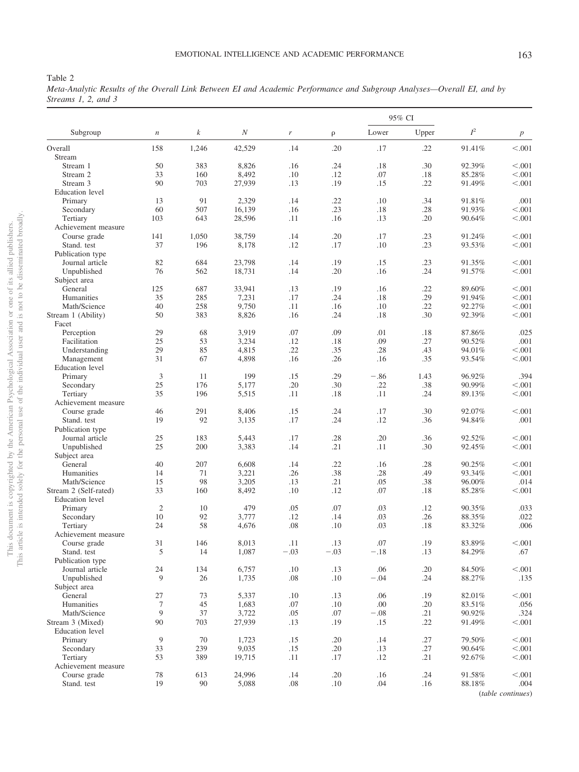<span id="page-13-0"></span>Table 2

*Meta-Analytic Results of the Overall Link Between EI and Academic Performance and Subgroup Analyses—Overall EI, and by Streams 1, 2, and 3*

|                        |                  |                  |          |                  |        |         | 95% CI |           |                   |
|------------------------|------------------|------------------|----------|------------------|--------|---------|--------|-----------|-------------------|
| Subgroup               | $\boldsymbol{n}$ | $\boldsymbol{k}$ | $\cal N$ | $\boldsymbol{r}$ | $\rho$ | Lower   | Upper  | $I^2$     | $\boldsymbol{p}$  |
| Overall                | 158              | 1,246            | 42,529   | .14              | .20    | .17     | .22    | 91.41%    | < .001            |
| Stream                 |                  |                  |          |                  |        |         |        |           |                   |
| Stream 1               | 50               | 383              | 8,826    | .16              | .24    | .18     | .30    | 92.39%    | < 0.001           |
| Stream 2               | 33               | 160              | 8,492    | .10              | .12    | .07     | .18    | 85.28%    | < .001            |
| Stream 3               | 90               | 703              | 27,939   | .13              | .19    | .15     | .22    | 91.49%    | < 0.001           |
| <b>Education</b> level |                  |                  |          |                  |        |         |        |           |                   |
| Primary                | 13               | 91               | 2,329    | .14              | .22    | .10     | .34    | 91.81%    | .001              |
| Secondary              | 60               | 507              | 16,139   | .16              | .23    | .18     | .28    | 91.93%    | < .001            |
| Tertiary               | 103              | 643              | 28,596   | .11              | .16    | .13     | .20    | 90.64%    | < 0.001           |
| Achievement measure    |                  |                  |          |                  |        |         |        |           |                   |
| Course grade           | 141              | 1,050            | 38,759   | .14              | .20    | .17     | .23    | 91.24%    | < 0.001           |
| Stand. test            | 37               | 196              | 8,178    | .12              | .17    | .10     | .23    | 93.53%    | < 0.001           |
| Publication type       |                  |                  |          |                  |        |         |        |           |                   |
| Journal article        | 82               | 684              | 23,798   | .14              | .19    | .15     | .23    | 91.35%    | < 0.001           |
| Unpublished            | 76               | 562              | 18,731   | .14              | .20    | .16     | .24    | 91.57%    | < 0.001           |
| Subject area           |                  |                  |          |                  |        |         |        |           |                   |
| General                | 125              | 687              | 33,941   | .13              | .19    | .16     | .22    | 89.60%    | < 0.001           |
| Humanities             | 35               | 285              | 7,231    | .17              | .24    | .18     | .29    | 91.94%    | < .001            |
| Math/Science           | 40               | 258              | 9,750    | .11              | .16    | .10     | .22    | 92.27%    | < 0.001           |
| Stream 1 (Ability)     | 50               | 383              | 8,826    | .16              | .24    | .18     | .30    | 92.39%    | < 0.001           |
| Facet                  |                  |                  |          |                  |        |         |        |           |                   |
| Perception             | 29               | 68               | 3,919    | .07              | .09    | .01     | .18    | 87.86%    | .025              |
| Facilitation           | 25               | 53               | 3,234    | .12              | .18    | .09     | .27    | 90.52%    | .001              |
| Understanding          | 29               | 85               | 4,815    | .22              | .35    | .28     | .43    | 94.01%    | < .001            |
| Management             | 31               | 67               | 4,898    | .16              | .26    | .16     | .35    | 93.54%    | < 0.001           |
| <b>Education</b> level |                  |                  |          |                  |        |         |        |           |                   |
| Primary                | 3                | 11               | 199      | .15              | .29    | $-.86$  | 1.43   | 96.92%    | .394              |
| Secondary              | 25               | 176              | 5,177    | .20              | .30    | .22     | .38    | 90.99%    | < .001            |
| Tertiary               | 35               | 196              | 5,515    | .11              | .18    | .11     | .24    | 89.13%    | < 0.001           |
| Achievement measure    |                  |                  |          |                  |        |         |        |           |                   |
| Course grade           | 46               | 291              | 8,406    | .15              | .24    | .17     | .30    | 92.07%    | < 0.001           |
| Stand. test            | 19               | 92               | 3,135    | .17              | .24    | .12     | .36    | 94.84%    | .001              |
| Publication type       |                  |                  |          |                  |        |         |        |           |                   |
| Journal article        | 25               | 183              | 5,443    | .17              | .28    | .20     | .36    | 92.52%    | < 0.001           |
| Unpublished            | 25               | 200              | 3,383    | .14              | .21    | .11     | .30    | 92.45%    | < 0.001           |
| Subject area           |                  |                  |          |                  |        |         |        |           |                   |
| General                | 40               | 207              | 6,608    | .14              | .22    | .16     | .28    | 90.25%    | < 0.001           |
| Humanities             | 14               | 71               | 3,221    | .26              | .38    | $.28\,$ | .49    | 93.34%    | < 0.001           |
| Math/Science           | 15               | 98               | 3,205    | .13              | .21    | .05     | .38    | 96.00%    | .014              |
| Stream 2 (Self-rated)  | 33               | 160              | 8,492    | .10              | .12    | .07     | .18    | 85.28%    | < 0.001           |
| <b>Education</b> level |                  |                  |          |                  |        |         |        |           |                   |
| Primary                | $\mathfrak{2}$   | 10               | 479      | .05              | .07    | .03     | .12    | 90.35%    | .033              |
| Secondary              | 10               | 92               | 3,777    | .12              | .14    | .03     | .26    | 88.35%    | .022              |
| Tertiary               | 24               | 58               | 4,676    | .08              | .10    | .03     | .18    | 83.32%    | .006              |
| Achievement measure    |                  |                  |          |                  |        |         |        |           |                   |
| Course grade           | 31               | 146              | 8,013    | .11              | .13    | .07     | .19    | 83.89%    | < 0.001           |
| Stand. test            | 5                | 14               | 1,087    | $-.03$           | $-.03$ | $-.18$  | .13    | $84.29\%$ | $.67\,$           |
| Publication type       |                  |                  |          |                  |        |         |        |           |                   |
| Journal article        | 24               | 134              | 6,757    | .10              | .13    | .06     | .20    | 84.50%    | < .001            |
|                        | 9                | 26               |          |                  |        |         |        |           |                   |
| Unpublished            |                  |                  | 1,735    | $.08\,$          | .10    | $-.04$  | .24    | 88.27%    | .135              |
| Subject area           |                  |                  |          |                  |        |         |        |           |                   |
| General                | 27               | 73               | 5,337    | .10              | .13    | .06     | .19    | 82.01%    | < .001            |
| Humanities             | $\tau$           | 45               | 1,683    | .07              | .10    | .00     | .20    | 83.51%    | .056              |
| Math/Science           | 9                | 37               | 3,722    | .05              | .07    | $-.08$  | .21    | 90.92%    | .324              |
| Stream 3 (Mixed)       | 90               | 703              | 27,939   | .13              | .19    | .15     | .22    | 91.49%    | < .001            |
| <b>Education</b> level |                  |                  |          |                  |        |         |        |           |                   |
| Primary                | 9                | 70               | 1,723    | .15              | .20    | .14     | .27    | 79.50%    | < .001            |
| Secondary              | 33               | 239              | 9,035    | .15              | .20    | .13     | .27    | 90.64%    | < .001            |
| Tertiary               | 53               | 389              | 19,715   | .11              | .17    | .12     | .21    | 92.67%    | < .001            |
| Achievement measure    |                  |                  |          |                  |        |         |        |           |                   |
| Course grade           | 78               | 613              | 24,996   | .14              | .20    | .16     | .24    | 91.58%    | < .001            |
| Stand. test            | 19               | $90\,$           | 5,088    | .08              | .10    | .04     | .16    | 88.18%    | .004              |
|                        |                  |                  |          |                  |        |         |        |           | (table continues) |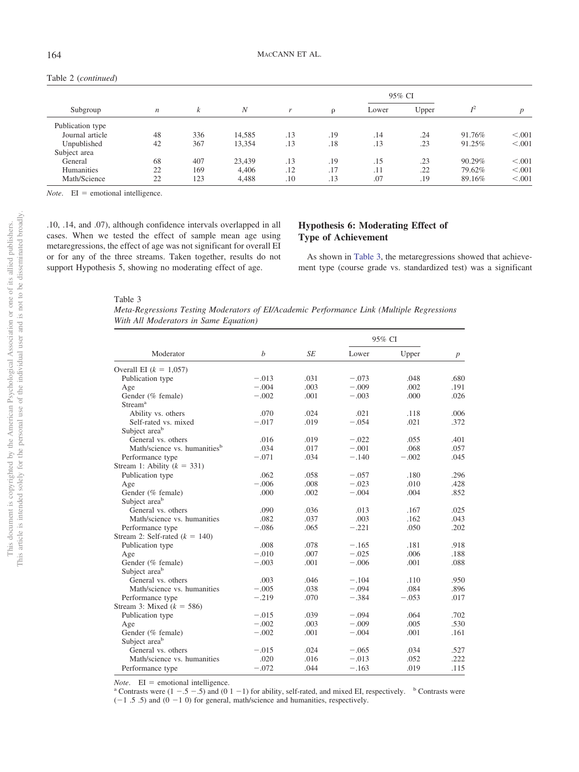|                  |                  |     |        |     |     |       | 95% CI |        |                  |
|------------------|------------------|-----|--------|-----|-----|-------|--------|--------|------------------|
| Subgroup         | $\boldsymbol{n}$ | k   | N      |     | ρ   | Lower | Upper  | $r^2$  | $\boldsymbol{D}$ |
| Publication type |                  |     |        |     |     |       |        |        |                  |
| Journal article  | 48               | 336 | 14,585 | .13 | .19 | .14   | .24    | 91.76% | < 0.001          |
| Unpublished      | 42               | 367 | 13,354 | .13 | .18 | .13   | .23    | 91.25% | < 0.001          |
| Subject area     |                  |     |        |     |     |       |        |        |                  |
| General          | 68               | 407 | 23,439 | .13 | .19 | .15   | .23    | 90.29% | < 0.001          |
| Humanities       | 22               | 169 | 4.406  | .12 | .17 | .11   | .22    | 79.62% | < 0.001          |
| Math/Science     | 22               | 123 | 4,488  | .10 | .13 | .07   | .19    | 89.16% | < 0.001          |

Table 2 (*continued*)

*Note.*  $EI =$  emotional intelligence.

.10, .14, and .07), although confidence intervals overlapped in all cases. When we tested the effect of sample mean age using metaregressions, the effect of age was not significant for overall EI or for any of the three streams. Taken together, results do not support Hypothesis 5, showing no moderating effect of age.

## **Hypothesis 6: Moderating Effect of Type of Achievement**

As shown in [Table 3,](#page-14-0) the metaregressions showed that achievement type (course grade vs. standardized test) was a significant

<span id="page-14-0"></span>Table 3

| Meta-Regressions Testing Moderators of EI/Academic Performance Link (Multiple Regressions |  |  |  |  |
|-------------------------------------------------------------------------------------------|--|--|--|--|
| With All Moderators in Same Equation)                                                     |  |  |  |  |

|                                          |                  |      |         | 95% CI  |                  |
|------------------------------------------|------------------|------|---------|---------|------------------|
| Moderator                                | $\boldsymbol{b}$ | SE   | Lower   | Upper   | $\boldsymbol{p}$ |
| Overall EI $(k = 1,057)$                 |                  |      |         |         |                  |
| Publication type                         | $-.013$          | .031 | $-.073$ | .048    | .680             |
| Age                                      | $-.004$          | .003 | $-.009$ | .002    | .191             |
| Gender (% female)                        | $-.002$          | .001 | $-.003$ | .000    | .026             |
| Stream <sup>a</sup>                      |                  |      |         |         |                  |
| Ability vs. others                       | .070             | .024 | .021    | .118    | .006             |
| Self-rated vs. mixed                     | $-.017$          | .019 | $-.054$ | .021    | .372             |
| Subject area <sup>b</sup>                |                  |      |         |         |                  |
| General vs. others                       | .016             | .019 | $-.022$ | .055    | .401             |
| Math/science vs. humanities <sup>b</sup> | .034             | .017 | $-.001$ | .068    | .057             |
| Performance type                         | $-.071$          | .034 | $-.140$ | $-.002$ | .045             |
| Stream 1: Ability $(k = 331)$            |                  |      |         |         |                  |
| Publication type                         | .062             | .058 | $-.057$ | .180    | .296             |
| Age                                      | $-.006$          | .008 | $-.023$ | .010    | .428             |
| Gender (% female)                        | .000             | .002 | $-.004$ | .004    | .852             |
| Subject area <sup>b</sup>                |                  |      |         |         |                  |
| General vs. others                       | .090             | .036 | .013    | .167    | .025             |
| Math/science vs. humanities              | .082             | .037 | .003    | .162    | .043             |
| Performance type                         | $-.086$          | .065 | $-.221$ | .050    | .202             |
| Stream 2: Self-rated $(k = 140)$         |                  |      |         |         |                  |
| Publication type                         | .008             | .078 | $-.165$ | .181    | .918             |
| Age                                      | $-.010$          | .007 | $-.025$ | .006    | .188             |
| Gender (% female)                        | $-.003$          | .001 | $-.006$ | .001    | .088             |
| Subject area <sup>b</sup>                |                  |      |         |         |                  |
| General vs. others                       | .003             | .046 | $-.104$ | .110    | .950             |
| Math/science vs. humanities              | $-.005$          | .038 | $-.094$ | .084    | .896             |
| Performance type                         | $-.219$          | .070 | $-.384$ | $-.053$ | .017             |
| Stream 3: Mixed $(k = 586)$              |                  |      |         |         |                  |
| Publication type                         | $-.015$          | .039 | $-.094$ | .064    | .702             |
| Age                                      | $-.002$          | .003 | $-.009$ | .005    | .530             |
| Gender (% female)                        | $-.002$          | .001 | $-.004$ | .001    | .161             |
| Subject area <sup>b</sup>                |                  |      |         |         |                  |
| General vs. others                       | $-.015$          | .024 | $-.065$ | .034    | .527             |
| Math/science vs. humanities              | .020             | .016 | $-.013$ | .052    | .222             |
| Performance type                         | $-.072$          | .044 | $-.163$ | .019    | .115             |

*Note.* EI = emotional intelligence.<br><sup>a</sup> Contrasts were (1 - .5 - .5) and (0 1 - 1) for ability, self-rated, and mixed EI, respectively. <sup>b</sup> Contrasts were  $(-1.5.5)$  and  $(0 -1 0)$  for general, math/science and humanities, respectively.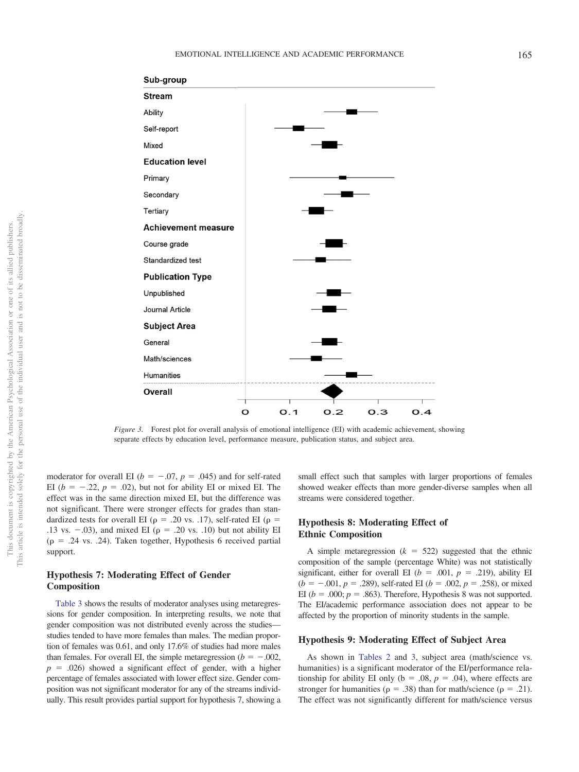



<span id="page-15-0"></span>*Figure 3.* Forest plot for overall analysis of emotional intelligence (EI) with academic achievement, showing separate effects by education level, performance measure, publication status, and subject area.

moderator for overall EI ( $b = -.07$ ,  $p = .045$ ) and for self-rated EI ( $b = -.22$ ,  $p = .02$ ), but not for ability EI or mixed EI. The effect was in the same direction mixed EI, but the difference was not significant. There were stronger effects for grades than standardized tests for overall EI ( $\rho = .20$  vs. .17), self-rated EI ( $\rho =$ .13 vs.  $-.03$ ), and mixed EI ( $\rho = .20$  vs. .10) but not ability EI  $(p = .24 \text{ vs. } .24)$ . Taken together, Hypothesis 6 received partial support.

## **Hypothesis 7: Moderating Effect of Gender Composition**

[Table 3](#page-14-0) shows the results of moderator analyses using metaregressions for gender composition. In interpreting results, we note that gender composition was not distributed evenly across the studies studies tended to have more females than males. The median proportion of females was 0.61, and only 17.6% of studies had more males than females. For overall EI, the simple metaregression ( $b = -.002$ ,  $p = .026$ ) showed a significant effect of gender, with a higher percentage of females associated with lower effect size. Gender composition was not significant moderator for any of the streams individually. This result provides partial support for hypothesis 7, showing a

small effect such that samples with larger proportions of females showed weaker effects than more gender-diverse samples when all streams were considered together.

## **Hypothesis 8: Moderating Effect of Ethnic Composition**

A simple metaregression  $(k = 522)$  suggested that the ethnic composition of the sample (percentage White) was not statistically significant, either for overall EI ( $b = .001$ ,  $p = .219$ ), ability EI  $(b = -.001, p = .289)$ , self-rated EI ( $b = .002, p = .258$ ), or mixed EI ( $b = .000$ ;  $p = .863$ ). Therefore, Hypothesis 8 was not supported. The EI/academic performance association does not appear to be affected by the proportion of minority students in the sample.

#### **Hypothesis 9: Moderating Effect of Subject Area**

As shown in [Tables 2](#page-13-0) and [3,](#page-14-0) subject area (math/science vs. humanities) is a significant moderator of the EI/performance relationship for ability EI only ( $b = .08$ ,  $p = .04$ ), where effects are stronger for humanities ( $\rho = .38$ ) than for math/science ( $\rho = .21$ ). The effect was not significantly different for math/science versus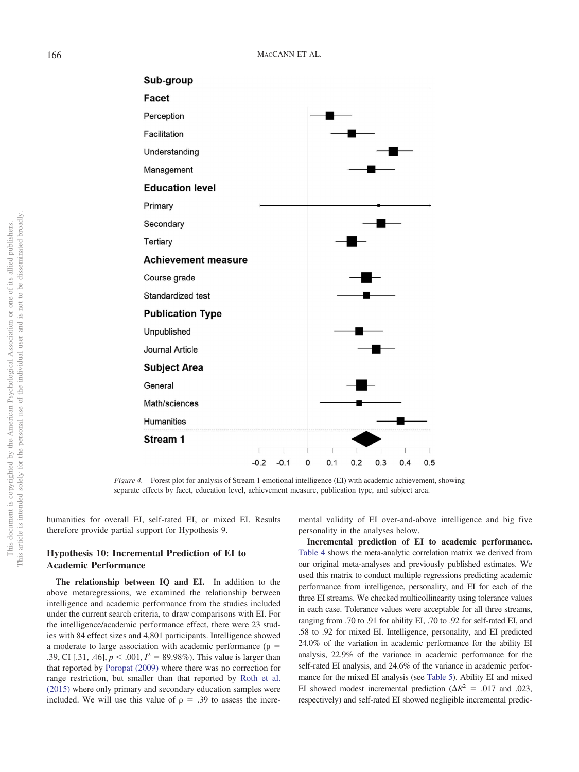

*Figure 4.* Forest plot for analysis of Stream 1 emotional intelligence (EI) with academic achievement, showing separate effects by facet, education level, achievement measure, publication type, and subject area.

humanities for overall EI, self-rated EI, or mixed EI. Results therefore provide partial support for Hypothesis 9.

## **Hypothesis 10: Incremental Prediction of EI to Academic Performance**

**The relationship between IQ and EI.** In addition to the above metaregressions, we examined the relationship between intelligence and academic performance from the studies included under the current search criteria, to draw comparisons with EI. For the intelligence/academic performance effect, there were 23 studies with 84 effect sizes and 4,801 participants. Intelligence showed a moderate to large association with academic performance ( $\rho =$ .39, CI [.31, .46],  $p < .001$ ,  $I^2 = 89.98\%$ ). This value is larger than that reported by [Poropat \(2009\)](#page-31-0) where there was no correction for range restriction, but smaller than that reported by [Roth et al.](#page-31-13) [\(2015\)](#page-31-13) where only primary and secondary education samples were included. We will use this value of  $\rho = .39$  to assess the incre-

mental validity of EI over-and-above intelligence and big five personality in the analyses below.

**Incremental prediction of EI to academic performance.** [Table 4](#page-19-0) shows the meta-analytic correlation matrix we derived from our original meta-analyses and previously published estimates. We used this matrix to conduct multiple regressions predicting academic performance from intelligence, personality, and EI for each of the three EI streams. We checked multicollinearity using tolerance values in each case. Tolerance values were acceptable for all three streams, ranging from .70 to .91 for ability EI, .70 to .92 for self-rated EI, and .58 to .92 for mixed EI. Intelligence, personality, and EI predicted 24.0% of the variation in academic performance for the ability EI analysis, 22.9% of the variance in academic performance for the self-rated EI analysis, and 24.6% of the variance in academic performance for the mixed EI analysis (see [Table 5\)](#page-20-0). Ability EI and mixed EI showed modest incremental prediction ( $\Delta R^2$  = .017 and .023, respectively) and self-rated EI showed negligible incremental predic-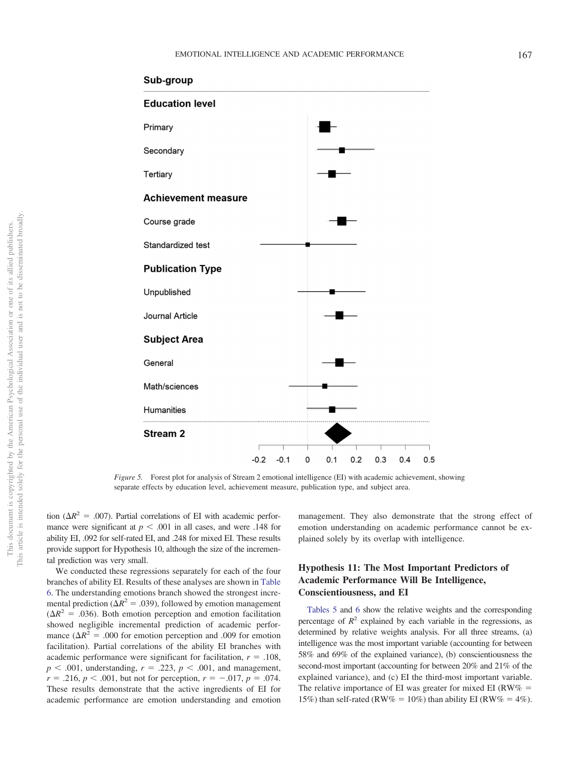

*Figure 5.* Forest plot for analysis of Stream 2 emotional intelligence (EI) with academic achievement, showing separate effects by education level, achievement measure, publication type, and subject area.

tion ( $\Delta R^2$  = .007). Partial correlations of EI with academic performance were significant at  $p < .001$  in all cases, and were .148 for ability EI, .092 for self-rated EI, and .248 for mixed EI. These results provide support for Hypothesis 10, although the size of the incremental prediction was very small.

We conducted these regressions separately for each of the four branches of ability EI. Results of these analyses are shown in [Table](#page-21-0) [6.](#page-21-0) The understanding emotions branch showed the strongest incremental prediction ( $\Delta R^2$  = .039), followed by emotion management  $(\Delta R^2 = .036)$ . Both emotion perception and emotion facilitation showed negligible incremental prediction of academic performance  $(\Delta R^2 = .000$  for emotion perception and .009 for emotion facilitation). Partial correlations of the ability EI branches with academic performance were significant for facilitation,  $r = .108$ ,  $p$  < .001, understanding,  $r = .223$ ,  $p$  < .001, and management,  $r = .216$ ,  $p < .001$ , but not for perception,  $r = -.017$ ,  $p = .074$ . These results demonstrate that the active ingredients of EI for academic performance are emotion understanding and emotion

management. They also demonstrate that the strong effect of emotion understanding on academic performance cannot be explained solely by its overlap with intelligence.

## **Hypothesis 11: The Most Important Predictors of Academic Performance Will Be Intelligence, Conscientiousness, and EI**

[Tables 5](#page-20-0) and [6](#page-21-0) show the relative weights and the corresponding percentage of  $R^2$  explained by each variable in the regressions, as determined by relative weights analysis. For all three streams, (a) intelligence was the most important variable (accounting for between 58% and 69% of the explained variance), (b) conscientiousness the second-most important (accounting for between 20% and 21% of the explained variance), and (c) EI the third-most important variable. The relative importance of EI was greater for mixed EI ( $RW\%$  = 15%) than self-rated (RW% = 10%) than ability EI (RW% = 4%).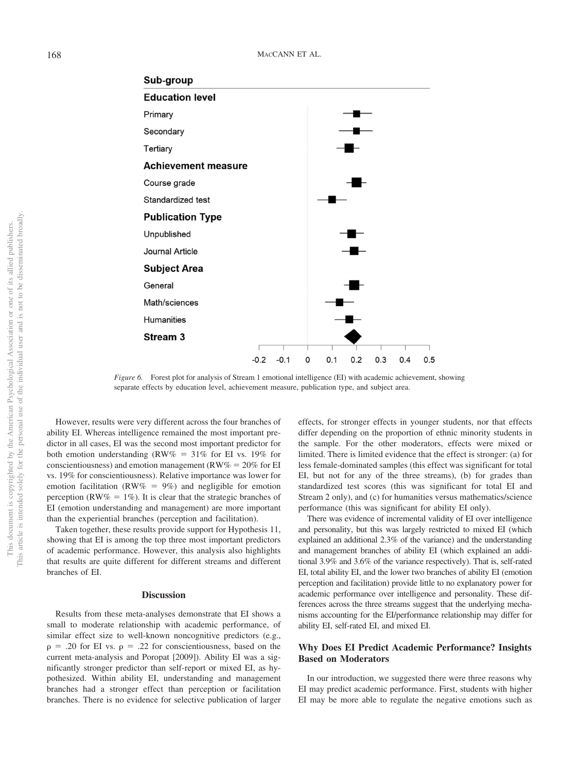

<span id="page-18-0"></span>*Figure 6.* Forest plot for analysis of Stream 1 emotional intelligence (EI) with academic achievement, showing separate effects by education level, achievement measure, publication type, and subject area.

However, results were very different across the four branches of ability EI. Whereas intelligence remained the most important predictor in all cases, EI was the second most important predictor for both emotion understanding (RW% =  $31\%$  for EI vs. 19% for conscientiousness) and emotion management (RW% =  $20\%$  for EI vs. 19% for conscientiousness). Relative importance was lower for emotion facilitation (RW% = 9%) and negligible for emotion perception (RW% = 1%). It is clear that the strategic branches of EI (emotion understanding and management) are more important than the experiential branches (perception and facilitation).

Taken together, these results provide support for Hypothesis 11, showing that EI is among the top three most important predictors of academic performance. However, this analysis also highlights that results are quite different for different streams and different branches of EI.

#### **Discussion**

Results from these meta-analyses demonstrate that EI shows a small to moderate relationship with academic performance, of similar effect size to well-known noncognitive predictors (e.g.,  $\rho = .20$  for EI vs.  $\rho = .22$  for conscientiousness, based on the current meta-analysis and Poropat [2009]). Ability EI was a significantly stronger predictor than self-report or mixed EI, as hypothesized. Within ability EI, understanding and management branches had a stronger effect than perception or facilitation branches. There is no evidence for selective publication of larger

effects, for stronger effects in younger students, nor that effects differ depending on the proportion of ethnic minority students in the sample. For the other moderators, effects were mixed or limited. There is limited evidence that the effect is stronger: (a) for less female-dominated samples (this effect was significant for total EI, but not for any of the three streams), (b) for grades than standardized test scores (this was significant for total EI and Stream 2 only), and (c) for humanities versus mathematics/science performance (this was significant for ability EI only).

There was evidence of incremental validity of EI over intelligence and personality, but this was largely restricted to mixed EI (which explained an additional 2.3% of the variance) and the understanding and management branches of ability EI (which explained an additional 3.9% and 3.6% of the variance respectively). That is, self-rated EI, total ability EI, and the lower two branches of ability EI (emotion perception and facilitation) provide little to no explanatory power for academic performance over intelligence and personality. These differences across the three streams suggest that the underlying mechanisms accounting for the EI/performance relationship may differ for ability EI, self-rated EI, and mixed EI.

## **Why Does EI Predict Academic Performance? Insights Based on Moderators**

In our introduction, we suggested there were three reasons why EI may predict academic performance. First, students with higher EI may be more able to regulate the negative emotions such as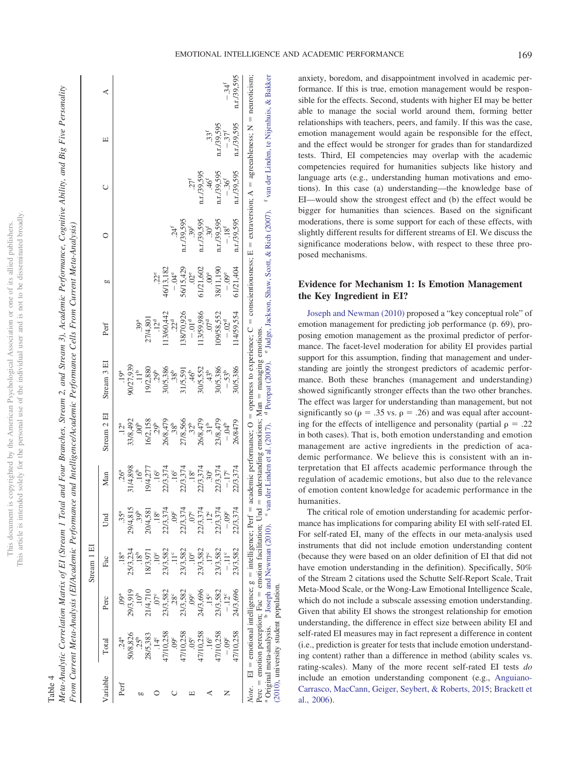| j<br>ï<br>j<br>ļ<br>ł<br>j<br>į<br>Ş<br>ï<br>Ĭ<br>Í<br>J<br>Ì                                                         | $\mathbf{C}$<br>ļ<br>I<br>í<br>j<br>š<br>J<br>¢                           |
|-----------------------------------------------------------------------------------------------------------------------|---------------------------------------------------------------------------|
| mon<br>ĭ<br>ï<br>j<br>j<br>į<br>í                                                                                     | Š<br>¢<br>ï<br>l                                                          |
| l<br>ï                                                                                                                |                                                                           |
| J<br>ł<br>j<br>J<br>į<br>j<br>ï<br>ţ<br>$\overline{ }$<br>$\overline{a}$<br>j<br>í<br>Í<br>ä<br>j<br>5<br>j<br>Ş<br>í | ł<br>Ĵ<br>ì<br>I<br>J<br>ì<br>I<br>j<br>i<br>j<br>į<br>hus<br>⋍<br>ŀ<br>ł |

# <span id="page-19-0"></span>Table 4

Meta-Analytic Correlation Matrix of EI (Stream 1 Total and Four Branches, Stream 2, and Stream 3), Academic Performance, Cognitive Ability, and Big Five Personality *ive Personality* Meta-Analytic Correlation Matrix of EI (Stream 1 Total and Four Branches, Stream 2, and Stream 3), Academic Performance, Cognitive Ability, and Big F From Current Meta-Analysis (El/Academic Performance and Intelligence/Academic Performance Cells From Current Meta-Analysis) From Current Meta-Analysis (El/Academic Performance and Intelligence/Academic Performance Cells From Current Meta-Analysis)  $\overline{1}$ 

 $\overline{1}$ 

|          |                                                                             |                  | Stream 1 EI      |                  |                               |                                         |                                                                                                                                                              |                                  |                |                                    |                                    |                                    |             |
|----------|-----------------------------------------------------------------------------|------------------|------------------|------------------|-------------------------------|-----------------------------------------|--------------------------------------------------------------------------------------------------------------------------------------------------------------|----------------------------------|----------------|------------------------------------|------------------------------------|------------------------------------|-------------|
| Variable | $\Gamma$ otal                                                               | Perc             | Fac              | Und              | Man                           | Stream 2 EI                             | Stream 3 EI                                                                                                                                                  | Perf                             | ρŪ             |                                    |                                    | щ                                  | ⋖           |
| Perf     |                                                                             |                  |                  |                  |                               |                                         |                                                                                                                                                              |                                  |                |                                    |                                    |                                    |             |
|          | 50/8,826                                                                    | 29/3,919         | 25/3,234         | 29/4.8           | 31/4,898<br>16 <sup>b</sup>   | $12^{a}$<br>33/8,492<br>00 <sup>b</sup> | $19^{a}$<br>90/27,939<br>11 <sup>b</sup>                                                                                                                     |                                  |                |                                    |                                    |                                    |             |
| ьη       | .25 <sup>b</sup>                                                            |                  | .18 <sup>b</sup> |                  |                               |                                         |                                                                                                                                                              |                                  |                |                                    |                                    |                                    |             |
|          | 28/5,383                                                                    | 21/4,71          | 18/3,97          | 20/4,581         | 19/4,277                      | 16/2,158                                | 19/2,880                                                                                                                                                     | $39^{a}$<br>$27/4,801$           |                |                                    |                                    |                                    |             |
|          | .14 $\degree$                                                               | $.07^{\circ}$    |                  | $.18^{\circ}$    | .16 <sup>c</sup>              | .29 <sup>b</sup>                        | .29 <sup>b</sup>                                                                                                                                             |                                  | $.22^{\circ}$  |                                    |                                    |                                    |             |
|          | 47/10,258                                                                   | 23/3,582         | 23/3,582         | 22/3,374         | 22/3,374                      | 26/8,479                                | 30/5,386                                                                                                                                                     | $12^{d}$<br>13/60,442            | 16/13,182      |                                    |                                    |                                    |             |
|          | .09 <sup>c</sup>                                                            | .28 <sup>c</sup> | $\frac{1}{2}$    | .09 <sup>c</sup> |                               | .38 <sup>b</sup>                        | .38 <sup>b</sup>                                                                                                                                             | .22 <sup>d</sup>                 | $-.04^{\circ}$ | .24 <sup>f</sup>                   |                                    |                                    |             |
|          | 47/10,258                                                                   | 23/3,582         | 23/3,582         | 22/3,374         | $\frac{16^{\circ}}{22/3,374}$ | 27/8,566<br>.32b                        | 31/5,591                                                                                                                                                     |                                  | 56/15,429      | n.r. / 39,595                      |                                    |                                    |             |
| ш        | $.05^{\circ}$                                                               | $.09^{\circ}$    | .10 <sup>c</sup> | $.07^{\circ}$    | $.18^{\circ}$                 |                                         | $-95$                                                                                                                                                        | $138/70,926$<br>-01 <sup>d</sup> | $.02^{\circ}$  | .39 <sup>f</sup>                   | $27^{\rm f}$                       |                                    |             |
|          | 47/10,258                                                                   | 24/3,696         | 23/3,582         |                  | 22/3,374                      | 26/8,479                                | 30/5,552                                                                                                                                                     | 13/59,986                        | 61/21,602      | n.r./39,595                        | n.r./39,595                        |                                    |             |
|          | .16 <sup>c</sup>                                                            | $.15^{\circ}$    | $.17^{\circ}$    | 22/3,374<br>12°  | .30 <sup>c</sup>              | .31 <sup>b</sup>                        | $-43^{b}$                                                                                                                                                    | .07 <sup>d</sup>                 | $.00^{\circ}$  | 30 <sup>f</sup>                    | 46 <sup>f</sup>                    | .33 <sup>f</sup>                   |             |
|          | 47/10,258                                                                   | 23/3,582         | 23/3,582         | 22/3,374         | 22/3,374                      | 23/8,479                                | 30/5,386                                                                                                                                                     | 09/58,552                        | 38/11,190      |                                    |                                    |                                    |             |
|          | $-0.09^{\circ}$                                                             | $-12^{\circ}$    | $-11^{\circ}$    | $-.09c$          | $-17^{\circ}$                 | $-04^{b}$                               | $-.53^{b}$                                                                                                                                                   | $-.02^{\rm d}$                   | $-.09^e$       | $n.r. /39,595$<br>-18 <sup>f</sup> | $n.r.739,595$<br>-.36 <sup>f</sup> | $n.r.739,595$<br>-.37 <sup>f</sup> | $-.34f$     |
|          | 47/10,258                                                                   | 24/3,696         | 23/3,582         | 74<br>22/3,37    | 22/3,374                      | 26/8479                                 | 10/5,386                                                                                                                                                     | 14/59,554                        | 61/21,404      | n.r./39,595                        | n.r./39,595                        | n.r./39,595                        | n.r./39,595 |
|          | <i>Note</i> . EI = emotional intelligence; $g =$ intelligence; Perf         |                  |                  |                  |                               |                                         | = academic performance; O = openness to experience; C = conscientiousness; E = extraversion; A = agreeableness; N = neuroticism;                             |                                  |                |                                    |                                    |                                    |             |
|          |                                                                             |                  |                  |                  |                               |                                         | Perc = emotion perception; Fac = emotion facilitation; Und = understanding emotions; Man = managing emotions.                                                |                                  |                |                                    |                                    |                                    |             |
|          | <sup>a</sup> Original meta-analysis. <sup>b</sup> Joseph and Newman (2010). |                  |                  |                  |                               |                                         | van der Linden et al. (2017). <sup>d</sup> Poropat (2009). ° Judge, Jackson, Shaw, Scott, & Rich (2007). <sup>f</sup> van der Linden, te Nijenhuis, & Bakker |                                  |                |                                    |                                    |                                    |             |
|          | (2010), university student population.                                      |                  |                  |                  |                               |                                         |                                                                                                                                                              |                                  |                |                                    |                                    |                                    |             |

anxiety, boredom, and disappointment involved in academic performance. If this is true, emotion management would be responsible for the effects. Second, students with higher EI may be better able to manage the social world around them, forming better relationships with teachers, peers, and family. If this was the case, emotion management would again be responsible for the effect, and the effect would be stronger for grades than for standardized tests. Third, EI competencies may overlap with the academic competencies required for humanities subjects like history and language arts (e.g., understanding human motivations and emotions). In this case (a) understanding—the knowledge base of EI—would show the strongest effect and (b) the effect would be bigger for humanities than sciences. Based on the significant moderations, there is some support for each of these effects, with slightly different results for different streams of EI. We discuss the significance moderations below, with respect to these three proposed mechanisms.

## **Evidence for Mechanism 1: Is Emotion Management the Key Ingredient in EI?**

[Joseph and Newman \(2010\)](#page-28-1) proposed a "key conceptual role" of emotion management for predicting job performance (p. 69), proposing emotion management as the proximal predictor of performance. The facet-level moderation for ability EI provides partial support for this assumption, finding that management and understanding are jointly the strongest predictors of academic performance. Both these branches (management and understanding) showed significantly stronger effects than the two other branches. The effect was larger for understanding than management, but not significantly so ( $\rho = .35$  vs.  $\rho = .26$ ) and was equal after accounting for the effects of intelligence and personality (partial  $\rho = .22$ in both cases). That is, both emotion understanding and emotion management are active ingredients in the prediction of academic performance. We believe this is consistent with an interpretation that EI affects academic performance through the regulation of academic emotions, but also due to the relevance of emotion content knowledge for academic performance in the humanities.

The critical role of emotion understanding for academic performance has implications for comparing ability EI with self-rated EI. For self-rated EI, many of the effects in our meta-analysis used instruments that did not include emotion understanding content (because they were based on an older definition of EI that did not have emotion understanding in the definition). Specifically, 50% of the Stream 2 citations used the Schutte Self-Report Scale, Trait Meta-Mood Scale, or the Wong-Law Emotional Intelligence Scale, which do not include a subscale assessing emotion understanding. Given that ability EI shows the strongest relationship for emotion understanding, the difference in effect size between ability EI and self-rated EI measures may in fact represent a difference in content (i.e., prediction is greater for tests that include emotion understanding content) rather than a difference in method (ability scales vs. rating-scales). Many of the more recent self-rated EI tests *do* include an emotion understanding component (e.g., [Anguiano-](#page-25-15)[Carrasco, MacCann, Geiger, Seybert, & Roberts, 2015;](#page-25-15) [Brackett et](#page-25-0) [al., 2006\)](#page-25-0).

 $\frac{1}{2}$  |  $\frac{1}{2}$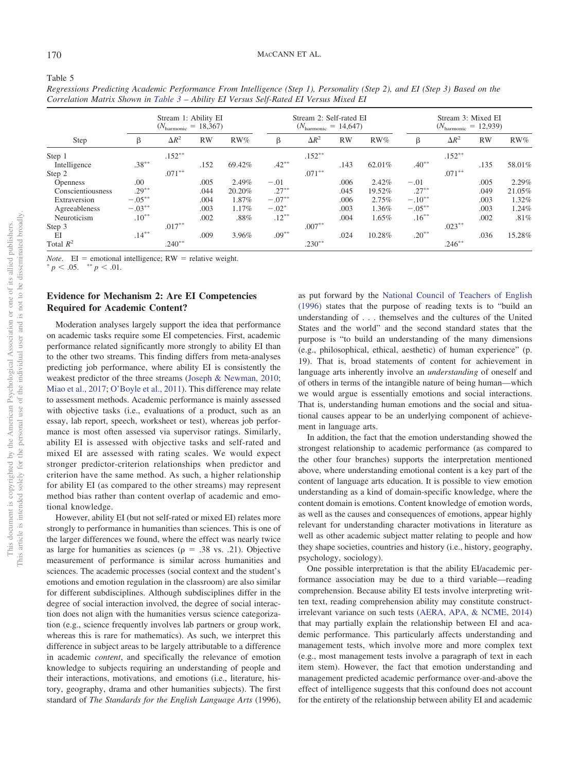<span id="page-20-0"></span>Table 5

| Correlation Matrix Shown in Table $3$ – Ability EI Versus Self-Rated EI Versus Mixed EI |           |                                                          |           |        |           |                                                             |           |        |             |                                                        |           |        |
|-----------------------------------------------------------------------------------------|-----------|----------------------------------------------------------|-----------|--------|-----------|-------------------------------------------------------------|-----------|--------|-------------|--------------------------------------------------------|-----------|--------|
|                                                                                         |           | Stream 1: Ability EI<br>$(N_{\text{harmonic}} = 18,367)$ |           |        |           | Stream 2: Self-rated EI<br>$(N_{\text{harmonic}} = 14,647)$ |           |        |             | Stream 3: Mixed EI<br>$(N_{\text{harmonic}} = 12,939)$ |           |        |
| Step                                                                                    |           | $\Delta R^2$                                             | <b>RW</b> | RW%    | ß         | $\Delta R^2$                                                | <b>RW</b> | RW%    | ß           | $\Delta R^2$                                           | <b>RW</b> | RW%    |
| Step 1                                                                                  |           | $.152***$                                                |           |        |           | $.152***$                                                   |           |        |             | $.152***$                                              |           |        |
| Intelligence                                                                            | $.38***$  |                                                          | .152      | 69.42% | $.42***$  |                                                             | .143      | 62.01% | $.40***$    |                                                        | .135      | 58.01% |
| Step 2                                                                                  |           | $.071***$                                                |           |        |           | $.071***$                                                   |           |        |             | $.071***$                                              |           |        |
| <b>Openness</b>                                                                         | .00       |                                                          | .005      | 2.49%  | $-.01$    |                                                             | .006      | 2.42%  | $-.01$      |                                                        | .005      | 2.29%  |
| Conscientiousness                                                                       | $.29***$  |                                                          | .044      | 20.20% | $.27***$  |                                                             | .045      | 19.52% | $.27***$    |                                                        | .049      | 21.05% |
| Extraversion                                                                            | $-.05***$ |                                                          | .004      | 1.87%  | $-.07***$ |                                                             | .006      | 2.75%  | $-.10^{**}$ |                                                        | .003      | 1.32%  |
| Agreeableness                                                                           | $-.03***$ |                                                          | .003      | 1.17%  | $-.02*$   |                                                             | .003      | 1.36%  | $-.05$ **   |                                                        | .003      | 1.24%  |

-

 $.230**$ 

 $.09***$ 

*Regressions Predicting Academic Performance From Intelligence (Step 1), Personality (Step 2), and EI (Step 3) Based on the*

 $.007***$ 

 $.230*$ 

\*  $.002$   $.88\%$   $.12^*$ 

\*  $.009$   $.3.96\%$   $.09^*$ 

*Note*. EI = emotional intelligence;  $RW$  = relative weight.

-

-

 $.017**$ 

 $.240**$ 

Neuroticism .10<sup>\*</sup>

 $\overline{E}I$  .14<sup>\*</sup>

Step 3

Total  $R^2$ 

## **Evidence for Mechanism 2: Are EI Competencies Required for Academic Content?**

Moderation analyses largely support the idea that performance on academic tasks require some EI competencies. First, academic performance related significantly more strongly to ability EI than to the other two streams. This finding differs from meta-analyses predicting job performance, where ability EI is consistently the weakest predictor of the three streams [\(Joseph & Newman, 2010;](#page-28-1) [Miao et al., 2017;](#page-30-6) [O'Boyle et al., 2011\)](#page-30-0). This difference may relate to assessment methods. Academic performance is mainly assessed with objective tasks (i.e., evaluations of a product, such as an essay, lab report, speech, worksheet or test), whereas job performance is most often assessed via supervisor ratings. Similarly, ability EI is assessed with objective tasks and self-rated and mixed EI are assessed with rating scales. We would expect stronger predictor-criterion relationships when predictor and criterion have the same method. As such, a higher relationship for ability EI (as compared to the other streams) may represent method bias rather than content overlap of academic and emotional knowledge.

However, ability EI (but not self-rated or mixed EI) relates more strongly to performance in humanities than sciences. This is one of the larger differences we found, where the effect was nearly twice as large for humanities as sciences ( $\rho = .38$  vs. .21). Objective measurement of performance is similar across humanities and sciences. The academic processes (social context and the student's emotions and emotion regulation in the classroom) are also similar for different subdisciplines. Although subdisciplines differ in the degree of social interaction involved, the degree of social interaction does not align with the humanities versus science categorization (e.g., science frequently involves lab partners or group work, whereas this is rare for mathematics). As such, we interpret this difference in subject areas to be largely attributable to a difference in academic *content*, and specifically the relevance of emotion knowledge to subjects requiring an understanding of people and their interactions, motivations, and emotions (i.e., literature, history, geography, drama and other humanities subjects). The first standard of *The Standards for the English Language Arts* (1996),

as put forward by the [National Council of Teachers of English](#page-30-14) [\(1996\)](#page-30-14) states that the purpose of reading texts is to "build an understanding of... themselves and the cultures of the United States and the world" and the second standard states that the purpose is "to build an understanding of the many dimensions (e.g., philosophical, ethical, aesthetic) of human experience" (p. 19). That is, broad statements of content for achievement in language arts inherently involve an *understanding* of oneself and of others in terms of the intangible nature of being human—which we would argue is essentially emotions and social interactions. That is, understanding human emotions and the social and situational causes appear to be an underlying component of achievement in language arts.

 $-.05***$ 

 $20^*$ 

 $.023***$ 

 $246^*$ 

.002 .81%

.036 15.28%

-

 $.024$   $.10.28\%$ 

\* .004  $1.65\%$  .16<sup>\*\*</sup>

In addition, the fact that the emotion understanding showed the strongest relationship to academic performance (as compared to the other four branches) supports the interpretation mentioned above, where understanding emotional content is a key part of the content of language arts education. It is possible to view emotion understanding as a kind of domain-specific knowledge, where the content domain is emotions. Content knowledge of emotion words, as well as the causes and consequences of emotions, appear highly relevant for understanding character motivations in literature as well as other academic subject matter relating to people and how they shape societies, countries and history (i.e., history, geography, psychology, sociology).

One possible interpretation is that the ability EI/academic performance association may be due to a third variable—reading comprehension. Because ability EI tests involve interpreting written text, reading comprehension ability may constitute constructirrelevant variance on such tests [\(AERA, APA, & NCME, 2014\)](#page-24-3) that may partially explain the relationship between EI and academic performance. This particularly affects understanding and management tests, which involve more and more complex text (e.g., most management tests involve a paragraph of text in each item stem). However, the fact that emotion understanding and management predicted academic performance over-and-above the effect of intelligence suggests that this confound does not account for the entirety of the relationship between ability EI and academic

 $p < .05$ .  $p < .01$ .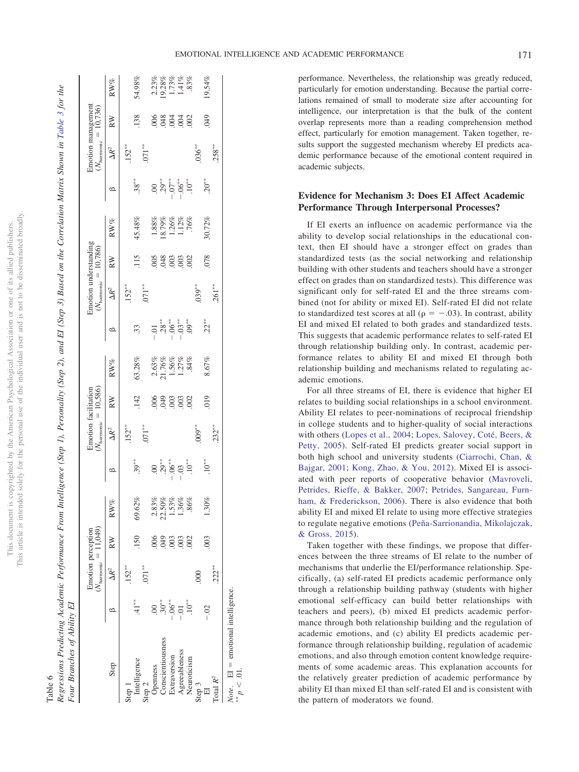Regressions Predicting Academic Performance From Intelligence (Step 1), Personality (Step 2), and EI (Step 3) Based on the Correlation Matrix Shown

Regressions Predicting Academic Performance From Intelligence (Step 1), Personality (Step 2), and EI (Step 3) Based on the Correlation Matrix Shown in Table 3 for the

*in [Table](#page-14-0) 3 for the*

<span id="page-21-0"></span>Table 6

*Four Branches of Ability EI*

Four Branches of Ability El

|                                      |                       | $(N_{\text{harmonic}} = 11,049)$<br>Emotion perception |                |                                                                         |                                | Emotion facilitation<br>( $N_{\text{harmonic}} = 10,586$ ) |                        |                                                                                |                                                                                  | Emotion understanding<br>$(N_{\text{harmonic}} = 10,786)$ |                        |                                                                                |           | Emotion management<br>( $N_{\text{harmonic}} = 10,736$ ) |       |                                                                        |
|--------------------------------------|-----------------------|--------------------------------------------------------|----------------|-------------------------------------------------------------------------|--------------------------------|------------------------------------------------------------|------------------------|--------------------------------------------------------------------------------|----------------------------------------------------------------------------------|-----------------------------------------------------------|------------------------|--------------------------------------------------------------------------------|-----------|----------------------------------------------------------|-------|------------------------------------------------------------------------|
| Step                                 | മ                     | $\Delta R^2$                                           | RW             | $\mathrm{RW}\%$                                                         | മ                              | $\Delta R^2$                                               | $\mathbb{R}\mathbb{W}$ | $\mathrm{RW}\%$                                                                | മ                                                                                | $\Delta R^2$                                              | $\mathbb{R}\mathbb{W}$ | ${\rm RW}\%$                                                                   | മ         | $\Delta R^2$                                             | RW    | ${\rm RW}\%$                                                           |
| Step 1                               |                       | $.152**$                                               |                |                                                                         |                                | $.152***$                                                  |                        |                                                                                |                                                                                  | $.152***$                                                 |                        |                                                                                |           | $.152***$                                                |       |                                                                        |
| Intelligence                         | $41**$                |                                                        | 150            | 69.62%                                                                  | $39***$                        |                                                            | .142                   | $63.28\%$                                                                      | $\ddot{3}$                                                                       |                                                           | 115                    | $45.48\%$                                                                      | $.38***$  |                                                          | .138  | 54.98%                                                                 |
| Step <sub>2</sub>                    |                       | $071***$                                               |                |                                                                         |                                | $071***$                                                   |                        |                                                                                |                                                                                  | $071***$                                                  |                        |                                                                                |           | $071***$                                                 |       |                                                                        |
| Openness                             |                       |                                                        | 006            |                                                                         |                                |                                                            |                        |                                                                                |                                                                                  |                                                           |                        |                                                                                |           |                                                          |       |                                                                        |
| Conscientiousness                    | $.30**$               |                                                        | $600$ .        | $\begin{array}{l} 2.83\% \\ 22.50\% \\ 1.53\% \\ 1.36\% \\ \end{array}$ | $9.8\%$<br>$9.9\%$<br>$10.1\%$ |                                                            | 88888                  | $\begin{array}{c} 2.63\% \\ 21.76\% \\ 1.56\% \\ 1.27\% \\ 1.27\% \end{array}$ | $-0.01$<br>$-28$ <sup>**</sup><br>$-0.05$ <sup>**</sup><br>$-0.03$ <sup>**</sup> |                                                           | 93888                  | $\begin{array}{l} 1.88\% \\ 1.26\% \\ 1.126\% \\ 1.12\% \\ \hline \end{array}$ | 8.8181819 |                                                          | 83888 | $\begin{array}{l} 2.23\% \\ 9.28\% \\ 1.73\% \\ 1.41\% \\ \end{array}$ |
| Extraversion                         | $-0.06$ $^{\ast\ast}$ |                                                        | .003           |                                                                         |                                |                                                            |                        |                                                                                |                                                                                  |                                                           |                        |                                                                                |           |                                                          |       |                                                                        |
| Agreeableness                        |                       |                                                        | .003           |                                                                         |                                |                                                            |                        |                                                                                |                                                                                  |                                                           |                        |                                                                                |           |                                                          |       |                                                                        |
| Neuroticism                          | $.10***$              |                                                        | 80             |                                                                         |                                |                                                            |                        |                                                                                |                                                                                  |                                                           |                        |                                                                                |           |                                                          |       |                                                                        |
| Step 3                               |                       |                                                        |                |                                                                         |                                | $009***$                                                   |                        |                                                                                |                                                                                  | $039***$                                                  |                        |                                                                                |           | $.036***$                                                |       |                                                                        |
| 囸                                    |                       |                                                        | $\overline{0}$ | 1.30%                                                                   | $10^{**}$                      |                                                            | 019                    | 8.67%                                                                          | $22^{**}$                                                                        |                                                           | 078                    | 30.72%                                                                         | $.20***$  |                                                          | 600   | 19.54%                                                                 |
| Total $R^2$                          |                       | $.222***$                                              |                |                                                                         |                                | $.232***$                                                  |                        |                                                                                |                                                                                  | $261***$                                                  |                        |                                                                                |           | $.258***$                                                |       |                                                                        |
| $Note.$ EI = emotional intelligence. |                       |                                                        |                |                                                                         |                                |                                                            |                        |                                                                                |                                                                                  |                                                           |                        |                                                                                |           |                                                          |       |                                                                        |

performance. Nevertheless, the relationship was greatly reduced, particularly for emotion understanding. Because the partial correlations remained of small to moderate size after accounting for intelligence, our interpretation is that the bulk of the content overlap represents more than a reading comprehension method effect, particularly for emotion management. Taken together, results support the suggested mechanism whereby EI predicts academic performance because of the emotional content required in academic subjects.

## **Evidence for Mechanism 3: Does EI Affect Academic Performance Through Interpersonal Processes?**

If EI exerts an influence on academic performance via the ability to develop social relationships in the educational context, then EI should have a stronger effect on grades than standardized tests (as the social networking and relationship building with other students and teachers should have a stronger effect on grades than on standardized tests). This difference was significant only for self-rated EI and the three streams combined (not for ability or mixed EI). Self-rated EI did not relate to standardized test scores at all ( $\rho = -.03$ ). In contrast, ability EI and mixed EI related to both grades and standardized tests. This suggests that academic performance relates to self-rated EI through relationship building only. In contrast, academic performance relates to ability EI and mixed EI through both relationship building and mechanisms related to regulating academic emotions.

For all three streams of EI, there is evidence that higher EI relates to building social relationships in a school environment. Ability EI relates to peer-nominations of reciprocal friendship in college students and to higher-quality of social interactions with others [\(Lopes et al., 2004;](#page-29-15) [Lopes, Salovey, Coté, Beers, &](#page-29-16) [Petty, 2005\)](#page-29-16). Self-rated EI predicts greater social support in both high school and university students [\(Ciarrochi, Chan, &](#page-26-10) [Bajgar, 2001;](#page-26-10) [Kong, Zhao, & You, 2012\)](#page-28-17). Mixed EI is associated with peer reports of cooperative behavior [\(Mavroveli,](#page-29-17) [Petrides, Rieffe, & Bakker, 2007;](#page-29-17) [Petrides, Sangareau, Furn](#page-31-17)[ham, & Frederickson, 2006\)](#page-31-17). There is also evidence that both ability EI and mixed EI relate to using more effective strategies to regulate negative emotions [\(Peña-Sarrionandia, Mikolajczak,](#page-31-18) [& Gross, 2015\)](#page-31-18).

Taken together with these findings, we propose that differences between the three streams of EI relate to the number of mechanisms that underlie the EI/performance relationship. Specifically, (a) self-rated EI predicts academic performance only through a relationship building pathway (students with higher emotional self-efficacy can build better relationships with teachers and peers), (b) mixed EI predicts academic performance through both relationship building and the regulation of academic emotions, and (c) ability EI predicts academic performance through relationship building, regulation of academic emotions, and also through emotion content knowledge requirements of some academic areas. This explanation accounts for the relatively greater prediction of academic performance by ability EI than mixed EI than self-rated EI and is consistent with the pattern of moderators we found.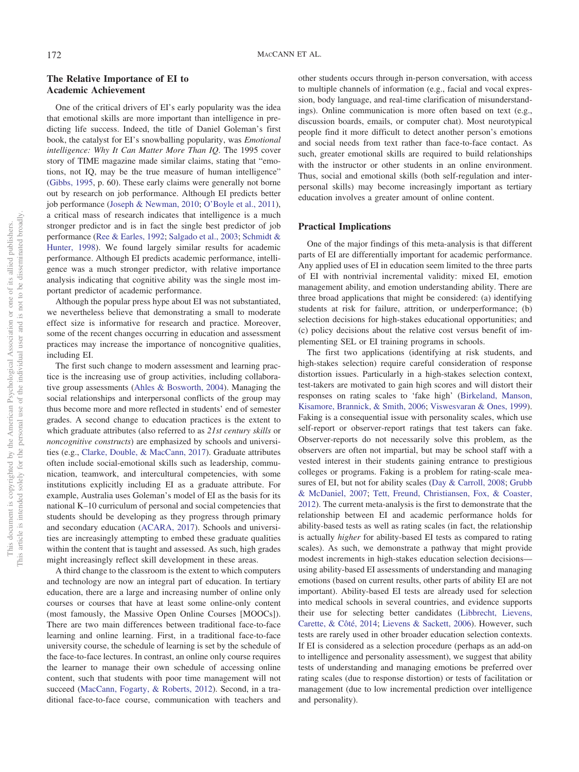## **The Relative Importance of EI to Academic Achievement**

One of the critical drivers of EI's early popularity was the idea that emotional skills are more important than intelligence in predicting life success. Indeed, the title of Daniel Goleman's first book, the catalyst for EI's snowballing popularity, was *Emotional intelligence: Why It Can Matter More Than IQ*. The 1995 cover story of TIME magazine made similar claims, stating that "emotions, not IQ, may be the true measure of human intelligence" [\(Gibbs, 1995,](#page-27-17) p. 60). These early claims were generally not borne out by research on job performance. Although EI predicts better job performance [\(Joseph & Newman, 2010;](#page-28-1) [O'Boyle et al., 2011\)](#page-30-0), a critical mass of research indicates that intelligence is a much stronger predictor and is in fact the single best predictor of job performance [\(Ree & Earles, 1992;](#page-31-19) [Salgado et al., 2003;](#page-32-14) [Schmidt &](#page-32-11) [Hunter, 1998\)](#page-32-11). We found largely similar results for academic performance. Although EI predicts academic performance, intelligence was a much stronger predictor, with relative importance analysis indicating that cognitive ability was the single most important predictor of academic performance.

Although the popular press hype about EI was not substantiated, we nevertheless believe that demonstrating a small to moderate effect size is informative for research and practice. Moreover, some of the recent changes occurring in education and assessment practices may increase the importance of noncognitive qualities, including EI.

The first such change to modern assessment and learning practice is the increasing use of group activities, including collaborative group assessments [\(Ahles & Bosworth, 2004\)](#page-24-4). Managing the social relationships and interpersonal conflicts of the group may thus become more and more reflected in students' end of semester grades. A second change to education practices is the extent to which graduate attributes (also referred to as *21st century skills* or *noncognitive constructs*) are emphasized by schools and universities (e.g., [Clarke, Double, & MacCann, 2017\)](#page-26-11). Graduate attributes often include social-emotional skills such as leadership, communication, teamwork, and intercultural competencies, with some institutions explicitly including EI as a graduate attribute. For example, Australia uses Goleman's model of EI as the basis for its national K–10 curriculum of personal and social competencies that students should be developing as they progress through primary and secondary education [\(ACARA, 2017\)](#page-24-5). Schools and universities are increasingly attempting to embed these graduate qualities within the content that is taught and assessed. As such, high grades might increasingly reflect skill development in these areas.

A third change to the classroom is the extent to which computers and technology are now an integral part of education. In tertiary education, there are a large and increasing number of online only courses or courses that have at least some online-only content (most famously, the Massive Open Online Courses [MOOCs]). There are two main differences between traditional face-to-face learning and online learning. First, in a traditional face-to-face university course, the schedule of learning is set by the schedule of the face-to-face lectures. In contrast, an online only course requires the learner to manage their own schedule of accessing online content, such that students with poor time management will not succeed [\(MacCann, Fogarty, & Roberts, 2012\)](#page-29-18). Second, in a traditional face-to-face course, communication with teachers and other students occurs through in-person conversation, with access to multiple channels of information (e.g., facial and vocal expression, body language, and real-time clarification of misunderstandings). Online communication is more often based on text (e.g., discussion boards, emails, or computer chat). Most neurotypical people find it more difficult to detect another person's emotions and social needs from text rather than face-to-face contact. As such, greater emotional skills are required to build relationships with the instructor or other students in an online environment. Thus, social and emotional skills (both self-regulation and interpersonal skills) may become increasingly important as tertiary education involves a greater amount of online content.

#### **Practical Implications**

One of the major findings of this meta-analysis is that different parts of EI are differentially important for academic performance. Any applied uses of EI in education seem limited to the three parts of EI with nontrivial incremental validity: mixed EI, emotion management ability, and emotion understanding ability. There are three broad applications that might be considered: (a) identifying students at risk for failure, attrition, or underperformance; (b) selection decisions for high-stakes educational opportunities; and (c) policy decisions about the relative cost versus benefit of implementing SEL or EI training programs in schools.

The first two applications (identifying at risk students, and high-stakes selection) require careful consideration of response distortion issues. Particularly in a high-stakes selection context, test-takers are motivated to gain high scores and will distort their responses on rating scales to 'fake high' [\(Birkeland, Manson,](#page-25-16) [Kisamore, Brannick, & Smith, 2006;](#page-25-16) [Viswesvaran & Ones, 1999\)](#page-33-7). Faking is a consequential issue with personality scales, which use self-report or observer-report ratings that test takers can fake. Observer-reports do not necessarily solve this problem, as the observers are often not impartial, but may be school staff with a vested interest in their students gaining entrance to prestigious colleges or programs. Faking is a problem for rating-scale measures of EI, but not for ability scales [\(Day & Carroll, 2008;](#page-26-12) [Grubb](#page-27-18) [& McDaniel, 2007;](#page-27-18) [Tett, Freund, Christiansen, Fox, & Coaster,](#page-32-15) [2012\)](#page-32-15). The current meta-analysis is the first to demonstrate that the relationship between EI and academic performance holds for ability-based tests as well as rating scales (in fact, the relationship is actually *higher* for ability-based EI tests as compared to rating scales). As such, we demonstrate a pathway that might provide modest increments in high-stakes education selection decisions using ability-based EI assessments of understanding and managing emotions (based on current results, other parts of ability EI are not important). Ability-based EI tests are already used for selection into medical schools in several countries, and evidence supports their use for selecting better candidates [\(Libbrecht, Lievens,](#page-29-19) [Carette, & Côté, 2014;](#page-29-19) [Lievens & Sackett, 2006\)](#page-29-20). However, such tests are rarely used in other broader education selection contexts. If EI is considered as a selection procedure (perhaps as an add-on to intelligence and personality assessment), we suggest that ability tests of understanding and managing emotions be preferred over rating scales (due to response distortion) or tests of facilitation or management (due to low incremental prediction over intelligence and personality).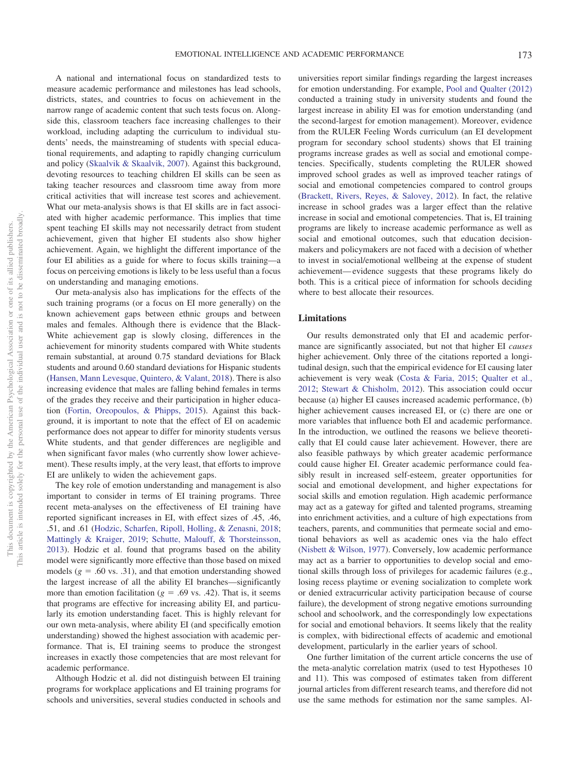A national and international focus on standardized tests to measure academic performance and milestones has lead schools, districts, states, and countries to focus on achievement in the narrow range of academic content that such tests focus on. Alongside this, classroom teachers face increasing challenges to their workload, including adapting the curriculum to individual students' needs, the mainstreaming of students with special educational requirements, and adapting to rapidly changing curriculum and policy [\(Skaalvik & Skaalvik, 2007\)](#page-32-16). Against this background, devoting resources to teaching children EI skills can be seen as taking teacher resources and classroom time away from more critical activities that will increase test scores and achievement. What our meta-analysis shows is that EI skills are in fact associated with higher academic performance. This implies that time spent teaching EI skills may not necessarily detract from student achievement, given that higher EI students also show higher achievement. Again, we highlight the different importance of the four EI abilities as a guide for where to focus skills training—a focus on perceiving emotions is likely to be less useful than a focus on understanding and managing emotions.

Our meta-analysis also has implications for the effects of the such training programs (or a focus on EI more generally) on the known achievement gaps between ethnic groups and between males and females. Although there is evidence that the Black-White achievement gap is slowly closing, differences in the achievement for minority students compared with White students remain substantial, at around 0.75 standard deviations for Black students and around 0.60 standard deviations for Hispanic students [\(Hansen, Mann Levesque, Quintero, & Valant, 2018\)](#page-27-19). There is also increasing evidence that males are falling behind females in terms of the grades they receive and their participation in higher education [\(Fortin, Oreopoulos, & Phipps, 2015\)](#page-27-20). Against this background, it is important to note that the effect of EI on academic performance does not appear to differ for minority students versus White students, and that gender differences are negligible and when significant favor males (who currently show lower achievement). These results imply, at the very least, that efforts to improve EI are unlikely to widen the achievement gaps.

The key role of emotion understanding and management is also important to consider in terms of EI training programs. Three recent meta-analyses on the effectiveness of EI training have reported significant increases in EI, with effect sizes of .45, .46, .51, and .61 [\(Hodzic, Scharfen, Ripoll, Holling, & Zenasni, 2018;](#page-27-21) [Mattingly & Kraiger, 2019;](#page-29-21) [Schutte, Malouff, & Thorsteinsson,](#page-32-17) [2013\)](#page-32-17). Hodzic et al. found that programs based on the ability model were significantly more effective than those based on mixed models  $(g = .60 \text{ vs. } .31)$ , and that emotion understanding showed the largest increase of all the ability EI branches—significantly more than emotion facilitation ( $g = .69$  vs. .42). That is, it seems that programs are effective for increasing ability EI, and particularly its emotion understanding facet. This is highly relevant for our own meta-analysis, where ability EI (and specifically emotion understanding) showed the highest association with academic performance. That is, EI training seems to produce the strongest increases in exactly those competencies that are most relevant for academic performance.

Although Hodzic et al. did not distinguish between EI training programs for workplace applications and EI training programs for schools and universities, several studies conducted in schools and

universities report similar findings regarding the largest increases for emotion understanding. For example, [Pool and Qualter \(2012\)](#page-31-20) conducted a training study in university students and found the largest increase in ability EI was for emotion understanding (and the second-largest for emotion management). Moreover, evidence from the RULER Feeling Words curriculum (an EI development program for secondary school students) shows that EI training programs increase grades as well as social and emotional competencies. Specifically, students completing the RULER showed improved school grades as well as improved teacher ratings of social and emotional competencies compared to control groups [\(Brackett, Rivers, Reyes, & Salovey, 2012\)](#page-25-17). In fact, the relative increase in school grades was a larger effect than the relative increase in social and emotional competencies. That is, EI training programs are likely to increase academic performance as well as social and emotional outcomes, such that education decisionmakers and policymakers are not faced with a decision of whether to invest in social/emotional wellbeing at the expense of student achievement— evidence suggests that these programs likely do both. This is a critical piece of information for schools deciding where to best allocate their resources.

#### **Limitations**

Our results demonstrated only that EI and academic performance are significantly associated, but not that higher EI *causes* higher achievement. Only three of the citations reported a longitudinal design, such that the empirical evidence for EI causing later achievement is very weak [\(Costa & Faria, 2015;](#page-26-13) [Qualter et al.,](#page-31-3) [2012;](#page-31-3) [Stewart & Chisholm, 2012\)](#page-32-18). This association could occur because (a) higher EI causes increased academic performance, (b) higher achievement causes increased EI, or (c) there are one or more variables that influence both EI and academic performance. In the introduction, we outlined the reasons we believe theoretically that EI could cause later achievement. However, there are also feasible pathways by which greater academic performance could cause higher EI. Greater academic performance could feasibly result in increased self-esteem, greater opportunities for social and emotional development, and higher expectations for social skills and emotion regulation. High academic performance may act as a gateway for gifted and talented programs, streaming into enrichment activities, and a culture of high expectations from teachers, parents, and communities that permeate social and emotional behaviors as well as academic ones via the halo effect [\(Nisbett & Wilson, 1977\)](#page-30-15). Conversely, low academic performance may act as a barrier to opportunities to develop social and emotional skills through loss of privileges for academic failures (e.g., losing recess playtime or evening socialization to complete work or denied extracurricular activity participation because of course failure), the development of strong negative emotions surrounding school and schoolwork, and the correspondingly low expectations for social and emotional behaviors. It seems likely that the reality is complex, with bidirectional effects of academic and emotional development, particularly in the earlier years of school.

One further limitation of the current article concerns the use of the meta-analytic correlation matrix (used to test Hypotheses 10 and 11). This was composed of estimates taken from different journal articles from different research teams, and therefore did not use the same methods for estimation nor the same samples. Al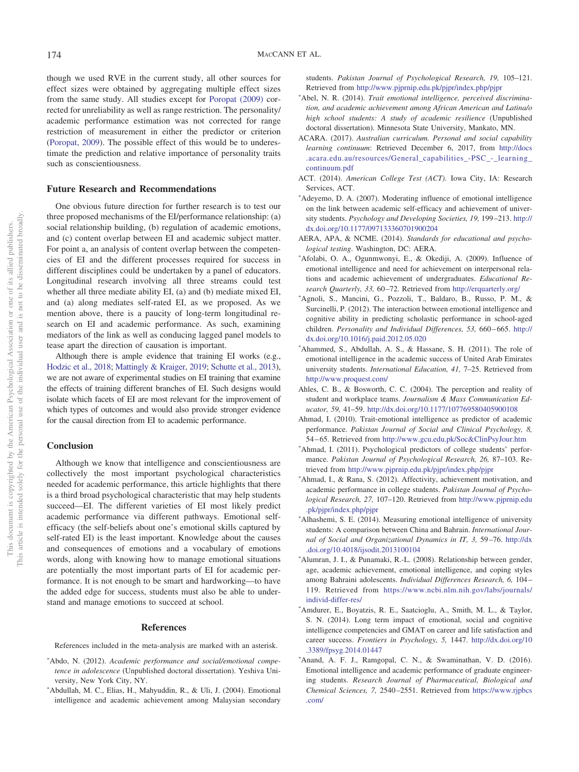though we used RVE in the current study, all other sources for effect sizes were obtained by aggregating multiple effect sizes from the same study. All studies except for [Poropat \(2009\)](#page-31-0) corrected for unreliability as well as range restriction. The personality/ academic performance estimation was not corrected for range restriction of measurement in either the predictor or criterion [\(Poropat, 2009\)](#page-31-0). The possible effect of this would be to underestimate the prediction and relative importance of personality traits such as conscientiousness.

#### **Future Research and Recommendations**

One obvious future direction for further research is to test our three proposed mechanisms of the EI/performance relationship: (a) social relationship building, (b) regulation of academic emotions, and (c) content overlap between EI and academic subject matter. For point a, an analysis of content overlap between the competencies of EI and the different processes required for success in different disciplines could be undertaken by a panel of educators. Longitudinal research involving all three streams could test whether all three mediate ability EI, (a) and (b) mediate mixed EI, and (a) along mediates self-rated EI, as we proposed. As we mention above, there is a paucity of long-term longitudinal research on EI and academic performance. As such, examining mediators of the link as well as conducing lagged panel models to tease apart the direction of causation is important.

Although there is ample evidence that training EI works (e.g., [Hodzic et al., 2018;](#page-27-21) [Mattingly & Kraiger, 2019;](#page-29-21) [Schutte et al., 2013\)](#page-32-17), we are not aware of experimental studies on EI training that examine the effects of training different branches of EI. Such designs would isolate which facets of EI are most relevant for the improvement of which types of outcomes and would also provide stronger evidence for the causal direction from EI to academic performance.

#### **Conclusion**

Although we know that intelligence and conscientiousness are collectively the most important psychological characteristics needed for academic performance, this article highlights that there is a third broad psychological characteristic that may help students succeed—EI. The different varieties of EI most likely predict academic performance via different pathways. Emotional selfefficacy (the self-beliefs about one's emotional skills captured by self-rated EI) is the least important. Knowledge about the causes and consequences of emotions and a vocabulary of emotions words, along with knowing how to manage emotional situations are potentially the most important parts of EI for academic performance. It is not enough to be smart and hardworking—to have the added edge for success, students must also be able to understand and manage emotions to succeed at school.

#### **References**

References included in the meta-analysis are marked with an asterisk.

- Abdo, N. (2012). *Academic performance and social/emotional competence in adolescence* (Unpublished doctoral dissertation). Yeshiva University, New York City, NY.
- Abdullah, M. C., Elias, H., Mahyuddin, R., & Uli, J. (2004). Emotional intelligence and academic achievement among Malaysian secondary

students. *Pakistan Journal of Psychological Research, 19,* 105–121. Retrieved from <http://www.pjprnip.edu.pk/pjpr/index.php/pjpr>

- \*Abel, N. R. (2014). *Trait emotional intelligence*, perceived discrimina*tion, and academic achievement among African American and Latina/o high school students: A study of academic resilience* (Unpublished doctoral dissertation). Minnesota State University, Mankato, MN.
- <span id="page-24-5"></span>ACARA. (2017). *Australian curriculum. Personal and social capability learning continuum*: Retrieved December 6, 2017, from [http://docs](http://docs.acara.edu.au/resources/General_capabilities_-PSC_-_learning_continuum.pdf) [.acara.edu.au/resources/General\\_capabilities\\_-PSC\\_-\\_learning\\_](http://docs.acara.edu.au/resources/General_capabilities_-PSC_-_learning_continuum.pdf) [continuum.pdf](http://docs.acara.edu.au/resources/General_capabilities_-PSC_-_learning_continuum.pdf)
- <span id="page-24-1"></span>ACT. (2014). *American College Test (ACT)*. Iowa City, IA: Research Services, ACT.
- \*Adeyemo, D. A. (2007). Moderating influence of emotional intelligence on the link between academic self-efficacy and achievement of university students. *Psychology and Developing Societies, 19,* 199 –213. [http://](http://dx.doi.org/10.1177/097133360701900204) [dx.doi.org/10.1177/097133360701900204](http://dx.doi.org/10.1177/097133360701900204)
- <span id="page-24-3"></span>AERA, APA, & NCME. (2014). *Standards for educational and psychological testing*. Washington, DC: AERA.
- Afolabi, O. A., Ogunmwonyi, E., & Okediji, A. (2009). Influence of emotional intelligence and need for achievement on interpersonal relations and academic achievement of undergraduates. *Educational Research Quarterly, 33,* 60 –72. Retrieved from <http://erquarterly.org/>
- Agnoli, S., Mancini, G., Pozzoli, T., Baldaro, B., Russo, P. M., & Surcinelli, P. (2012). The interaction between emotional intelligence and cognitive ability in predicting scholastic performance in school-aged children. Personality and Individual Differences, 53, 660-665. [http://](http://dx.doi.org/10.1016/j.paid.2012.05.020) [dx.doi.org/10.1016/j.paid.2012.05.020](http://dx.doi.org/10.1016/j.paid.2012.05.020)
- \*Ahammed, S., Abdullah, A. S., & Hassane, S. H. (2011). The role of emotional intelligence in the academic success of United Arab Emirates university students. *International Education, 41,* 7–25. Retrieved from <http://www.proquest.com/>
- <span id="page-24-4"></span>Ahles, C. B., & Bosworth, C. C. (2004). The perception and reality of student and workplace teams. *Journalism & Mass Communication Educator, 59,* 41–59. <http://dx.doi.org/10.1177/107769580405900108>
- <span id="page-24-0"></span>Ahmad, I. (2010). Trait-emotional intelligence as predictor of academic performance. *Pakistan Journal of Social and Clinical Psychology, 8,* 54 – 65. Retrieved from <http://www.gcu.edu.pk/Soc&ClinPsyJour.htm>
- Ahmad, I. (2011). Psychological predictors of college students' performance. *Pakistan Journal of Psychological Research, 26,* 87–103. Retrieved from <http://www.pjprnip.edu.pk/pjpr/index.php/pjpr>
- \*Ahmad, I., & Rana, S. (2012). Affectivity, achievement motivation, and academic performance in college students. *Pakistan Journal of Psychological Research, 27,* 107–120. Retrieved from [http://www.pjprnip.edu](http://www.pjprnip.edu.pk/pjpr/index.php/pjpr) [.pk/pjpr/index.php/pjpr](http://www.pjprnip.edu.pk/pjpr/index.php/pjpr)
- \*Alhashemi, S. E. (2014). Measuring emotional intelligence of university students: A comparison between China and Bahrain. *International Journal of Social and Organizational Dynamics in IT, 3,* 59 –76. [http://dx](http://dx.doi.org/10.4018/ijsodit.2013100104) [.doi.org/10.4018/ijsodit.2013100104](http://dx.doi.org/10.4018/ijsodit.2013100104)
- <span id="page-24-2"></span>- Alumran, J. I., & Punamaki, R.-L. (2008). Relationship between gender, age, academic achievement, emotional intelligence, and coping styles among Bahraini adolescents. *Individual Differences Research, 6,* 104 – 119. Retrieved from [https://www.ncbi.nlm.nih.gov/labs/journals/](https://www.ncbi.nlm.nih.gov/labs/journals/individ-differ-res/) [individ-differ-res/](https://www.ncbi.nlm.nih.gov/labs/journals/individ-differ-res/)
- \*Amdurer, E., Boyatzis, R. E., Saatcioglu, A., Smith, M. L., & Taylor, S. N. (2014). Long term impact of emotional, social and cognitive intelligence competencies and GMAT on career and life satisfaction and career success. *Frontiers in Psychology, 5,* 1447. [http://dx.doi.org/10](http://dx.doi.org/10.3389/fpsyg.2014.01447) [.3389/fpsyg.2014.01447](http://dx.doi.org/10.3389/fpsyg.2014.01447)
- Anand, A. F. J., Ramgopal, C. N., & Swaminathan, V. D. (2016). Emotional intelligence and academic performance of graduate engineering students. *Research Journal of Pharmaceutical, Biological and Chemical Sciences, 7,* 2540 –2551. Retrieved from [https://www.rjpbcs](https://www.rjpbcs.com/) [.com/](https://www.rjpbcs.com/)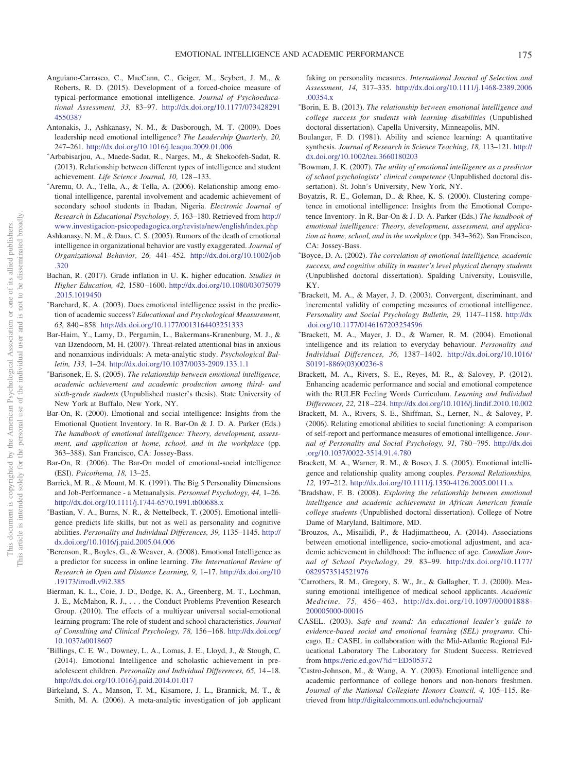- <span id="page-25-15"></span>Anguiano-Carrasco, C., MacCann, C., Geiger, M., Seybert, J. M., & Roberts, R. D. (2015). Development of a forced-choice measure of typical-performance emotional intelligence. *Journal of Psychoeducational Assessment, 33,* 83–97. [http://dx.doi.org/10.1177/073428291](http://dx.doi.org/10.1177/0734282914550387) [4550387](http://dx.doi.org/10.1177/0734282914550387)
- <span id="page-25-14"></span>Antonakis, J., Ashkanasy, N. M., & Dasborough, M. T. (2009). Does leadership need emotional intelligence? *The Leadership Quarterly, 20,* 247–261. <http://dx.doi.org/10.1016/j.leaqua.2009.01.006>
- Arbabisarjou, A., Maede-Sadat, R., Narges, M., & Shekoofeh-Sadat, R. (2013). Relationship between different types of intelligence and student achievement. *Life Science Journal, 10,* 128 –133.
- Aremu, O. A., Tella, A., & Tella, A. (2006). Relationship among emotional intelligence, parental involvement and academic achievement of secondary school students in Ibadan, Nigeria. *Electronic Journal of Research in Educational Psychology, 5,* 163–180. Retrieved from [http://](http://www.investigacion-psicopedagogica.org/revista/new/english/index.php) [www.investigacion-psicopedagogica.org/revista/new/english/index.php](http://www.investigacion-psicopedagogica.org/revista/new/english/index.php)
- <span id="page-25-3"></span>Ashkanasy, N. M., & Daus, C. S. (2005). Rumors of the death of emotional intelligence in organizational behavior are vastly exaggerated. *Journal of Organizational Behavior, 26,* 441– 452. [http://dx.doi.org/10.1002/job](http://dx.doi.org/10.1002/job.320) [.320](http://dx.doi.org/10.1002/job.320)
- <span id="page-25-12"></span>Bachan, R. (2017). Grade inflation in U. K. higher education. *Studies in Higher Education, 42,* 1580 –1600. [http://dx.doi.org/10.1080/03075079](http://dx.doi.org/10.1080/03075079.2015.1019450) [.2015.1019450](http://dx.doi.org/10.1080/03075079.2015.1019450)
- Barchard, K. A. (2003). Does emotional intelligence assist in the prediction of academic success? *Educational and Psychological Measurement, 63,* 840 – 858. <http://dx.doi.org/10.1177/0013164403251333>
- <span id="page-25-4"></span>Bar-Haim, Y., Lamy, D., Pergamin, L., Bakermans-Kranenburg, M. J., & van IJzendoorn, M. H. (2007). Threat-related attentional bias in anxious and nonanxious individuals: A meta-analytic study. *Psychological Bulletin, 133,* 1–24. <http://dx.doi.org/10.1037/0033-2909.133.1.1>
- Barisonek, E. S. (2005). *The relationship between emotional intelligence, academic achievement and academic production among third- and sixth-grade students* (Unpublished master's thesis). State University of New York at Buffalo, New York, NY.
- <span id="page-25-7"></span>Bar-On, R. (2000). Emotional and social intelligence: Insights from the Emotional Quotient Inventory. In R. Bar-On & J. D. A. Parker (Eds.) *The handbook of emotional intelligence: Theory, development, assessment, and application at home, school, and in the workplace* (pp. 363–388). San Francisco, CA: Jossey-Bass.
- <span id="page-25-2"></span>Bar-On, R. (2006). The Bar-On model of emotional-social intelligence (ESI). *Psicothema, 18,* 13–25.
- <span id="page-25-13"></span>Barrick, M. R., & Mount, M. K. (1991). The Big 5 Personality Dimensions and Job-Performance - a Metaanalysis. *Personnel Psychology, 44,* 1–26. <http://dx.doi.org/10.1111/j.1744-6570.1991.tb00688.x>
- Bastian, V. A., Burns, N. R., & Nettelbeck, T. (2005). Emotional intelligence predicts life skills, but not as well as personality and cognitive abilities. *Personality and Individual Differences, 39,* 1135–1145. [http://](http://dx.doi.org/10.1016/j.paid.2005.04.006) [dx.doi.org/10.1016/j.paid.2005.04.006](http://dx.doi.org/10.1016/j.paid.2005.04.006)
- Berenson, R., Boyles, G., & Weaver, A. (2008). Emotional Intelligence as a predictor for success in online learning. *The International Review of Research in Open and Distance Learning, 9,* 1–17. [http://dx.doi.org/10](http://dx.doi.org/10.19173/irrodl.v9i2.385) [.19173/irrodl.v9i2.385](http://dx.doi.org/10.19173/irrodl.v9i2.385)
- <span id="page-25-10"></span>Bierman, K. L., Coie, J. D., Dodge, K. A., Greenberg, M. T., Lochman, J. E., McMahon, R. J., . . . the Conduct Problems Prevention Research Group. (2010). The effects of a multiyear universal social-emotional learning program: The role of student and school characteristics. *Journal of Consulting and Clinical Psychology, 78,* 156 –168. [http://dx.doi.org/](http://dx.doi.org/10.1037/a0018607) [10.1037/a0018607](http://dx.doi.org/10.1037/a0018607)
- Billings, C. E. W., Downey, L. A., Lomas, J. E., Lloyd, J., & Stough, C. (2014). Emotional Intelligence and scholastic achievement in preadolescent children. *Personality and Individual Differences, 65,* 14 –18. <http://dx.doi.org/10.1016/j.paid.2014.01.017>
- <span id="page-25-16"></span>Birkeland, S. A., Manson, T. M., Kisamore, J. L., Brannick, M. T., & Smith, M. A. (2006). A meta-analytic investigation of job applicant

faking on personality measures. *International Journal of Selection and Assessment, 14,* 317–335. [http://dx.doi.org/10.1111/j.1468-2389.2006](http://dx.doi.org/10.1111/j.1468-2389.2006.00354.x) [.00354.x](http://dx.doi.org/10.1111/j.1468-2389.2006.00354.x)

- Borin, E. B. (2013). *The relationship between emotional intelligence and college success for students with learning disabilities* (Unpublished doctoral dissertation). Capella University, Minneapolis, MN.
- <span id="page-25-11"></span>Boulanger, F. D. (1981). Ability and science learning: A quantitative synthesis. *Journal of Research in Science Teaching, 18,* 113–121. [http://](http://dx.doi.org/10.1002/tea.3660180203) [dx.doi.org/10.1002/tea.3660180203](http://dx.doi.org/10.1002/tea.3660180203)
- Bowman, J. K. (2007). *The utility of emotional intelligence as a predictor of school psychologists' clinical competence* (Unpublished doctoral dissertation). St. John's University, New York, NY.
- <span id="page-25-5"></span>Boyatzis, R. E., Goleman, D., & Rhee, K. S. (2000). Clustering competence in emotional intelligence: Insights from the Emotional Competence Inventory. In R. Bar-On & J. D. A. Parker (Eds.) *The handbook of emotional intelligence: Theory, development, assessment, and application at home, school, and in the workplace* (pp. 343–362). San Francisco, CA: Jossey-Bass.
- Boyce, D. A. (2002). *The correlation of emotional intelligence, academic success, and cognitive ability in master's level physical therapy students* (Unpublished doctoral dissertation). Spalding University, Louisville, KY.
- <span id="page-25-1"></span>- Brackett, M. A., & Mayer, J. D. (2003). Convergent, discriminant, and incremental validity of competing measures of emotional intelligence. *Personality and Social Psychology Bulletin, 29,* 1147–1158. [http://dx](http://dx.doi.org/10.1177/0146167203254596) [.doi.org/10.1177/0146167203254596](http://dx.doi.org/10.1177/0146167203254596)
- <span id="page-25-8"></span>- Brackett, M. A., Mayer, J. D., & Warner, R. M. (2004). Emotional intelligence and its relation to everyday behaviour. *Personality and Individual Differences, 36,* 1387–1402. [http://dx.doi.org/10.1016/](http://dx.doi.org/10.1016/S0191-8869%2803%2900236-8) [S0191-8869\(03\)00236-8](http://dx.doi.org/10.1016/S0191-8869%2803%2900236-8)
- <span id="page-25-17"></span>Brackett, M. A., Rivers, S. E., Reyes, M. R., & Salovey, P. (2012). Enhancing academic performance and social and emotional competence with the RULER Feeling Words Curriculum. *Learning and Individual Differences, 22,* 218 –224. <http://dx.doi.org/10.1016/j.lindif.2010.10.002>
- <span id="page-25-0"></span>Brackett, M. A., Rivers, S. E., Shiffman, S., Lerner, N., & Salovey, P. (2006). Relating emotional abilities to social functioning: A comparison of self-report and performance measures of emotional intelligence. *Journal of Personality and Social Psychology, 91,* 780 –795. [http://dx.doi](http://dx.doi.org/10.1037/0022-3514.91.4.780) [.org/10.1037/0022-3514.91.4.780](http://dx.doi.org/10.1037/0022-3514.91.4.780)
- <span id="page-25-9"></span>Brackett, M. A., Warner, R. M., & Bosco, J. S. (2005). Emotional intelligence and relationship quality among couples. *Personal Relationships, 12,* 197–212. <http://dx.doi.org/10.1111/j.1350-4126.2005.00111.x>
- Bradshaw, F. B. (2008). *Exploring the relationship between emotional intelligence and academic achievement in African American female college students* (Unpublished doctoral dissertation). College of Notre Dame of Maryland, Baltimore, MD.
- Brouzos, A., Misailidi, P., & Hadjimattheou, A. (2014). Associations between emotional intelligence, socio-emotional adjustment, and academic achievement in childhood: The influence of age. *Canadian Journal of School Psychology, 29,* 83–99. [http://dx.doi.org/10.1177/](http://dx.doi.org/10.1177/0829573514521976) [0829573514521976](http://dx.doi.org/10.1177/0829573514521976)
- Carrothers, R. M., Gregory, S. W., Jr., & Gallagher, T. J. (2000). Measuring emotional intelligence of medical school applicants. *Academic Medicine, 75,* 456 – 463. [http://dx.doi.org/10.1097/00001888-](http://dx.doi.org/10.1097/00001888-200005000-00016) [200005000-00016](http://dx.doi.org/10.1097/00001888-200005000-00016)
- <span id="page-25-6"></span>CASEL. (2003). *Safe and sound: An educational leader's guide to evidence-based social and emotional learning (SEL) programs*. Chicago, IL: CASEL in collaboration with the Mid-Atlantic Regional Educational Laboratory The Laboratory for Student Success. Retrieved from [https://eric.ed.gov/?id](https://eric.ed.gov/?id=ED505372)=ED505372
- Castro-Johnson, M., & Wang, A. Y. (2003). Emotional intelligence and academic performance of college honors and non-honors freshmen. *Journal of the National Collegiate Honors Council, 4,* 105–115. Retrieved from <http://digitalcommons.unl.edu/nchcjournal/>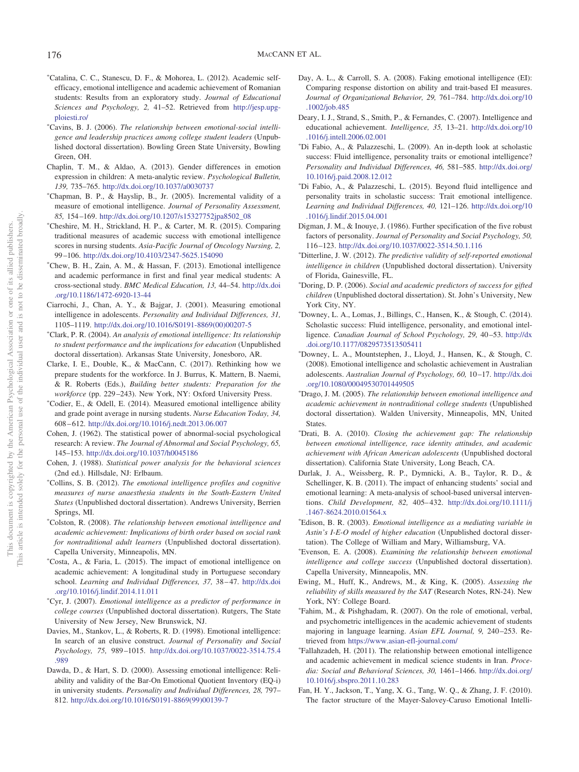- -Catalina, C. C., Stanescu, D. F., & Mohorea, L. (2012). Academic selfefficacy, emotional intelligence and academic achievement of Romanian students: Results from an exploratory study. *Journal of Educational Sciences and Psychology, 2,* 41–52. Retrieved from [http://jesp.upg](http://jesp.upg-ploiesti.ro/)[ploiesti.ro/](http://jesp.upg-ploiesti.ro/)
- Cavins, B. J. (2006). *The relationship between emotional-social intelligence and leadership practices among college student leaders* (Unpublished doctoral dissertation). Bowling Green State University, Bowling Green, OH.
- <span id="page-26-4"></span>Chaplin, T. M., & Aldao, A. (2013). Gender differences in emotion expression in children: A meta-analytic review. *Psychological Bulletin, 139,* 735–765. <http://dx.doi.org/10.1037/a0030737>
- Chapman, B. P., & Hayslip, B., Jr. (2005). Incremental validity of a measure of emotional intelligence. *Journal of Personality Assessment, 85,* 154 –169. [http://dx.doi.org/10.1207/s15327752jpa8502\\_08](http://dx.doi.org/10.1207/s15327752jpa8502_08)
- Cheshire, M. H., Strickland, H. P., & Carter, M. R. (2015). Comparing traditional measures of academic success with emotional intelligence scores in nursing students. *Asia-Pacific Journal of Oncology Nursing, 2,* 99 –106. <http://dx.doi.org/10.4103/2347-5625.154090>
- Chew, B. H., Zain, A. M., & Hassan, F. (2013). Emotional intelligence and academic performance in first and final year medical students: A cross-sectional study. *BMC Medical Education, 13,* 44–54. [http://dx.doi](http://dx.doi.org/10.1186/1472-6920-13-44) [.org/10.1186/1472-6920-13-44](http://dx.doi.org/10.1186/1472-6920-13-44)
- <span id="page-26-10"></span>Ciarrochi, J., Chan, A. Y., & Bajgar, J. (2001). Measuring emotional intelligence in adolescents. *Personality and Individual Differences, 31,* 1105–1119. [http://dx.doi.org/10.1016/S0191-8869\(00\)00207-5](http://dx.doi.org/10.1016/S0191-8869%2800%2900207-5)
- Clark, P. R. (2004). *An analysis of emotional intelligence: Its relationship to student performance and the implications for education* (Unpublished doctoral dissertation). Arkansas State University, Jonesboro, AR.
- <span id="page-26-11"></span>Clarke, I. E., Double, K., & MacCann, C. (2017). Rethinking how we prepare students for the workforce. In J. Burrus, K. Mattern, B. Naemi, & R. Roberts (Eds.), *Building better students: Preparation for the workforce* (pp. 229 –243). New York, NY: Oxford University Press.
- Codier, E., & Odell, E. (2014). Measured emotional intelligence ability and grade point average in nursing students. *Nurse Education Today, 34,* 608 – 612. <http://dx.doi.org/10.1016/j.nedt.2013.06.007>
- <span id="page-26-8"></span>Cohen, J. (1962). The statistical power of abnormal-social psychological research: A review. *The Journal of Abnormal and Social Psychology, 65,* 145–153. <http://dx.doi.org/10.1037/h0045186>
- <span id="page-26-9"></span>Cohen, J. (1988). *Statistical power analysis for the behavioral sciences* (2nd ed.). Hillsdale, NJ: Erlbaum.
- Collins, S. B. (2012). *The emotional intelligence profiles and cognitive measures of nurse anaesthesia students in the South-Eastern United States* (Unpublished doctoral dissertation). Andrews University, Berrien Springs, MI.
- Colston, R. (2008). *The relationship between emotional intelligence and academic achievement: Implications of birth order based on social rank for nontraditional adult learners* (Unpublished doctoral dissertation). Capella University, Minneapolis, MN.
- <span id="page-26-13"></span>- Costa, A., & Faria, L. (2015). The impact of emotional intelligence on academic achievement: A longitudinal study in Portuguese secondary school. *Learning and Individual Differences, 37,* 38 – 47. [http://dx.doi](http://dx.doi.org/10.1016/j.lindif.2014.11.011) [.org/10.1016/j.lindif.2014.11.011](http://dx.doi.org/10.1016/j.lindif.2014.11.011)
- Cyr, J. (2007). *Emotional intelligence as a predictor of performance in college courses* (Unpublished doctoral dissertation). Rutgers, The State University of New Jersey, New Brunswick, NJ.
- <span id="page-26-1"></span>Davies, M., Stankov, L., & Roberts, R. D. (1998). Emotional intelligence: In search of an elusive construct. *Journal of Personality and Social Psychology, 75,* 989 –1015. [http://dx.doi.org/10.1037/0022-3514.75.4](http://dx.doi.org/10.1037/0022-3514.75.4.989) [.989](http://dx.doi.org/10.1037/0022-3514.75.4.989)
- <span id="page-26-3"></span>Dawda, D., & Hart, S. D. (2000). Assessing emotional intelligence: Reliability and validity of the Bar-On Emotional Quotient Inventory (EQ-i) in university students. *Personality and Individual Differences, 28,* 797– 812. [http://dx.doi.org/10.1016/S0191-8869\(99\)00139-7](http://dx.doi.org/10.1016/S0191-8869%2899%2900139-7)
- <span id="page-26-12"></span>Day, A. L., & Carroll, S. A. (2008). Faking emotional intelligence (EI): Comparing response distortion on ability and trait-based EI measures. *Journal of Organizational Behavior, 29,* 761–784. [http://dx.doi.org/10](http://dx.doi.org/10.1002/job.485) [.1002/job.485](http://dx.doi.org/10.1002/job.485)
- <span id="page-26-5"></span>Deary, I. J., Strand, S., Smith, P., & Fernandes, C. (2007). Intelligence and educational achievement. *Intelligence, 35,* 13–21. [http://dx.doi.org/10](http://dx.doi.org/10.1016/j.intell.2006.02.001) [.1016/j.intell.2006.02.001](http://dx.doi.org/10.1016/j.intell.2006.02.001)
- Di Fabio, A., & Palazzeschi, L. (2009). An in-depth look at scholastic success: Fluid intelligence, personality traits or emotional intelligence? *Personality and Individual Differences, 46,* 581–585. [http://dx.doi.org/](http://dx.doi.org/10.1016/j.paid.2008.12.012) [10.1016/j.paid.2008.12.012](http://dx.doi.org/10.1016/j.paid.2008.12.012)
- Di Fabio, A., & Palazzeschi, L. (2015). Beyond fluid intelligence and personality traits in scholastic success: Trait emotional intelligence. *Learning and Individual Differences, 40,* 121–126. [http://dx.doi.org/10](http://dx.doi.org/10.1016/j.lindif.2015.04.001) [.1016/j.lindif.2015.04.001](http://dx.doi.org/10.1016/j.lindif.2015.04.001)
- <span id="page-26-6"></span>Digman, J. M., & Inouye, J. (1986). Further specification of the five robust factors of personality. *Journal of Personality and Social Psychology, 50,* 116 –123. <http://dx.doi.org/10.1037/0022-3514.50.1.116>
- Ditterline, J. W. (2012). *The predictive validity of self-reported emotional intelligence in children* (Unpublished doctoral dissertation). University of Florida, Gainesville, FL.
- Doring, D. P. (2006). *Social and academic predictors of success for gifted children* (Unpublished doctoral dissertation). St. John's University, New York City, NY.
- Downey, L. A., Lomas, J., Billings, C., Hansen, K., & Stough, C. (2014). Scholastic success: Fluid intelligence, personality, and emotional intelligence. *Canadian Journal of School Psychology*, 29, 40–53. [http://dx](http://dx.doi.org/10.1177/0829573513505411) [.doi.org/10.1177/0829573513505411](http://dx.doi.org/10.1177/0829573513505411)
- Downey, L. A., Mountstephen, J., Lloyd, J., Hansen, K., & Stough, C. (2008). Emotional intelligence and scholastic achievement in Australian adolescents. *Australian Journal of Psychology, 60,* 10 –17. [http://dx.doi](http://dx.doi.org/10.1080/00049530701449505) [.org/10.1080/00049530701449505](http://dx.doi.org/10.1080/00049530701449505)
- Drago, J. M. (2005). *The relationship between emotional intelligence and academic achievement in nontraditional college students* (Unpublished doctoral dissertation). Walden University, Minneapolis, MN, United States.
- Drati, B. A. (2010). *Closing the achievement gap: The relationship between emotional intelligence, race identity attitudes, and academic achievement with African American adolescents* (Unpublished doctoral dissertation). California State University, Long Beach, CA.
- <span id="page-26-0"></span>Durlak, J. A., Weissberg, R. P., Dymnicki, A. B., Taylor, R. D., & Schellinger, K. B. (2011). The impact of enhancing students' social and emotional learning: A meta-analysis of school-based universal interventions. *Child Development, 82,* 405– 432. [http://dx.doi.org/10.1111/j](http://dx.doi.org/10.1111/j.1467-8624.2010.01564.x) [.1467-8624.2010.01564.x](http://dx.doi.org/10.1111/j.1467-8624.2010.01564.x)
- Edison, B. R. (2003). *Emotional intelligence as a mediating variable in Astin's I-E-O model of higher education* (Unpublished doctoral dissertation). The College of William and Mary, Williamsburg, VA.
- Evenson, E. A. (2008). *Examining the relationship between emotional intelligence and college success* (Unpublished doctoral dissertation). Capella University, Minneapolis, MN.
- <span id="page-26-7"></span>Ewing, M., Huff, K., Andrews, M., & King, K. (2005). *Assessing the reliability of skills measured by the SAT* (Research Notes, RN-24). New York, NY: College Board.
- Fahim, M., & Pishghadam, R. (2007). On the role of emotional, verbal, and psychometric intelligences in the academic achievement of students majoring in language learning. *Asian EFL Journal, 9,* 240 –253. Retrieved from <https://www.asian-efl-journal.com/>
- Fallahzadeh, H. (2011). The relationship between emotional intelligence and academic achievement in medical science students in Iran. *Procedia: Social and Behavioral Sciences, 30,* 1461–1466. [http://dx.doi.org/](http://dx.doi.org/10.1016/j.sbspro.2011.10.283) [10.1016/j.sbspro.2011.10.283](http://dx.doi.org/10.1016/j.sbspro.2011.10.283)
- <span id="page-26-2"></span>Fan, H. Y., Jackson, T., Yang, X. G., Tang, W. Q., & Zhang, J. F. (2010). The factor structure of the Mayer-Salovey-Caruso Emotional Intelli-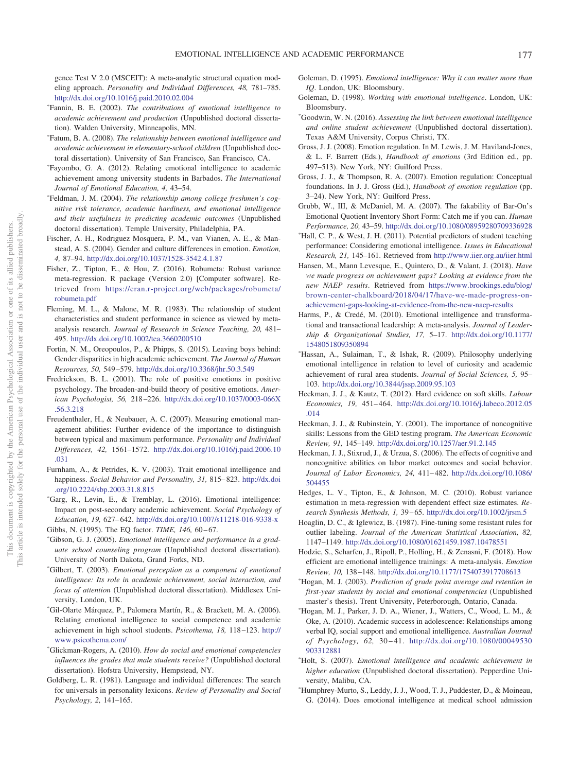gence Test V 2.0 (MSCEIT): A meta-analytic structural equation modeling approach. *Personality and Individual Differences, 48,* 781–785. <http://dx.doi.org/10.1016/j.paid.2010.02.004>

- Fannin, B. E. (2002). *The contributions of emotional intelligence to academic achievement and production* (Unpublished doctoral dissertation). Walden University, Minneapolis, MN.
- Fatum, B. A. (2008). *The relationship between emotional intelligence and academic achievement in elementary-school children* (Unpublished doctoral dissertation). University of San Francisco, San Francisco, CA.
- Fayombo, G. A. (2012). Relating emotional intelligence to academic achievement among university students in Barbados. *The International Journal of Emotional Education, 4,* 43–54.
- Feldman, J. M. (2004). *The relationship among college freshmen's cognitive risk tolerance, academic hardiness, and emotional intelligence and their usefulness in predicting academic outcomes* (Unpublished doctoral dissertation). Temple University, Philadelphia, PA.
- <span id="page-27-7"></span>Fischer, A. H., Rodriguez Mosquera, P. M., van Vianen, A. E., & Manstead, A. S. (2004). Gender and culture differences in emotion. *Emotion, 4,* 87–94. <http://dx.doi.org/10.1037/1528-3542.4.1.87>
- <span id="page-27-16"></span>Fisher, Z., Tipton, E., & Hou, Z. (2016). Robumeta: Robust variance meta-regression. R package (Version 2.0) [Computer software]. Retrieved from [https://cran.r-project.org/web/packages/robumeta/](https://cran.r-project.org/web/packages/robumeta/robumeta.pdf) [robumeta.pdf](https://cran.r-project.org/web/packages/robumeta/robumeta.pdf)
- <span id="page-27-8"></span>Fleming, M. L., & Malone, M. R. (1983). The relationship of student characteristics and student performance in science as viewed by metaanalysis research. *Journal of Research in Science Teaching, 20,* 481– 495. <http://dx.doi.org/10.1002/tea.3660200510>
- <span id="page-27-20"></span>Fortin, N. M., Oreopoulos, P., & Phipps, S. (2015). Leaving boys behind: Gender disparities in high academic achievement. *The Journal of Human Resources, 50,* 549 –579. <http://dx.doi.org/10.3368/jhr.50.3.549>
- <span id="page-27-2"></span>Fredrickson, B. L. (2001). The role of positive emotions in positive psychology. The broaden-and-build theory of positive emotions. *American Psychologist, 56,* 218 –226. [http://dx.doi.org/10.1037/0003-066X](http://dx.doi.org/10.1037/0003-066X.56.3.218) [.56.3.218](http://dx.doi.org/10.1037/0003-066X.56.3.218)
- <span id="page-27-1"></span>Freudenthaler, H., & Neubauer, A. C. (2007). Measuring emotional management abilities: Further evidence of the importance to distinguish between typical and maximum performance. *Personality and Individual Differences, 42,* 1561–1572. [http://dx.doi.org/10.1016/j.paid.2006.10](http://dx.doi.org/10.1016/j.paid.2006.10.031) [.031](http://dx.doi.org/10.1016/j.paid.2006.10.031)
- <span id="page-27-0"></span>Furnham, A., & Petrides, K. V. (2003). Trait emotional intelligence and happiness. *Social Behavior and Personality, 31,* 815– 823. [http://dx.doi](http://dx.doi.org/10.2224/sbp.2003.31.8.815) [.org/10.2224/sbp.2003.31.8.815](http://dx.doi.org/10.2224/sbp.2003.31.8.815)
- Garg, R., Levin, E., & Tremblay, L. (2016). Emotional intelligence: Impact on post-secondary academic achievement. *Social Psychology of Education, 19,* 627– 642. <http://dx.doi.org/10.1007/s11218-016-9338-x>
- <span id="page-27-17"></span>Gibbs, N. (1995). The EQ factor. *TIME*, 146, 60-67.
- Gibson, G. J. (2005). *Emotional intelligence and performance in a graduate school counseling program* (Unpublished doctoral dissertation). University of North Dakota, Grand Forks, ND.
- Gilbert, T. (2003). *Emotional perception as a component of emotional intelligence: Its role in academic achievement, social interaction, and focus of attention* (Unpublished doctoral dissertation). Middlesex University, London, UK.
- Gil-Olarte Márquez, P., Palomera Martín, R., & Brackett, M. A. (2006). Relating emotional intelligence to social competence and academic achievement in high school students. *Psicothema, 18,* 118 –123. [http://](http://www.psicothema.com/) [www.psicothema.com/](http://www.psicothema.com/)
- Glickman-Rogers, A. (2010). *How do social and emotional competencies influences the grades that male students receive?* (Unpublished doctoral dissertation). Hofstra University, Hempstead, NY.
- <span id="page-27-11"></span>Goldberg, L. R. (1981). Language and individual differences: The search for universals in personality lexicons. *Review of Personality and Social Psychology, 2,* 141–165.
- <span id="page-27-13"></span>Goleman, D. (1995). *Emotional intelligence: Why it can matter more than IQ*. London, UK: Bloomsbury.
- <span id="page-27-5"></span>Goleman, D. (1998). *Working with emotional intelligence*. London, UK: Bloomsbury.
- Goodwin, W. N. (2016). *Assessing the link between emotional intelligence and online student achievement* (Unpublished doctoral dissertation). Texas A&M University, Corpus Christi, TX.
- <span id="page-27-4"></span>Gross, J. J. (2008). Emotion regulation. In M. Lewis, J. M. Haviland-Jones, & L. F. Barrett (Eds.), *Handbook of emotions* (3rd Edition ed., pp. 497–513). New York, NY: Guilford Press.
- <span id="page-27-3"></span>Gross, J. J., & Thompson, R. A. (2007). Emotion regulation: Conceptual foundations. In J. J. Gross (Ed.), *Handbook of emotion regulation* (pp. 3–24). New York, NY: Guilford Press.
- <span id="page-27-18"></span>Grubb, W., III, & McDaniel, M. A. (2007). The fakability of Bar-On's Emotional Quotient Inventory Short Form: Catch me if you can. *Human Performance, 20,* 43–59. <http://dx.doi.org/10.1080/08959280709336928>
- Hall, C. P., & West, J. H. (2011). Potential predictors of student teaching performance: Considering emotional intelligence. *Issues in Educational Research, 21,* 145–161. Retrieved from <http://www.iier.org.au/iier.html>
- <span id="page-27-19"></span>Hansen, M., Mann Levesque, E., Quintero, D., & Valant, J. (2018). *Have we made progress on achievement gaps? Looking at evidence from the new NAEP results*. Retrieved from [https://www.brookings.edu/blog/](https://www.brookings.edu/blog/brown-center-chalkboard/2018/04/17/have-we-made-progress-on-achievement-gaps-looking-at-evidence-from-the-new-naep-results) [brown-center-chalkboard/2018/04/17/have-we-made-progress-on](https://www.brookings.edu/blog/brown-center-chalkboard/2018/04/17/have-we-made-progress-on-achievement-gaps-looking-at-evidence-from-the-new-naep-results)[achievement-gaps-looking-at-evidence-from-the-new-naep-results](https://www.brookings.edu/blog/brown-center-chalkboard/2018/04/17/have-we-made-progress-on-achievement-gaps-looking-at-evidence-from-the-new-naep-results)
- <span id="page-27-6"></span>Harms, P., & Credé, M. (2010). Emotional intelligence and transformational and transactional leadership: A meta-analysis. *Journal of Leadership & Organizational Studies, 17,* 5–17. [http://dx.doi.org/10.1177/](http://dx.doi.org/10.1177/1548051809350894) [1548051809350894](http://dx.doi.org/10.1177/1548051809350894)
- Hassan, A., Sulaiman, T., & Ishak, R. (2009). Philosophy underlying emotional intelligence in relation to level of curiosity and academic achievement of rural area students. *Journal of Social Sciences, 5,* 95– 103. <http://dx.doi.org/10.3844/jssp.2009.95.103>
- <span id="page-27-12"></span>Heckman, J. J., & Kautz, T. (2012). Hard evidence on soft skills. *Labour Economics, 19,* 451– 464. [http://dx.doi.org/10.1016/j.labeco.2012.05](http://dx.doi.org/10.1016/j.labeco.2012.05.014) [.014](http://dx.doi.org/10.1016/j.labeco.2012.05.014)
- <span id="page-27-9"></span>Heckman, J. J., & Rubinstein, Y. (2001). The importance of noncognitive skills: Lessons from the GED testing program. *The American Economic Review, 91,* 145–149. <http://dx.doi.org/10.1257/aer.91.2.145>
- <span id="page-27-10"></span>Heckman, J. J., Stixrud, J., & Urzua, S. (2006). The effects of cognitive and noncognitive abilities on labor market outcomes and social behavior. *Journal of Labor Economics, 24,* 411– 482. [http://dx.doi.org/10.1086/](http://dx.doi.org/10.1086/504455) [504455](http://dx.doi.org/10.1086/504455)
- <span id="page-27-15"></span>Hedges, L. V., Tipton, E., & Johnson, M. C. (2010). Robust variance estimation in meta-regression with dependent effect size estimates. *Research Synthesis Methods, 1,* 39 – 65. <http://dx.doi.org/10.1002/jrsm.5>
- <span id="page-27-14"></span>Hoaglin, D. C., & Iglewicz, B. (1987). Fine-tuning some resistant rules for outlier labeling. *Journal of the American Statistical Association, 82,* 1147–1149. <http://dx.doi.org/10.1080/01621459.1987.10478551>
- <span id="page-27-21"></span>Hodzic, S., Scharfen, J., Ripoll, P., Holling, H., & Zenasni, F. (2018). How efficient are emotional intelligence trainings: A meta-analysis. *Emotion Review, 10,* 138 –148. <http://dx.doi.org/10.1177/1754073917708613>
- Hogan, M. J. (2003). *Prediction of grade point average and retention in first-year students by social and emotional competencies* (Unpublished master's thesis). Trent University, Peterborough, Ontario, Canada.
- Hogan, M. J., Parker, J. D. A., Wiener, J., Watters, C., Wood, L. M., & Oke, A. (2010). Academic success in adolescence: Relationships among verbal IQ, social support and emotional intelligence. *Australian Journal of Psychology, 62,* 30 – 41. [http://dx.doi.org/10.1080/00049530](http://dx.doi.org/10.1080/00049530903312881) [903312881](http://dx.doi.org/10.1080/00049530903312881)
- Holt, S. (2007). *Emotional intelligence and academic achievement in higher education* (Unpublished doctoral dissertation). Pepperdine University, Malibu, CA.
- Humphrey-Murto, S., Leddy, J. J., Wood, T. J., Puddester, D., & Moineau, G. (2014). Does emotional intelligence at medical school admission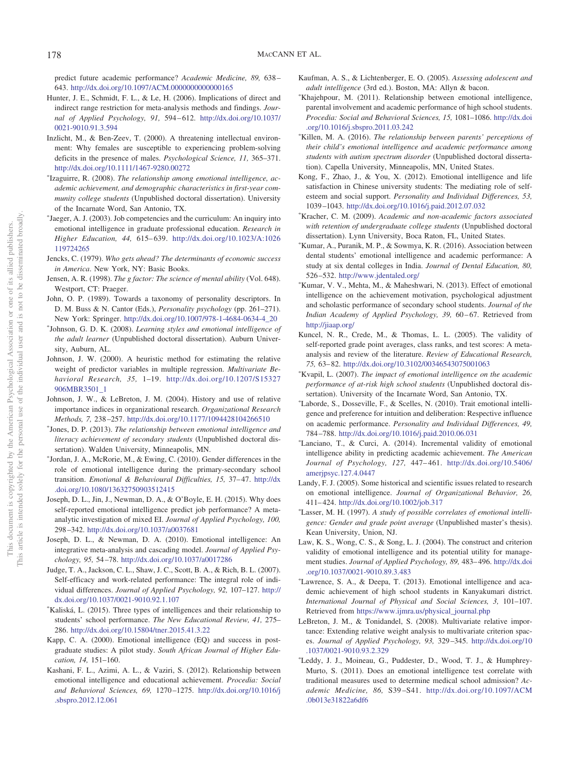predict future academic performance? *Academic Medicine, 89,* 638 – 643. <http://dx.doi.org/10.1097/ACM.0000000000000165>

- <span id="page-28-16"></span>Hunter, J. E., Schmidt, F. L., & Le, H. (2006). Implications of direct and indirect range restriction for meta-analysis methods and findings. *Journal of Applied Psychology, 91,* 594 – 612. [http://dx.doi.org/10.1037/](http://dx.doi.org/10.1037/0021-9010.91.3.594) [0021-9010.91.3.594](http://dx.doi.org/10.1037/0021-9010.91.3.594)
- <span id="page-28-7"></span>Inzlicht, M., & Ben-Zeev, T. (2000). A threatening intellectual environment: Why females are susceptible to experiencing problem-solving deficits in the presence of males. *Psychological Science, 11,* 365–371. <http://dx.doi.org/10.1111/1467-9280.00272>
- Izaguirre, R. (2008). *The relationship among emotional intelligence, academic achievement, and demographic characteristics in first-year community college students* (Unpublished doctoral dissertation). University of the Incarnate Word, San Antonio, TX.
- Jaeger, A. J. (2003). Job competencies and the curriculum: An inquiry into emotional intelligence in graduate professional education. *Research in Higher Education, 44,* 615– 639. [http://dx.doi.org/10.1023/A:1026](http://dx.doi.org/10.1023/A:1026119724265) [119724265](http://dx.doi.org/10.1023/A:1026119724265)
- <span id="page-28-8"></span>Jencks, C. (1979). *Who gets ahead? The determinants of economic success in America*. New York, NY: Basic Books.
- <span id="page-28-10"></span>Jensen, A. R. (1998). *The g factor: The science of mental ability* (Vol. 648). Westport, CT: Praeger.
- <span id="page-28-11"></span>John, O. P. (1989). Towards a taxonomy of personality descriptors. In D. M. Buss & N. Cantor (Eds.), *Personality psychology* (pp. 261–271). New York: Springer. [http://dx.doi.org/10.1007/978-1-4684-0634-4\\_20](http://dx.doi.org/10.1007/978-1-4684-0634-4_20)
- Johnson, G. D. K. (2008). *Learning styles and emotional intelligence of the adult learner* (Unpublished doctoral dissertation). Auburn University, Auburn, AL.
- <span id="page-28-5"></span>Johnson, J. W. (2000). A heuristic method for estimating the relative weight of predictor variables in multiple regression. *Multivariate Behavioral Research, 35,* 1–19. [http://dx.doi.org/10.1207/S15327](http://dx.doi.org/10.1207/S15327906MBR3501_1) [906MBR3501\\_1](http://dx.doi.org/10.1207/S15327906MBR3501_1)
- <span id="page-28-12"></span>Johnson, J. W., & LeBreton, J. M. (2004). History and use of relative importance indices in organizational research. *Organizational Research Methods, 7,* 238 –257. <http://dx.doi.org/10.1177/1094428104266510>
- Jones, D. P. (2013). *The relationship between emotional intelligence and literacy achievement of secondary students* (Unpublished doctoral dissertation). Walden University, Minneapolis, MN.
- Jordan, J. A., McRorie, M., & Ewing, C. (2010). Gender differences in the role of emotional intelligence during the primary-secondary school transition. *Emotional & Behavioural Difficulties, 15, 37-47.* [http://dx](http://dx.doi.org/10.1080/13632750903512415) [.doi.org/10.1080/13632750903512415](http://dx.doi.org/10.1080/13632750903512415)
- <span id="page-28-0"></span>Joseph, D. L., Jin, J., Newman, D. A., & O'Boyle, E. H. (2015). Why does self-reported emotional intelligence predict job performance? A metaanalytic investigation of mixed EI. *Journal of Applied Psychology, 100,* 298 –342. <http://dx.doi.org/10.1037/a0037681>
- <span id="page-28-1"></span>Joseph, D. L., & Newman, D. A. (2010). Emotional intelligence: An integrative meta-analysis and cascading model. *Journal of Applied Psychology, 95,* 54 –78. <http://dx.doi.org/10.1037/a0017286>
- <span id="page-28-4"></span>Judge, T. A., Jackson, C. L., Shaw, J. C., Scott, B. A., & Rich, B. L. (2007). Self-efficacy and work-related performance: The integral role of individual differences. *Journal of Applied Psychology, 92,* 107–127. [http://](http://dx.doi.org/10.1037/0021-9010.92.1.107) [dx.doi.org/10.1037/0021-9010.92.1.107](http://dx.doi.org/10.1037/0021-9010.92.1.107)
- Kaliská, L. (2015). Three types of intelligences and their relationship to students' school performance. *The New Educational Review, 41,* 275– 286. <http://dx.doi.org/10.15804/tner.2015.41.3.22>
- <span id="page-28-14"></span>Kapp, C. A. (2000). Emotional intelligence (EQ) and success in postgraduate studies: A pilot study. *South African Journal of Higher Education, 14,* 151–160.
- <span id="page-28-15"></span>Kashani, F. L., Azimi, A. L., & Vaziri, S. (2012). Relationship between emotional intelligence and educational achievement. *Procedia: Social and Behavioral Sciences, 69,* 1270 –1275. [http://dx.doi.org/10.1016/j](http://dx.doi.org/10.1016/j.sbspro.2012.12.061) [.sbspro.2012.12.061](http://dx.doi.org/10.1016/j.sbspro.2012.12.061)
- <span id="page-28-9"></span>Kaufman, A. S., & Lichtenberger, E. O. (2005). *Assessing adolescent and adult intelligence* (3rd ed.). Boston, MA: Allyn & bacon.
- Khajehpour, M. (2011). Relationship between emotional intelligence, parental involvement and academic performance of high school students. *Procedia: Social and Behavioral Sciences, 15,* 1081–1086. [http://dx.doi](http://dx.doi.org/10.1016/j.sbspro.2011.03.242) [.org/10.1016/j.sbspro.2011.03.242](http://dx.doi.org/10.1016/j.sbspro.2011.03.242)
- Killen, M. A. (2016). *The relationship between parents' perceptions of their child's emotional intelligence and academic performance among students with autism spectrum disorder* (Unpublished doctoral dissertation). Capella University, Minneapolis, MN, United States.
- <span id="page-28-17"></span>Kong, F., Zhao, J., & You, X. (2012). Emotional intelligence and life satisfaction in Chinese university students: The mediating role of selfesteem and social support. *Personality and Individual Differences, 53,* 1039 –1043. <http://dx.doi.org/10.1016/j.paid.2012.07.032>
- Kracher, C. M. (2009). *Academic and non-academic factors associated with retention of undergraduate college students* (Unpublished doctoral dissertation). Lynn University, Boca Raton, FL, United States.
- Kumar, A., Puranik, M. P., & Sowmya, K. R. (2016). Association between dental students' emotional intelligence and academic performance: A study at six dental colleges in India. *Journal of Dental Education, 80,* 526 –532. <http://www.jdentaled.org/>
- Kumar, V. V., Mehta, M., & Maheshwari, N. (2013). Effect of emotional intelligence on the achievement motivation, psychological adjustment and scholastic performance of secondary school students. *Journal of the Indian Academy of Applied Psychology, 39, 60-67. Retrieved from* <http://jiaap.org/>
- <span id="page-28-13"></span>Kuncel, N. R., Crede, M., & Thomas, L. L. (2005). The validity of self-reported grade point averages, class ranks, and test scores: A metaanalysis and review of the literature. *Review of Educational Research, 75,* 63– 82. <http://dx.doi.org/10.3102/00346543075001063>
- Kvapil, L. (2007). *The impact of emotional intelligence on the academic performance of at-risk high school students* (Unpublished doctoral dissertation). University of the Incarnate Word, San Antonio, TX.
- Laborde, S., Dosseville, F., & Scelles, N. (2010). Trait emotional intelligence and preference for intuition and deliberation: Respective influence on academic performance. *Personality and Individual Differences, 49,* 784 –788. <http://dx.doi.org/10.1016/j.paid.2010.06.031>
- Lanciano, T., & Curci, A. (2014). Incremental validity of emotional intelligence ability in predicting academic achievement. *The American Journal of Psychology, 127,* 447– 461. [http://dx.doi.org/10.5406/](http://dx.doi.org/10.5406/amerjpsyc.127.4.0447) [amerjpsyc.127.4.0447](http://dx.doi.org/10.5406/amerjpsyc.127.4.0447)
- <span id="page-28-3"></span>Landy, F. J. (2005). Some historical and scientific issues related to research on emotional intelligence. *Journal of Organizational Behavior, 26,* 411– 424. <http://dx.doi.org/10.1002/job.317>
- Lasser, M. H. (1997). *A study of possible correlates of emotional intelligence: Gender and grade point average* (Unpublished master's thesis). Kean University, Union, NJ.
- <span id="page-28-2"></span>Law, K. S., Wong, C. S., & Song, L. J. (2004). The construct and criterion validity of emotional intelligence and its potential utility for management studies. *Journal of Applied Psychology, 89,* 483– 496. [http://dx.doi](http://dx.doi.org/10.1037/0021-9010.89.3.483) [.org/10.1037/0021-9010.89.3.483](http://dx.doi.org/10.1037/0021-9010.89.3.483)
- Lawrence, S. A., & Deepa, T. (2013). Emotional intelligence and academic achievement of high school students in Kanyakumari district. *International Journal of Physical and Social Sciences, 3,* 101–107. Retrieved from [https://www.ijmra.us/physical\\_journal.php](https://www.ijmra.us/physical_journal.php)
- <span id="page-28-6"></span>LeBreton, J. M., & Tonidandel, S. (2008). Multivariate relative importance: Extending relative weight analysis to multivariate criterion spaces. *Journal of Applied Psychology, 93,* 329 –345. [http://dx.doi.org/10](http://dx.doi.org/10.1037/0021-9010.93.2.329) [.1037/0021-9010.93.2.329](http://dx.doi.org/10.1037/0021-9010.93.2.329)
- Leddy, J. J., Moineau, G., Puddester, D., Wood, T. J., & Humphrey-Murto, S. (2011). Does an emotional intelligence test correlate with traditional measures used to determine medical school admission? *Academic Medicine, 86,* S39 –S41. [http://dx.doi.org/10.1097/ACM](http://dx.doi.org/10.1097/ACM.0b013e31822a6df6) [.0b013e31822a6df6](http://dx.doi.org/10.1097/ACM.0b013e31822a6df6)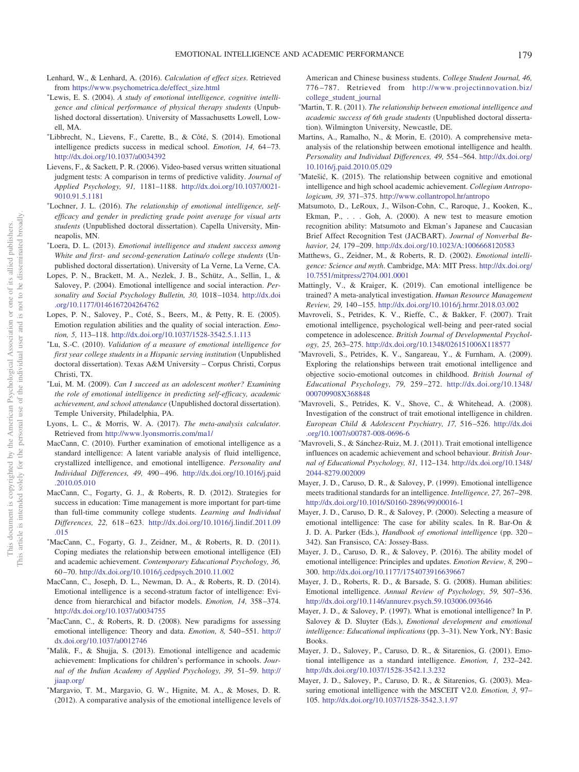- <span id="page-29-13"></span>Lenhard, W., & Lenhard, A. (2016). *Calculation of effect sizes*. Retrieved from [https://www.psychometrica.de/effect\\_size.html](https://www.psychometrica.de/effect_size.html)
- Lewis, E. S. (2004). *A study of emotional intelligence, cognitive intelligence and clinical performance of physical therapy students* (Unpublished doctoral dissertation). University of Massachusetts Lowell, Lowell, MA.
- <span id="page-29-19"></span>- Libbrecht, N., Lievens, F., Carette, B., & Côté, S. (2014). Emotional intelligence predicts success in medical school. *Emotion, 14,* 64 –73. <http://dx.doi.org/10.1037/a0034392>
- <span id="page-29-20"></span>Lievens, F., & Sackett, P. R. (2006). Video-based versus written situational judgment tests: A comparison in terms of predictive validity. *Journal of Applied Psychology, 91,* 1181–1188. [http://dx.doi.org/10.1037/0021-](http://dx.doi.org/10.1037/0021-9010.91.5.1181) [9010.91.5.1181](http://dx.doi.org/10.1037/0021-9010.91.5.1181)
- Lochner, J. L. (2016). *The relationship of emotional intelligence, selfefficacy and gender in predicting grade point average for visual arts students* (Unpublished doctoral dissertation). Capella University, Minneapolis, MN.
- Loera, D. L. (2013). *Emotional intelligence and student success among White and first- and second-generation Latina/o college students* (Unpublished doctoral dissertation). University of La Verne, La Verne, CA.
- <span id="page-29-15"></span>Lopes, P. N., Brackett, M. A., Nezlek, J. B., Schütz, A., Sellin, I., & Salovey, P. (2004). Emotional intelligence and social interaction. *Personality and Social Psychology Bulletin, 30,* 1018 –1034. [http://dx.doi](http://dx.doi.org/10.1177/0146167204264762) [.org/10.1177/0146167204264762](http://dx.doi.org/10.1177/0146167204264762)
- <span id="page-29-16"></span>Lopes, P. N., Salovey, P., Coté, S., Beers, M., & Petty, R. E. (2005). Emotion regulation abilities and the quality of social interaction. *Emotion, 5,* 113–118. <http://dx.doi.org/10.1037/1528-3542.5.1.113>
- Lu, S.-C. (2010). *Validation of a measure of emotional intelligence for first year college students in a Hispanic serving institution* (Unpublished doctoral dissertation). Texas A&M University – Corpus Christi, Corpus Christi, TX.
- Lui, M. M. (2009). *Can I succeed as an adolescent mother? Examining the role of emotional intelligence in predicting self-efficacy, academic achievement, and school attendance* (Unpublished doctoral dissertation). Temple University, Philadelphia, PA.
- <span id="page-29-14"></span>Lyons, L. C., & Morris, W. A. (2017). *The meta-analysis calculator*. Retrieved from <http://www.lyonsmorris.com/ma1/>
- <span id="page-29-10"></span>MacCann, C. (2010). Further examination of emotional intelligence as a standard intelligence: A latent variable analysis of fluid intelligence, crystallized intelligence, and emotional intelligence. *Personality and Individual Differences, 49,* 490 – 496. [http://dx.doi.org/10.1016/j.paid](http://dx.doi.org/10.1016/j.paid.2010.05.010) [.2010.05.010](http://dx.doi.org/10.1016/j.paid.2010.05.010)
- <span id="page-29-18"></span>MacCann, C., Fogarty, G. J., & Roberts, R. D. (2012). Strategies for success in education: Time management is more important for part-time than full-time community college students. *Learning and Individual Differences, 22,* 618 – 623. [http://dx.doi.org/10.1016/j.lindif.2011.09](http://dx.doi.org/10.1016/j.lindif.2011.09.015) [.015](http://dx.doi.org/10.1016/j.lindif.2011.09.015)
- MacCann, C., Fogarty, G. J., Zeidner, M., & Roberts, R. D. (2011). Coping mediates the relationship between emotional intelligence (EI) and academic achievement. *Contemporary Educational Psychology, 36,* 60 –70. <http://dx.doi.org/10.1016/j.cedpsych.2010.11.002>
- <span id="page-29-2"></span>MacCann, C., Joseph, D. L., Newman, D. A., & Roberts, R. D. (2014). Emotional intelligence is a second-stratum factor of intelligence: Evidence from hierarchical and bifactor models. *Emotion, 14,* 358 –374. <http://dx.doi.org/10.1037/a0034755>
- <span id="page-29-4"></span>\*MacCann, C., & Roberts, R. D. (2008). New paradigms for assessing emotional intelligence: Theory and data. *Emotion, 8,* 540 –551. [http://](http://dx.doi.org/10.1037/a0012746) [dx.doi.org/10.1037/a0012746](http://dx.doi.org/10.1037/a0012746)
- Malik, F., & Shujja, S. (2013). Emotional intelligence and academic achievement: Implications for children's performance in schools. *Journal of the Indian Academy of Applied Psychology, 39,* 51–59. [http://](http://jiaap.org/) [jiaap.org/](http://jiaap.org/)
- Margavio, T. M., Margavio, G. W., Hignite, M. A., & Moses, D. R. (2012). A comparative analysis of the emotional intelligence levels of

American and Chinese business students. *College Student Journal, 46,* 776 –787. Retrieved from [http://www.projectinnovation.biz/](http://www.projectinnovation.biz/college_student_journal) [college\\_student\\_journal](http://www.projectinnovation.biz/college_student_journal)

- Martin, T. R. (2011). *The relationship between emotional intelligence and academic success of 6th grade students* (Unpublished doctoral dissertation). Wilmington University, Newcastle, DE.
- <span id="page-29-0"></span>Martins, A., Ramalho, N., & Morin, E. (2010). A comprehensive metaanalysis of the relationship between emotional intelligence and health. *Personality and Individual Differences, 49,* 554 –564. [http://dx.doi.org/](http://dx.doi.org/10.1016/j.paid.2010.05.029) [10.1016/j.paid.2010.05.029](http://dx.doi.org/10.1016/j.paid.2010.05.029)
- \*Matešić, K. (2015). The relationship between cognitive and emotional intelligence and high school academic achievement. *Collegium Antropologicum, 39,* 371–375. <http://www.collantropol.hr/antropo>
- <span id="page-29-5"></span>Matsumoto, D., LeRoux, J., Wilson-Cohn, C., Raroque, J., Kooken, K., Ekman, P.,... Goh, A. (2000). A new test to measure emotion recognition ability: Matsumoto and Ekman's Japanese and Caucasian Brief Affect Recognition Test (JACBART). *Journal of Nonverbal Behavior, 24,* 179 –209. <http://dx.doi.org/10.1023/A:1006668120583>
- <span id="page-29-11"></span>Matthews, G., Zeidner, M., & Roberts, R. D. (2002). *Emotional intelligence: Science and myth*. Cambridge, MA: MIT Press. [http://dx.doi.org/](http://dx.doi.org/10.7551/mitpress/2704.001.0001) [10.7551/mitpress/2704.001.0001](http://dx.doi.org/10.7551/mitpress/2704.001.0001)
- <span id="page-29-21"></span>Mattingly, V., & Kraiger, K. (2019). Can emotional intelligence be trained? A meta-analytical investigation. *Human Resource Management Review, 29,* 140 –155. <http://dx.doi.org/10.1016/j.hrmr.2018.03.002>
- <span id="page-29-17"></span>Mavroveli, S., Petrides, K. V., Rieffe, C., & Bakker, F. (2007). Trait emotional intelligence, psychological well-being and peer-rated social competence in adolescence. *British Journal of Developmental Psychology, 25,* 263–275. <http://dx.doi.org/10.1348/026151006X118577>
- Mavroveli, S., Petrides, K. V., Sangareau, Y., & Furnham, A. (2009). Exploring the relationships between trait emotional intelligence and objective socio-emotional outcomes in childhood. *British Journal of Educational Psychology, 79,* 259 –272. [http://dx.doi.org/10.1348/](http://dx.doi.org/10.1348/000709908X368848) [000709908X368848](http://dx.doi.org/10.1348/000709908X368848)
- Mavroveli, S., Petrides, K. V., Shove, C., & Whitehead, A. (2008). Investigation of the construct of trait emotional intelligence in children. *European Child & Adolescent Psychiatry, 17,* 516 –526. [http://dx.doi](http://dx.doi.org/10.1007/s00787-008-0696-6) [.org/10.1007/s00787-008-0696-6](http://dx.doi.org/10.1007/s00787-008-0696-6)
- Mavroveli, S., & Sánchez-Ruiz, M. J. (2011). Trait emotional intelligence influences on academic achievement and school behaviour. *British Journal of Educational Psychology, 81,* 112–134. [http://dx.doi.org/10.1348/](http://dx.doi.org/10.1348/2044-8279.002009) [2044-8279.002009](http://dx.doi.org/10.1348/2044-8279.002009)
- <span id="page-29-6"></span>Mayer, J. D., Caruso, D. R., & Salovey, P. (1999). Emotional intelligence meets traditional standards for an intelligence. *Intelligence, 27,* 267–298. [http://dx.doi.org/10.1016/S0160-2896\(99\)00016-1](http://dx.doi.org/10.1016/S0160-2896%2899%2900016-1)
- <span id="page-29-1"></span>Mayer, J. D., Caruso, D. R., & Salovey, P. (2000). Selecting a measure of emotional intelligence: The case for ability scales. In R. Bar-On & J. D. A. Parker (Eds.), *Handbook of emotional intelligence* (pp. 320 – 342). San Fransisco, CA: Jossey-Bass.
- <span id="page-29-7"></span>Mayer, J. D., Caruso, D. R., & Salovey, P. (2016). The ability model of emotional intelligence: Principles and updates. *Emotion Review, 8,* 290 – 300. <http://dx.doi.org/10.1177/1754073916639667>
- <span id="page-29-12"></span>Mayer, J. D., Roberts, R. D., & Barsade, S. G. (2008). Human abilities: Emotional intelligence. *Annual Review of Psychology, 59,* 507–536. <http://dx.doi.org/10.1146/annurev.psych.59.103006.093646>
- <span id="page-29-8"></span>Mayer, J. D., & Salovey, P. (1997). What is emotional intelligence? In P. Salovey & D. Sluyter (Eds.), *Emotional development and emotional intelligence: Educational implications* (pp. 3–31). New York, NY: Basic Books.
- <span id="page-29-9"></span>Mayer, J. D., Salovey, P., Caruso, D. R., & Sitarenios, G. (2001). Emotional intelligence as a standard intelligence. *Emotion, 1,* 232–242. <http://dx.doi.org/10.1037/1528-3542.1.3.232>
- <span id="page-29-3"></span>Mayer, J. D., Salovey, P., Caruso, D. R., & Sitarenios, G. (2003). Measuring emotional intelligence with the MSCEIT V2.0. *Emotion, 3,* 97– 105. <http://dx.doi.org/10.1037/1528-3542.3.1.97>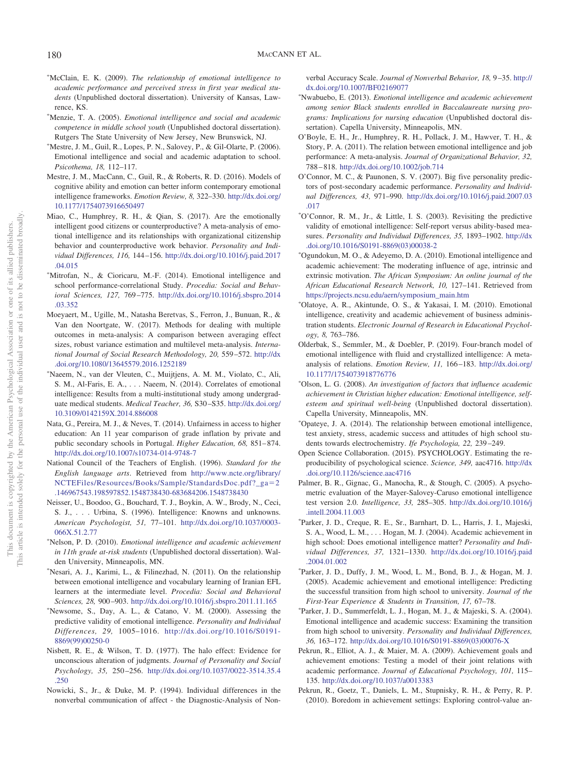- -McClain, E. K. (2009). *The relationship of emotional intelligence to academic performance and perceived stress in first year medical students* (Unpublished doctoral dissertation). University of Kansas, Lawrence, KS.
- Menzie, T. A. (2005). *Emotional intelligence and social and academic competence in middle school youth* (Unpublished doctoral dissertation). Rutgers The State University of New Jersey, New Brunswick, NJ.
- Mestre, J. M., Guil, R., Lopes, P. N., Salovey, P., & Gil-Olarte, P. (2006). Emotional intelligence and social and academic adaptation to school. *Psicothema, 18,* 112–117.
- <span id="page-30-3"></span>Mestre, J. M., MacCann, C., Guil, R., & Roberts, R. D. (2016). Models of cognitive ability and emotion can better inform contemporary emotional intelligence frameworks. *Emotion Review, 8,* 322–330. [http://dx.doi.org/](http://dx.doi.org/10.1177/1754073916650497) [10.1177/1754073916650497](http://dx.doi.org/10.1177/1754073916650497)
- <span id="page-30-6"></span>Miao, C., Humphrey, R. H., & Qian, S. (2017). Are the emotionally intelligent good citizens or counterproductive? A meta-analysis of emotional intelligence and its relationships with organizational citizenship behavior and counterproductive work behavior. *Personality and Individual Differences, 116,* 144 –156. [http://dx.doi.org/10.1016/j.paid.2017](http://dx.doi.org/10.1016/j.paid.2017.04.015) [.04.015](http://dx.doi.org/10.1016/j.paid.2017.04.015)
- Mitrofan, N., & Cioricaru, M.-F. (2014). Emotional intelligence and school performance-correlational Study. *Procedia: Social and Behavioral Sciences, 127,* 769 –775. [http://dx.doi.org/10.1016/j.sbspro.2014](http://dx.doi.org/10.1016/j.sbspro.2014.03.352) [.03.352](http://dx.doi.org/10.1016/j.sbspro.2014.03.352)
- <span id="page-30-13"></span>Moeyaert, M., Ugille, M., Natasha Beretvas, S., Ferron, J., Bunuan, R., & Van den Noortgate, W. (2017). Methods for dealing with multiple outcomes in meta-analysis: A comparison between averaging effect sizes, robust variance estimation and multilevel meta-analysis. *International Journal of Social Research Methodology, 20,* 559 –572. [http://dx](http://dx.doi.org/10.1080/13645579.2016.1252189) [.doi.org/10.1080/13645579.2016.1252189](http://dx.doi.org/10.1080/13645579.2016.1252189)
- Naeem, N., van der Vleuten, C., Muijtjens, A. M. M., Violato, C., Ali, S. M., Al-Faris, E. A.,... Naeem, N. (2014). Correlates of emotional intelligence: Results from a multi-institutional study among undergraduate medical students. *Medical Teacher, 36,* S30 –S35. [http://dx.doi.org/](http://dx.doi.org/10.3109/0142159X.2014.886008) [10.3109/0142159X.2014.886008](http://dx.doi.org/10.3109/0142159X.2014.886008)
- <span id="page-30-11"></span>Nata, G., Pereira, M. J., & Neves, T. (2014). Unfairness in access to higher education: An 11 year comparison of grade inflation by private and public secondary schools in Portugal. *Higher Education*, 68, 851-874. <http://dx.doi.org/10.1007/s10734-014-9748-7>
- <span id="page-30-14"></span>National Council of the Teachers of English. (1996). *Standard for the English language arts*. Retrieved from [http://www.ncte.org/library/](http://www.ncte.org/library/NCTEFiles/Resources/Books/Sample/StandardsDoc.pdf?_ga=2.146967543.198597852.1548738430-683684206.1548738430) [NCTEFiles/Resources/Books/Sample/StandardsDoc.pdf?\\_ga](http://www.ncte.org/library/NCTEFiles/Resources/Books/Sample/StandardsDoc.pdf?_ga=2.146967543.198597852.1548738430-683684206.1548738430)=2 [.146967543.198597852.1548738430-683684206.1548738430](http://www.ncte.org/library/NCTEFiles/Resources/Books/Sample/StandardsDoc.pdf?_ga=2.146967543.198597852.1548738430-683684206.1548738430)
- <span id="page-30-10"></span>Neisser, U., Boodoo, G., Bouchard, T. J., Boykin, A. W., Brody, N., Ceci, S. J., . . . Urbina, S. (1996). Intelligence: Knowns and unknowns. *American Psychologist, 51,* 77–101. [http://dx.doi.org/10.1037/0003-](http://dx.doi.org/10.1037/0003-066X.51.2.77) [066X.51.2.77](http://dx.doi.org/10.1037/0003-066X.51.2.77)
- Nelson, P. D. (2010). *Emotional intelligence and academic achievement in 11th grade at-risk students* (Unpublished doctoral dissertation). Walden University, Minneapolis, MN.
- Nesari, A. J., Karimi, L., & Filinezhad, N. (2011). On the relationship between emotional intelligence and vocabulary learning of Iranian EFL learners at the intermediate level. *Procedia: Social and Behavioral Sciences, 28,* 900 –903. <http://dx.doi.org/10.1016/j.sbspro.2011.11.165>
- Newsome, S., Day, A. L., & Catano, V. M. (2000). Assessing the predictive validity of emotional intelligence. *Personality and Individual Differences, 29,* 1005–1016. [http://dx.doi.org/10.1016/S0191-](http://dx.doi.org/10.1016/S0191-8869%2899%2900250-0) [8869\(99\)00250-0](http://dx.doi.org/10.1016/S0191-8869%2899%2900250-0)
- <span id="page-30-15"></span>Nisbett, R. E., & Wilson, T. D. (1977). The halo effect: Evidence for unconscious alteration of judgments. *Journal of Personality and Social Psychology, 35,* 250 –256. [http://dx.doi.org/10.1037/0022-3514.35.4](http://dx.doi.org/10.1037/0022-3514.35.4.250) [.250](http://dx.doi.org/10.1037/0022-3514.35.4.250)
- <span id="page-30-1"></span>Nowicki, S., Jr., & Duke, M. P. (1994). Individual differences in the nonverbal communication of affect - the Diagnostic-Analysis of Non-

verbal Accuracy Scale. *Journal of Nonverbal Behavior, 18,* 9 –35. [http://](http://dx.doi.org/10.1007/BF02169077) [dx.doi.org/10.1007/BF02169077](http://dx.doi.org/10.1007/BF02169077)

- Nwabuebo, E. (2013). *Emotional intelligence and academic achievement among senior Black students enrolled in Baccalaureate nursing programs: Implications for nursing education* (Unpublished doctoral dissertation). Capella University, Minneapolis, MN.
- <span id="page-30-0"></span>O'Boyle, E. H., Jr., Humphrey, R. H., Pollack, J. M., Hawver, T. H., & Story, P. A. (2011). The relation between emotional intelligence and job performance: A meta-analysis. *Journal of Organizational Behavior, 32,* 788 – 818. <http://dx.doi.org/10.1002/job.714>
- <span id="page-30-12"></span>O'Connor, M. C., & Paunonen, S. V. (2007). Big five personality predictors of post-secondary academic performance. *Personality and Individual Differences, 43,* 971–990. [http://dx.doi.org/10.1016/j.paid.2007.03](http://dx.doi.org/10.1016/j.paid.2007.03.017) [.017](http://dx.doi.org/10.1016/j.paid.2007.03.017)
- <span id="page-30-5"></span>- O'Connor, R. M., Jr., & Little, I. S. (2003). Revisiting the predictive validity of emotional intelligence: Self-report versus ability-based measures. *Personality and Individual Differences, 35,* 1893–1902. [http://dx](http://dx.doi.org/10.1016/S0191-8869%2803%2900038-2) [.doi.org/10.1016/S0191-8869\(03\)00038-2](http://dx.doi.org/10.1016/S0191-8869%2803%2900038-2)
- Ogundokun, M. O., & Adeyemo, D. A. (2010). Emotional intelligence and academic achievement: The moderating influence of age, intrinsic and extrinsic motivation. *The African Symposium: An online journal of the African Educational Research Network, 10,* 127–141. Retrieved from [https://projects.ncsu.edu/aern/symposium\\_main.htm](https://projects.ncsu.edu/aern/symposium_main.htm)
- Olatoye, A. R., Akintunde, O. S., & Yakasai, I. M. (2010). Emotional intelligence, creativity and academic achievement of business administration students. *Electronic Journal of Research in Educational Psychology, 8,* 763–786.
- <span id="page-30-4"></span>Olderbak, S., Semmler, M., & Doebler, P. (2019). Four-branch model of emotional intelligence with fluid and crystallized intelligence: A metaanalysis of relations. *Emotion Review, 11,* 166 –183. [http://dx.doi.org/](http://dx.doi.org/10.1177/1754073918776776) [10.1177/1754073918776776](http://dx.doi.org/10.1177/1754073918776776)
- Olson, L. G. (2008). *An investigation of factors that influence academic achievement in Christian higher education: Emotional intelligence, selfesteem and spiritual well-being* (Unpublished doctoral dissertation). Capella University, Minneapolis, MN.
- Opateye, J. A. (2014). The relationship between emotional intelligence, test anxiety, stress, academic success and attitudes of high school students towards electrochemistry. *Ife Psychologia, 22,* 239 –249.
- <span id="page-30-9"></span>Open Science Collaboration. (2015). PSYCHOLOGY. Estimating the reproducibility of psychological science. *Science, 349,* aac4716. [http://dx](http://dx.doi.org/10.1126/science.aac4716) [.doi.org/10.1126/science.aac4716](http://dx.doi.org/10.1126/science.aac4716)
- <span id="page-30-2"></span>Palmer, B. R., Gignac, G., Manocha, R., & Stough, C. (2005). A psychometric evaluation of the Mayer-Salovey-Caruso emotional intelligence test version 2.0. *Intelligence, 33,* 285–305. [http://dx.doi.org/10.1016/j](http://dx.doi.org/10.1016/j.intell.2004.11.003) [.intell.2004.11.003](http://dx.doi.org/10.1016/j.intell.2004.11.003)
- Parker, J. D., Creque, R. E., Sr., Barnhart, D. L., Harris, J. I., Majeski, S. A., Wood, L. M.,... Hogan, M. J. (2004). Academic achievement in high school: Does emotional intelligence matter? *Personality and Individual Differences, 37,* 1321–1330. [http://dx.doi.org/10.1016/j.paid](http://dx.doi.org/10.1016/j.paid.2004.01.002) [.2004.01.002](http://dx.doi.org/10.1016/j.paid.2004.01.002)
- Parker, J. D., Duffy, J. M., Wood, L. M., Bond, B. J., & Hogan, M. J. (2005). Academic achievement and emotional intelligence: Predicting the successful transition from high school to university. *Journal of the First-Year Experience & Students in Transition, 17,* 67–78.
- Parker, J. D., Summerfeldt, L. J., Hogan, M. J., & Majeski, S. A. (2004). Emotional intelligence and academic success: Examining the transition from high school to university. *Personality and Individual Differences, 36,* 163–172. [http://dx.doi.org/10.1016/S0191-8869\(03\)00076-X](http://dx.doi.org/10.1016/S0191-8869%2803%2900076-X)
- <span id="page-30-7"></span>Pekrun, R., Elliot, A. J., & Maier, M. A. (2009). Achievement goals and achievement emotions: Testing a model of their joint relations with academic performance. *Journal of Educational Psychology, 101,* 115– 135. <http://dx.doi.org/10.1037/a0013383>
- <span id="page-30-8"></span>Pekrun, R., Goetz, T., Daniels, L. M., Stupnisky, R. H., & Perry, R. P. (2010). Boredom in achievement settings: Exploring control-value an-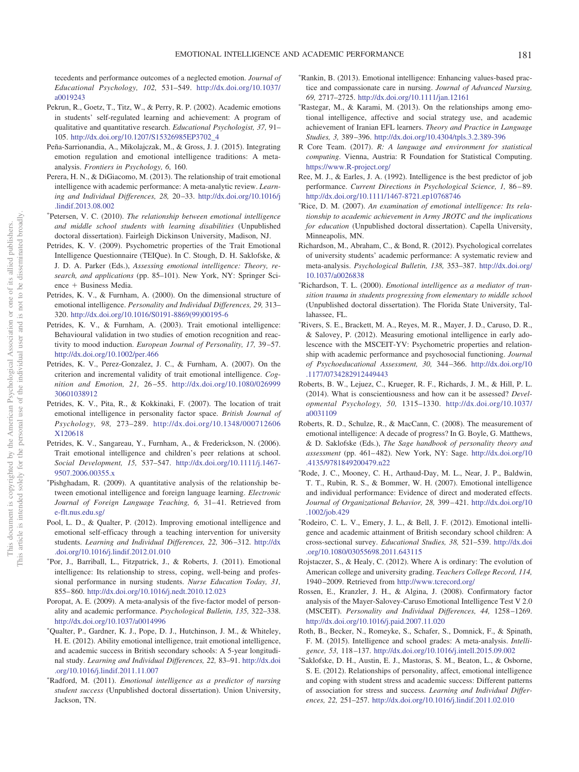tecedents and performance outcomes of a neglected emotion. *Journal of Educational Psychology, 102,* 531–549. [http://dx.doi.org/10.1037/](http://dx.doi.org/10.1037/a0019243) [a0019243](http://dx.doi.org/10.1037/a0019243)

- <span id="page-31-12"></span>Pekrun, R., Goetz, T., Titz, W., & Perry, R. P. (2002). Academic emotions in students' self-regulated learning and achievement: A program of qualitative and quantitative research. *Educational Psychologist, 37,* 91– 105. [http://dx.doi.org/10.1207/S15326985EP3702\\_4](http://dx.doi.org/10.1207/S15326985EP3702_4)
- <span id="page-31-18"></span>Peña-Sarrionandia, A., Mikolajczak, M., & Gross, J. J. (2015). Integrating emotion regulation and emotional intelligence traditions: A metaanalysis. *Frontiers in Psychology, 6,* 160.
- <span id="page-31-11"></span>Perera, H. N., & DiGiacomo, M. (2013). The relationship of trait emotional intelligence with academic performance: A meta-analytic review. *Learning and Individual Differences, 28,* 20 –33. [http://dx.doi.org/10.1016/j](http://dx.doi.org/10.1016/j.lindif.2013.08.002) [.lindif.2013.08.002](http://dx.doi.org/10.1016/j.lindif.2013.08.002)
- Petersen, V. C. (2010). *The relationship between emotional intelligence and middle school students with learning disabilities* (Unpublished doctoral dissertation). Fairleigh Dickinson University, Madison, NJ.
- <span id="page-31-10"></span>Petrides, K. V. (2009). Psychometric properties of the Trait Emotional Intelligence Questionnaire (TEIQue). In C. Stough, D. H. Saklofske, & J. D. A. Parker (Eds.), *Assessing emotional intelligence: Theory, research, and applications* (pp. 85–101). New York, NY: Springer Sci $e^+$  Business Media.
- <span id="page-31-4"></span>Petrides, K. V., & Furnham, A. (2000). On the dimensional structure of emotional intelligence. *Personality and Individual Differences, 29,* 313– 320. [http://dx.doi.org/10.1016/S0191-8869\(99\)00195-6](http://dx.doi.org/10.1016/S0191-8869%2899%2900195-6)
- <span id="page-31-5"></span>Petrides, K. V., & Furnham, A. (2003). Trait emotional intelligence: Behavioural validation in two studies of emotion recognition and reactivity to mood induction. *European Journal of Personality, 17,* 39 –57. <http://dx.doi.org/10.1002/per.466>
- <span id="page-31-9"></span>Petrides, K. V., Perez-Gonzalez, J. C., & Furnham, A. (2007). On the criterion and incremental validity of trait emotional intelligence. *Cognition and Emotion, 21,* 26 –55. [http://dx.doi.org/10.1080/026999](http://dx.doi.org/10.1080/02699930601038912) [30601038912](http://dx.doi.org/10.1080/02699930601038912)
- <span id="page-31-2"></span>Petrides, K. V., Pita, R., & Kokkinaki, F. (2007). The location of trait emotional intelligence in personality factor space. *British Journal of Psychology, 98,* 273–289. [http://dx.doi.org/10.1348/000712606](http://dx.doi.org/10.1348/000712606X120618) [X120618](http://dx.doi.org/10.1348/000712606X120618)
- <span id="page-31-17"></span>Petrides, K. V., Sangareau, Y., Furnham, A., & Frederickson, N. (2006). Trait emotional intelligence and children's peer relations at school. *Social Development, 15,* 537–547. [http://dx.doi.org/10.1111/j.1467-](http://dx.doi.org/10.1111/j.1467-9507.2006.00355.x) [9507.2006.00355.x](http://dx.doi.org/10.1111/j.1467-9507.2006.00355.x)
- Pishghadam, R. (2009). A quantitative analysis of the relationship between emotional intelligence and foreign language learning. *Electronic* Journal of Foreign Language Teaching, 6, 31-41. Retrieved from [e-flt.nus.edu.sg/](http://e-flt.nus.edu.sg/)
- <span id="page-31-20"></span>Pool, L. D., & Qualter, P. (2012). Improving emotional intelligence and emotional self-efficacy through a teaching intervention for university students. *Learning and Individual Differences, 22,* 306 –312. [http://dx](http://dx.doi.org/10.1016/j.lindif.2012.01.010) [.doi.org/10.1016/j.lindif.2012.01.010](http://dx.doi.org/10.1016/j.lindif.2012.01.010)
- Por, J., Barriball, L., Fitzpatrick, J., & Roberts, J. (2011). Emotional intelligence: Its relationship to stress, coping, well-being and professional performance in nursing students. *Nurse Education Today, 31,* 855– 860. <http://dx.doi.org/10.1016/j.nedt.2010.12.023>
- <span id="page-31-0"></span>Poropat, A. E. (2009). A meta-analysis of the five-factor model of personality and academic performance. *Psychological Bulletin, 135,* 322–338. <http://dx.doi.org/10.1037/a0014996>
- <span id="page-31-3"></span>- Qualter, P., Gardner, K. J., Pope, D. J., Hutchinson, J. M., & Whiteley, H. E. (2012). Ability emotional intelligence, trait emotional intelligence, and academic success in British secondary schools: A 5-year longitudinal study. *Learning and Individual Differences, 22,* 83–91. [http://dx.doi](http://dx.doi.org/10.1016/j.lindif.2011.11.007) [.org/10.1016/j.lindif.2011.11.007](http://dx.doi.org/10.1016/j.lindif.2011.11.007)
- Radford, M. (2011). *Emotional intelligence as a predictor of nursing student success* (Unpublished doctoral dissertation). Union University, Jackson, TN.
- Rankin, B. (2013). Emotional intelligence: Enhancing values-based practice and compassionate care in nursing. *Journal of Advanced Nursing, 69,* 2717–2725. <http://dx.doi.org/10.1111/jan.12161>
- Rastegar, M., & Karami, M. (2013). On the relationships among emotional intelligence, affective and social strategy use, and academic achievement of Iranian EFL learners. *Theory and Practice in Language Studies, 3,* 389 –396. <http://dx.doi.org/10.4304/tpls.3.2.389-396>
- <span id="page-31-16"></span>R Core Team. (2017). *R: A language and environment for statistical computing*. Vienna, Austria: R Foundation for Statistical Computing. <https://www.R-project.org/>
- <span id="page-31-19"></span>Ree, M. J., & Earles, J. A. (1992). Intelligence is the best predictor of job performance. *Current Directions in Psychological Science, 1,* 86 – 89. <http://dx.doi.org/10.1111/1467-8721.ep10768746>
- \*Rice, D. M. (2007). An examination of emotional intelligence: Its rela*tionship to academic achievement in Army JROTC and the implications for education* (Unpublished doctoral dissertation). Capella University, Minneapolis, MN.
- <span id="page-31-1"></span>Richardson, M., Abraham, C., & Bond, R. (2012). Psychological correlates of university students' academic performance: A systematic review and meta-analysis. *Psychological Bulletin, 138,* 353–387. [http://dx.doi.org/](http://dx.doi.org/10.1037/a0026838) [10.1037/a0026838](http://dx.doi.org/10.1037/a0026838)
- Richardson, T. L. (2000). *Emotional intelligence as a mediator of transition trauma in students progressing from elementary to middle school* (Unpublished doctoral dissertation). The Florida State University, Tallahassee, FL.
- <span id="page-31-6"></span>- Rivers, S. E., Brackett, M. A., Reyes, M. R., Mayer, J. D., Caruso, D. R., & Salovey, P. (2012). Measuring emotional intelligence in early adolescence with the MSCEIT-YV: Psychometric properties and relationship with academic performance and psychosocial functioning. *Journal of Psychoeducational Assessment, 30,* 344 –366. [http://dx.doi.org/10](http://dx.doi.org/10.1177/0734282912449443) [.1177/0734282912449443](http://dx.doi.org/10.1177/0734282912449443)
- <span id="page-31-15"></span>Roberts, B. W., Lejuez, C., Krueger, R. F., Richards, J. M., & Hill, P. L. (2014). What is conscientiousness and how can it be assessed? *Developmental Psychology, 50,* 1315–1330. [http://dx.doi.org/10.1037/](http://dx.doi.org/10.1037/a0031109) [a0031109](http://dx.doi.org/10.1037/a0031109)
- <span id="page-31-8"></span>Roberts, R. D., Schulze, R., & MacCann, C. (2008). The measurement of emotional intelligence: A decade of progress? In G. Boyle, G. Matthews, & D. Saklofske (Eds.), *The Sage handbook of personality theory and assessment* (pp. 461– 482). New York, NY: Sage. [http://dx.doi.org/10](http://dx.doi.org/10.4135/9781849200479.n22) [.4135/9781849200479.n22](http://dx.doi.org/10.4135/9781849200479.n22)
- Rode, J. C., Mooney, C. H., Arthaud-Day, M. L., Near, J. P., Baldwin, T. T., Rubin, R. S., & Bommer, W. H. (2007). Emotional intelligence and individual performance: Evidence of direct and moderated effects. *Journal of Organizational Behavior, 28,* 399 – 421. [http://dx.doi.org/10](http://dx.doi.org/10.1002/job.429) [.1002/job.429](http://dx.doi.org/10.1002/job.429)
- Rodeiro, C. L. V., Emery, J. L., & Bell, J. F. (2012). Emotional intelligence and academic attainment of British secondary school children: A cross-sectional survey. *Educational Studies, 38,* 521–539. [http://dx.doi](http://dx.doi.org/10.1080/03055698.2011.643115) [.org/10.1080/03055698.2011.643115](http://dx.doi.org/10.1080/03055698.2011.643115)
- <span id="page-31-14"></span>Rojstaczer, S., & Healy, C. (2012). Where A is ordinary: The evolution of American college and university grading. *Teachers College Record, 114,* 1940 –2009. Retrieved from <http://www.tcrecord.org/>
- <span id="page-31-7"></span>Rossen, E., Kranzler, J. H., & Algina, J. (2008). Confirmatory factor analysis of the Mayer-Salovey-Caruso Emotional Intelligence Test V 2.0 (MSCEIT). *Personality and Individual Differences, 44,* 1258 –1269. <http://dx.doi.org/10.1016/j.paid.2007.11.020>
- <span id="page-31-13"></span>Roth, B., Becker, N., Romeyke, S., Schafer, S., Domnick, F., & Spinath, F. M. (2015). Intelligence and school grades: A meta-analysis. *Intelligence, 53,* 118 –137. <http://dx.doi.org/10.1016/j.intell.2015.09.002>
- Saklofske, D. H., Austin, E. J., Mastoras, S. M., Beaton, L., & Osborne, S. E. (2012). Relationships of personality, affect, emotional intelligence and coping with student stress and academic success: Different patterns of association for stress and success. *Learning and Individual Differences, 22,* 251–257. <http://dx.doi.org/10.1016/j.lindif.2011.02.010>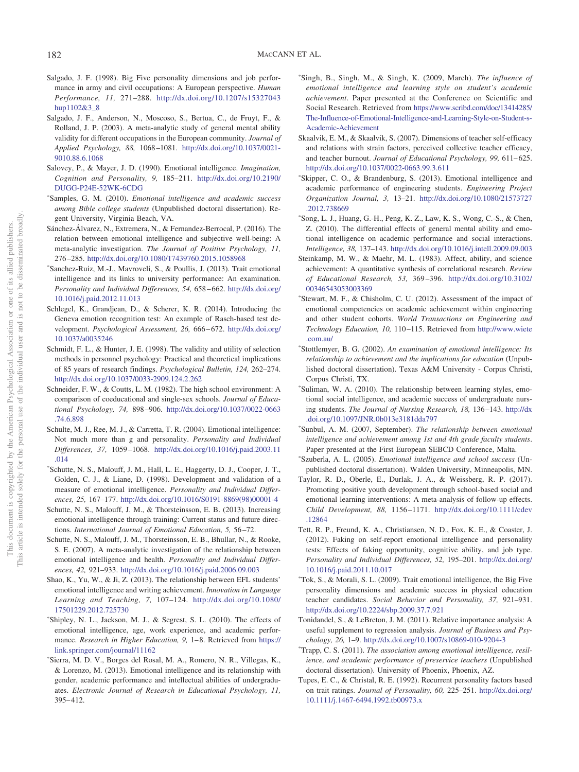- <span id="page-32-10"></span>Salgado, J. F. (1998). Big Five personality dimensions and job performance in army and civil occupations: A European perspective. *Human Performance, 11,* 271–288. [http://dx.doi.org/10.1207/s15327043](http://dx.doi.org/10.1207/s15327043hup1102&3_8) [hup1102&3\\_8](http://dx.doi.org/10.1207/s15327043hup1102&3_8)
- <span id="page-32-14"></span>Salgado, J. F., Anderson, N., Moscoso, S., Bertua, C., de Fruyt, F., & Rolland, J. P. (2003). A meta-analytic study of general mental ability validity for different occupations in the European community. *Journal of Applied Psychology, 88,* 1068 –1081. [http://dx.doi.org/10.1037/0021-](http://dx.doi.org/10.1037/0021-9010.88.6.1068) [9010.88.6.1068](http://dx.doi.org/10.1037/0021-9010.88.6.1068)
- <span id="page-32-1"></span>Salovey, P., & Mayer, J. D. (1990). Emotional intelligence. *Imagination, Cognition and Personality, 9,* 185–211. [http://dx.doi.org/10.2190/](http://dx.doi.org/10.2190/DUGG-P24E-52WK-6CDG) [DUGG-P24E-52WK-6CDG](http://dx.doi.org/10.2190/DUGG-P24E-52WK-6CDG)
- Samples, G. M. (2010). *Emotional intelligence and academic success among Bible college students* (Unpublished doctoral dissertation). Regent University, Virginia Beach, VA.
- <span id="page-32-5"></span>Sánchez-Álvarez, N., Extremera, N., & Fernandez-Berrocal, P. (2016). The relation between emotional intelligence and subjective well-being: A meta-analytic investigation. *The Journal of Positive Psychology, 11,* 276 –285. <http://dx.doi.org/10.1080/17439760.2015.1058968>
- Sanchez-Ruiz, M.-J., Mavroveli, S., & Poullis, J. (2013). Trait emotional intelligence and its links to university performance: An examination. *Personality and Individual Differences, 54,* 658 – 662. [http://dx.doi.org/](http://dx.doi.org/10.1016/j.paid.2012.11.013) [10.1016/j.paid.2012.11.013](http://dx.doi.org/10.1016/j.paid.2012.11.013)
- <span id="page-32-3"></span>Schlegel, K., Grandjean, D., & Scherer, K. R. (2014). Introducing the Geneva emotion recognition test: An example of Rasch-based test development. *Psychological Assessment, 26,* 666 – 672. [http://dx.doi.org/](http://dx.doi.org/10.1037/a0035246) [10.1037/a0035246](http://dx.doi.org/10.1037/a0035246)
- <span id="page-32-11"></span>Schmidt, F. L., & Hunter, J. E. (1998). The validity and utility of selection methods in personnel psychology: Practical and theoretical implications of 85 years of research findings. *Psychological Bulletin, 124,* 262–274. <http://dx.doi.org/10.1037/0033-2909.124.2.262>
- <span id="page-32-6"></span>Schneider, F. W., & Coutts, L. M. (1982). The high school environment: A comparison of coeducational and single-sex schools. *Journal of Educational Psychology, 74,* 898 –906. [http://dx.doi.org/10.1037/0022-0663](http://dx.doi.org/10.1037/0022-0663.74.6.898) [.74.6.898](http://dx.doi.org/10.1037/0022-0663.74.6.898)
- <span id="page-32-4"></span>Schulte, M. J., Ree, M. J., & Carretta, T. R. (2004). Emotional intelligence: Not much more than g and personality. *Personality and Individual Differences, 37,* 1059 –1068. [http://dx.doi.org/10.1016/j.paid.2003.11](http://dx.doi.org/10.1016/j.paid.2003.11.014) [.014](http://dx.doi.org/10.1016/j.paid.2003.11.014)
- <span id="page-32-2"></span>- Schutte, N. S., Malouff, J. M., Hall, L. E., Haggerty, D. J., Cooper, J. T., Golden, C. J., & Liane, D. (1998). Development and validation of a measure of emotional intelligence. *Personality and Individual Differences, 25,* 167–177. [http://dx.doi.org/10.1016/S0191-8869\(98\)00001-4](http://dx.doi.org/10.1016/S0191-8869%2898%2900001-4)
- <span id="page-32-17"></span>Schutte, N. S., Malouff, J. M., & Thorsteinsson, E. B. (2013). Increasing emotional intelligence through training: Current status and future directions. *International Journal of Emotional Education, 5,* 56 –72.
- <span id="page-32-0"></span>Schutte, N. S., Malouff, J. M., Thorsteinsson, E. B., Bhullar, N., & Rooke, S. E. (2007). A meta-analytic investigation of the relationship between emotional intelligence and health. *Personality and Individual Differences, 42,* 921–933. <http://dx.doi.org/10.1016/j.paid.2006.09.003>
- <span id="page-32-13"></span>Shao, K., Yu, W., & Ji, Z. (2013). The relationship between EFL students' emotional intelligence and writing achievement. *Innovation in Language Learning and Teaching, 7,* 107–124. [http://dx.doi.org/10.1080/](http://dx.doi.org/10.1080/17501229.2012.725730) [17501229.2012.725730](http://dx.doi.org/10.1080/17501229.2012.725730)
- \*Shipley, N. L., Jackson, M. J., & Segrest, S. L. (2010). The effects of emotional intelligence, age, work experience, and academic performance. *Research in Higher Education*, 9, 1-8. Retrieved from [https://](https://link.springer.com/journal/11162) [link.springer.com/journal/11162](https://link.springer.com/journal/11162)
- Sierra, M. D. V., Borges del Rosal, M. A., Romero, N. R., Villegas, K., & Lorenzo, M. (2013). Emotional intelligence and its relationship with gender, academic performance and intellectual abilities of undergraduates. *Electronic Journal of Research in Educational Psychology, 11,*  $395 - 412$
- Singh, B., Singh, M., & Singh, K. (2009, March). *The influence of emotional intelligence and learning style on student's academic achievement*. Paper presented at the Conference on Scientific and Social Research. Retrieved from [https://www.scribd.com/doc/13414285/](https://www.scribd.com/doc/13414285/The-Influence-of-Emotional-Intelligence-and-Learning-Style-on-Student-s-Academic-Achievement) [The-Influence-of-Emotional-Intelligence-and-Learning-Style-on-Student-s-](https://www.scribd.com/doc/13414285/The-Influence-of-Emotional-Intelligence-and-Learning-Style-on-Student-s-Academic-Achievement)[Academic-Achievement](https://www.scribd.com/doc/13414285/The-Influence-of-Emotional-Intelligence-and-Learning-Style-on-Student-s-Academic-Achievement)
- <span id="page-32-16"></span>Skaalvik, E. M., & Skaalvik, S. (2007). Dimensions of teacher self-efficacy and relations with strain factors, perceived collective teacher efficacy, and teacher burnout. *Journal of Educational Psychology*, 99, 611-625. <http://dx.doi.org/10.1037/0022-0663.99.3.611>
- Skipper, C. O., & Brandenburg, S. (2013). Emotional intelligence and academic performance of engineering students. *Engineering Project Organization Journal, 3,* 13–21. [http://dx.doi.org/10.1080/21573727](http://dx.doi.org/10.1080/21573727.2012.738669) [.2012.738669](http://dx.doi.org/10.1080/21573727.2012.738669)
- Song, L. J., Huang, G.-H., Peng, K. Z., Law, K. S., Wong, C.-S., & Chen, Z. (2010). The differential effects of general mental ability and emotional intelligence on academic performance and social interactions. *Intelligence, 38,* 137–143. <http://dx.doi.org/10.1016/j.intell.2009.09.003>
- <span id="page-32-8"></span>Steinkamp, M. W., & Maehr, M. L. (1983). Affect, ability, and science achievement: A quantitative synthesis of correlational research. *Review of Educational Research, 53,* 369 –396. [http://dx.doi.org/10.3102/](http://dx.doi.org/10.3102/00346543053003369) [00346543053003369](http://dx.doi.org/10.3102/00346543053003369)
- <span id="page-32-18"></span>\*Stewart, M. F., & Chisholm, C. U. (2012). Assessment of the impact of emotional competencies on academic achievement within engineering and other student cohorts. *World Transactions on Engineering and Technology Education, 10,* 110 –115. Retrieved from [http://www.wiete](http://www.wiete.com.au/) [.com.au/](http://www.wiete.com.au/)
- Stottlemyer, B. G. (2002). *An examination of emotional intelligence: Its relationship to achievement and the implications for education* (Unpublished doctoral dissertation). Texas A&M University - Corpus Christi, Corpus Christi, TX.
- Suliman, W. A. (2010). The relationship between learning styles, emotional social intelligence, and academic success of undergraduate nursing students. *The Journal of Nursing Research, 18,* 136 –143. [http://dx](http://dx.doi.org/10.1097/JNR.0b013e3181dda797) [.doi.org/10.1097/JNR.0b013e3181dda797](http://dx.doi.org/10.1097/JNR.0b013e3181dda797)
- Sunbul, A. M. (2007, September). *The relationship between emotional intelligence and achievement among 1st and 4th grade faculty students*. Paper presented at the First European SEBCD Conference, Malta.
- Szuberla, A. L. (2005). *Emotional intelligence and school success* (Unpublished doctoral dissertation). Walden University, Minneapolis, MN.
- <span id="page-32-7"></span>Taylor, R. D., Oberle, E., Durlak, J. A., & Weissberg, R. P. (2017). Promoting positive youth development through school-based social and emotional learning interventions: A meta-analysis of follow-up effects. *Child Development, 88,* 1156 –1171. [http://dx.doi.org/10.1111/cdev](http://dx.doi.org/10.1111/cdev.12864) [.12864](http://dx.doi.org/10.1111/cdev.12864)
- <span id="page-32-15"></span>Tett, R. P., Freund, K. A., Christiansen, N. D., Fox, K. E., & Coaster, J. (2012). Faking on self-report emotional intelligence and personality tests: Effects of faking opportunity, cognitive ability, and job type. *Personality and Individual Differences, 52,* 195–201. [http://dx.doi.org/](http://dx.doi.org/10.1016/j.paid.2011.10.017) [10.1016/j.paid.2011.10.017](http://dx.doi.org/10.1016/j.paid.2011.10.017)
- Tok, S., & Morali, S. L. (2009). Trait emotional intelligence, the Big Five personality dimensions and academic success in physical education teacher candidates. *Social Behavior and Personality, 37,* 921–931. <http://dx.doi.org/10.2224/sbp.2009.37.7.921>
- <span id="page-32-12"></span>Tonidandel, S., & LeBreton, J. M. (2011). Relative importance analysis: A useful supplement to regression analysis. *Journal of Business and Psychology, 26,* 1–9. <http://dx.doi.org/10.1007/s10869-010-9204-3>
- Trapp, C. S. (2011). *The association among emotional intelligence, resilience, and academic performance of preservice teachers* (Unpublished doctoral dissertation). University of Phoenix, Phoenix, AZ.
- <span id="page-32-9"></span>Tupes, E. C., & Christal, R. E. (1992). Recurrent personality factors based on trait ratings. *Journal of Personality, 60,* 225–251. [http://dx.doi.org/](http://dx.doi.org/10.1111/j.1467-6494.1992.tb00973.x) [10.1111/j.1467-6494.1992.tb00973.x](http://dx.doi.org/10.1111/j.1467-6494.1992.tb00973.x)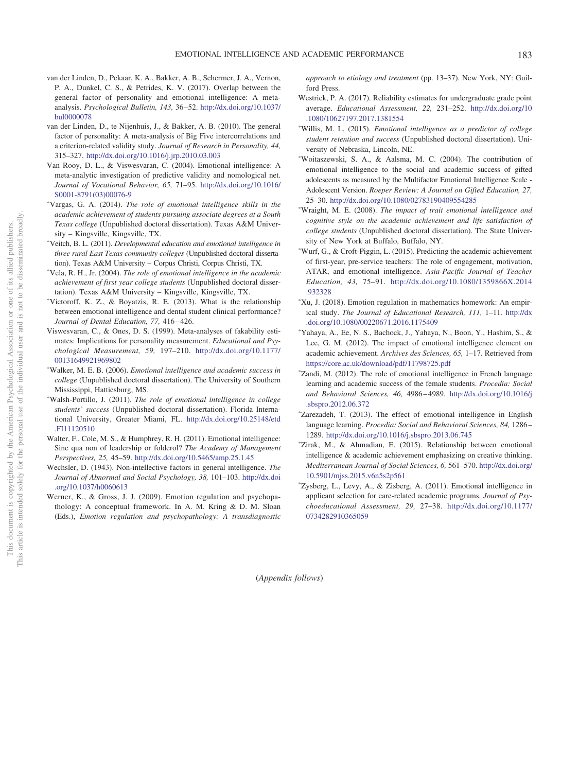- <span id="page-33-1"></span>van der Linden, D., Pekaar, K. A., Bakker, A. B., Schermer, J. A., Vernon, P. A., Dunkel, C. S., & Petrides, K. V. (2017). Overlap between the general factor of personality and emotional intelligence: A metaanalysis. *Psychological Bulletin, 143,* 36 –52. [http://dx.doi.org/10.1037/](http://dx.doi.org/10.1037/bul0000078) [bul0000078](http://dx.doi.org/10.1037/bul0000078)
- <span id="page-33-3"></span>van der Linden, D., te Nijenhuis, J., & Bakker, A. B. (2010). The general factor of personality: A meta-analysis of Big Five intercorrelations and a criterion-related validity study. *Journal of Research in Personality, 44,* 315–327. <http://dx.doi.org/10.1016/j.jrp.2010.03.003>
- <span id="page-33-2"></span>Van Rooy, D. L., & Viswesvaran, C. (2004). Emotional intelligence: A meta-analytic investigation of predictive validity and nomological net. *Journal of Vocational Behavior, 65,* 71–95. [http://dx.doi.org/10.1016/](http://dx.doi.org/10.1016/S0001-8791%2803%2900076-9) [S0001-8791\(03\)00076-9](http://dx.doi.org/10.1016/S0001-8791%2803%2900076-9)
- Vargas, G. A. (2014). *The role of emotional intelligence skills in the academic achievement of students pursuing associate degrees at a South Texas college* (Unpublished doctoral dissertation). Texas A&M University – Kingsville, Kingsville, TX.
- Veitch, B. L. (2011). *Developmental education and emotional intelligence in three rural East Texas community colleges* (Unpublished doctoral dissertation). Texas A&M University – Corpus Christi, Corpus Christi, TX.
- -Vela, R. H., Jr. (2004). *The role of emotional intelligence in the academic achievement of first year college students* (Unpublished doctoral dissertation). Texas A&M University – Kingsville, Kingsville, TX.
- Victoroff, K. Z., & Boyatzis, R. E. (2013). What is the relationship between emotional intelligence and dental student clinical performance? *Journal of Dental Education, 77,* 416 – 426.
- <span id="page-33-7"></span>Viswesvaran, C., & Ones, D. S. (1999). Meta-analyses of fakability estimates: Implications for personality measurement. *Educational and Psychological Measurement, 59,* 197–210. [http://dx.doi.org/10.1177/](http://dx.doi.org/10.1177/00131649921969802) [00131649921969802](http://dx.doi.org/10.1177/00131649921969802)
- Walker, M. E. B. (2006). *Emotional intelligence and academic success in college* (Unpublished doctoral dissertation). The University of Southern Mississippi, Hattiesburg, MS.
- Walsh-Portillo, J. (2011). *The role of emotional intelligence in college students' success* (Unpublished doctoral dissertation). Florida International University, Greater Miami, FL. [http://dx.doi.org/10.25148/etd](http://dx.doi.org/10.25148/etd.FI11120510) [.FI11120510](http://dx.doi.org/10.25148/etd.FI11120510)
- <span id="page-33-5"></span>Walter, F., Cole, M. S., & Humphrey, R. H. (2011). Emotional intelligence: Sine qua non of leadership or folderol? *The Academy of Management Perspectives, 25,* 45–59. <http://dx.doi.org/10.5465/amp.25.1.45>
- <span id="page-33-4"></span>Wechsler, D. (1943). Non-intellective factors in general intelligence. *The Journal of Abnormal and Social Psychology, 38,* 101–103. [http://dx.doi](http://dx.doi.org/10.1037/h0060613) [.org/10.1037/h0060613](http://dx.doi.org/10.1037/h0060613)
- <span id="page-33-0"></span>Werner, K., & Gross, J. J. (2009). Emotion regulation and psychopathology: A conceptual framework. In A. M. Kring & D. M. Sloan (Eds.), *Emotion regulation and psychopathology: A transdiagnostic*

*approach to etiology and treatment* (pp. 13–37). New York, NY: Guilford Press.

- <span id="page-33-6"></span>Westrick, P. A. (2017). Reliability estimates for undergraduate grade point average. *Educational Assessment, 22,* 231–252. [http://dx.doi.org/10](http://dx.doi.org/10.1080/10627197.2017.1381554) [.1080/10627197.2017.1381554](http://dx.doi.org/10.1080/10627197.2017.1381554)
- -Willis, M. L. (2015). *Emotional intelligence as a predictor of college student retention and success* (Unpublished doctoral dissertation). University of Nebraska, Lincoln, NE.
- -Woitaszewski, S. A., & Aalsma, M. C. (2004). The contribution of emotional intelligence to the social and academic success of gifted adolescents as measured by the Multifactor Emotional Intelligence Scale - Adolescent Version. *Roeper Review: A Journal on Gifted Education, 27,* 25–30. <http://dx.doi.org/10.1080/02783190409554285>
- Wraight, M. E. (2008). *The impact of trait emotional intelligence and cognitive style on the academic achievement and life satisfaction of college students* (Unpublished doctoral dissertation). The State University of New York at Buffalo, Buffalo, NY.
- Wurf, G., & Croft-Piggin, L. (2015). Predicting the academic achievement of first-year, pre-service teachers: The role of engagement, motivation, ATAR, and emotional intelligence. *Asia-Pacific Journal of Teacher Education, 43,* 75–91. [http://dx.doi.org/10.1080/1359866X.2014](http://dx.doi.org/10.1080/1359866X.2014.932328) [.932328](http://dx.doi.org/10.1080/1359866X.2014.932328)
- Xu, J. (2018). Emotion regulation in mathematics homework: An empirical study. *The Journal of Educational Research, 111,* 1–11. [http://dx](http://dx.doi.org/10.1080/00220671.2016.1175409) [.doi.org/10.1080/00220671.2016.1175409](http://dx.doi.org/10.1080/00220671.2016.1175409)
- Yahaya, A., Ee, N. S., Bachock, J., Yahaya, N., Boon, Y., Hashim, S., & Lee, G. M. (2012). The impact of emotional intelligence element on academic achievement. *Archives des Sciences, 65,* 1–17. Retrieved from <https://core.ac.uk/download/pdf/11798725.pdf>
- Zandi, M. (2012). The role of emotional intelligence in French language learning and academic success of the female students. *Procedia: Social and Behavioral Sciences, 46,* 4986 – 4989. [http://dx.doi.org/10.1016/j](http://dx.doi.org/10.1016/j.sbspro.2012.06.372) [.sbspro.2012.06.372](http://dx.doi.org/10.1016/j.sbspro.2012.06.372)
- Zarezadeh, T. (2013). The effect of emotional intelligence in English language learning. *Procedia: Social and Behavioral Sciences, 84,* 1286 – 1289. <http://dx.doi.org/10.1016/j.sbspro.2013.06.745>
- Zirak, M., & Ahmadian, E. (2015). Relationship between emotional intelligence & academic achievement emphasizing on creative thinking. *Mediterranean Journal of Social Sciences, 6,* 561–570. [http://dx.doi.org/](http://dx.doi.org/10.5901/mjss.2015.v6n5s2p561) [10.5901/mjss.2015.v6n5s2p561](http://dx.doi.org/10.5901/mjss.2015.v6n5s2p561)
- Zysberg, L., Levy, A., & Zisberg, A. (2011). Emotional intelligence in applicant selection for care-related academic programs. *Journal of Psychoeducational Assessment, 29,* 27–38. [http://dx.doi.org/10.1177/](http://dx.doi.org/10.1177/0734282910365059) [0734282910365059](http://dx.doi.org/10.1177/0734282910365059)

(*Appendix follows*)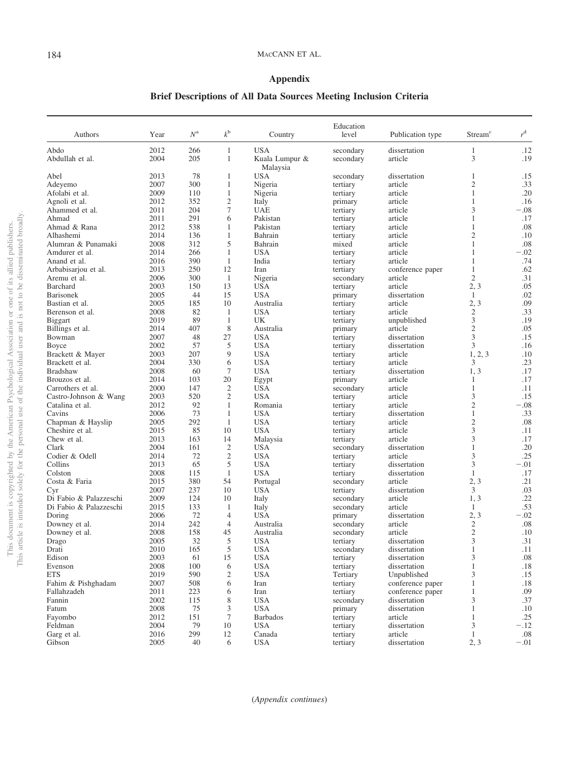## <span id="page-34-0"></span>**Appendix**

## **Brief Descriptions of All Data Sources Meeting Inclusion Criteria**

| Authors                           | Year         | $N^{\rm a}$ | $k^{\rm b}$       | Country                       | Education<br>level    | Publication type        | Stream <sup>c</sup> | $r^{\rm d}$   |
|-----------------------------------|--------------|-------------|-------------------|-------------------------------|-----------------------|-------------------------|---------------------|---------------|
| Abdo                              | 2012         | 266         | $\mathbf{1}$      | <b>USA</b>                    | secondary             | dissertation            | $\mathbf{1}$        | .12           |
| Abdullah et al.                   | 2004         | 205         | 1                 | Kuala Lumpur &<br>Malaysia    | secondary             | article                 | 3                   | .19           |
| Abel                              | 2013         | 78          | 1                 | <b>USA</b>                    | secondary             | dissertation            | $\mathbf{1}$        | .15           |
| Adeyemo                           | 2007         | 300         | 1                 | Nigeria                       | tertiary              | article                 | $\overline{2}$      | .33           |
| Afolabi et al.                    | 2009         | 110         | $\mathbf{1}$      | Nigeria                       | tertiary              | article                 | $\mathbf{1}$        | .20           |
| Agnoli et al.                     | 2012         | 352         | $\mathfrak{2}$    | Italy                         | primary               | article                 | $\mathbf{1}$        | .16           |
| Ahammed et al.                    | 2011         | 204         | 7                 | <b>UAE</b>                    | tertiary              | article                 | 3                   | $-.08$        |
| Ahmad                             | 2011         | 291         | 6                 | Pakistan                      | tertiary              | article                 | 1                   | .17           |
| Ahmad & Rana                      | 2012         | 538         | 1                 | Pakistan                      | tertiary              | article                 | $\mathbf{1}$        | .08           |
| Alhashemi                         | 2014         | 136         | 1                 | Bahrain                       | tertiary              | article                 | $\overline{2}$      | .10           |
| Alumran & Punamaki                | 2008         | 312         | 5                 | Bahrain                       | mixed                 | article                 | $\mathbf{1}$        | .08           |
| Amdurer et al.                    | 2014         | 266         | 1                 | <b>USA</b>                    | tertiary              | article                 | 1                   | $-.02$        |
| Anand et al.                      | 2016         | 390         | 1                 | India                         | tertiary              | article                 | 1                   | .74           |
| Arbabisarjou et al.               | 2013         | 250         | 12                | Iran                          | tertiary              | conference paper        | 1                   | .62           |
| Aremu et al.                      | 2006         | 300         | 1                 | Nigeria                       | secondary             | article                 | $\overline{c}$      | .31           |
| <b>Barchard</b>                   | 2003         | 150         | 13                | <b>USA</b>                    | tertiary              | article                 | 2, 3                | .05           |
| <b>Barisonek</b>                  | 2005         | 44          | 15                | <b>USA</b>                    | primary               | dissertation            | 1                   | .02           |
| Bastian et al.                    | 2005         | 185         | 10                | Australia                     | tertiary              | article                 | 2, 3                | .09           |
| Berenson et al.                   | 2008         | 82<br>89    | 1<br>$\mathbf{1}$ | <b>USA</b>                    | tertiary              | article                 | $\mathfrak{2}$<br>3 | .33<br>.19    |
| <b>Biggart</b><br>Billings et al. | 2019<br>2014 | 407         | 8                 | UK<br>Australia               | tertiary<br>primary   | unpublished<br>article  | $\mathfrak{2}$      | .05           |
| Bowman                            | 2007         | 48          | 27                | <b>USA</b>                    | tertiary              | dissertation            | 3                   | .15           |
| Boyce                             | 2002         | 57          | 5                 | <b>USA</b>                    | tertiary              | dissertation            | 3                   | .16           |
| Brackett & Mayer                  | 2003         | 207         | 9                 | <b>USA</b>                    | tertiary              | article                 | 1, 2, 3             | .10           |
| Brackett et al.                   | 2004         | 330         | 6                 | <b>USA</b>                    | tertiary              | article                 | 3                   | .23           |
| <b>Bradshaw</b>                   | 2008         | 60          | 7                 | <b>USA</b>                    | tertiary              | dissertation            | 1, 3                | .17           |
| Brouzos et al.                    | 2014         | 103         | 20                | Egypt                         | primary               | article                 | 1                   | .17           |
| Carrothers et al.                 | 2000         | 147         | $\overline{2}$    | <b>USA</b>                    | secondary             | article                 | 1                   | .11           |
| Castro-Johnson & Wang             | 2003         | 520         | $\overline{2}$    | <b>USA</b>                    | tertiary              | article                 | 3                   | .15           |
| Catalina et al.                   | 2012         | 92          | 1                 | Romania                       | tertiary              | article                 | $\overline{2}$      | $-.08$        |
| Cavins                            | 2006         | 73          | 1                 | <b>USA</b>                    | tertiary              | dissertation            | $\mathbf{1}$        | .33           |
| Chapman & Hayslip                 | 2005         | 292         | 1                 | <b>USA</b>                    | tertiary              | article                 | $\overline{2}$      | .08           |
| Cheshire et al.                   | 2015         | 85          | 10                | <b>USA</b>                    | tertiary              | article                 | 3                   | .11           |
| Chew et al.                       | 2013         | 163         | 14                | Malaysia                      | tertiary              | article                 | 3                   | .17           |
| Clark                             | 2004         | 161         | $\mathfrak{2}$    | <b>USA</b>                    | secondary             | dissertation            | $\mathbf{1}$        | .20           |
| Codier & Odell                    | 2014         | 72          | $\mathfrak{2}$    | <b>USA</b>                    | tertiary              | article                 | 3                   | .25           |
| Collins<br>Colston                | 2013         | 65          | 5<br>1            | <b>USA</b>                    | tertiary              | dissertation            | 3                   | $-.01$        |
| Costa & Faria                     | 2008<br>2015 | 115<br>380  | 54                | <b>USA</b><br>Portugal        | tertiary<br>secondary | dissertation<br>article | 1<br>2, 3           | .17<br>.21    |
| Cyr                               | 2007         | 237         | 10                | <b>USA</b>                    | tertiary              | dissertation            | 3                   | .03           |
| Di Fabio & Palazzeschi            | 2009         | 124         | 10                | Italy                         | secondary             | article                 | 1, 3                | .22           |
| Di Fabio & Palazzeschi            | 2015         | 133         | 1                 | Italy                         | secondary             | article                 | 1                   | .53           |
| Doring                            | 2006         | 72          | $\overline{4}$    | <b>USA</b>                    | primary               | dissertation            | 2, 3                | $-.02$        |
| Downey et al.                     | 2014         | 242         | $\overline{4}$    | Australia                     | secondary             | article                 | $\mathfrak{2}$      | .08           |
| Downey et al.                     | 2008         | 158         | 45                | Australia                     | secondary             | article                 | $\sqrt{2}$          | .10           |
| Drago                             | 2005         | 32          | 5                 | <b>USA</b>                    | tertiary              | dissertation            | 3                   | .31           |
| Drati                             | 2010         | 165         | 5                 | <b>USA</b>                    | secondary             | dissertation            | 1                   | .11           |
| Edison                            | 2003         | 61          | 15                | USA                           | tertiary              | dissertation            | 3                   | .08           |
| Evenson                           | 2008         | 100         | 6                 | <b>USA</b>                    | tertiary              | dissertation            | $\mathbf{1}$        | .18           |
| <b>ETS</b>                        | 2019         | 590         | $\sqrt{2}$        | <b>USA</b>                    | Tertiary              | Unpublished             | 3                   | .15           |
| Fahim & Pishghadam                | 2007         | 508         | 6                 | Iran                          | tertiary              | conference paper        | $\mathbf{1}$        | .18           |
| Fallahzadeh                       | 2011         | 223         | 6                 | Iran                          | tertiary              | conference paper        | $\mathbf{1}$        | .09           |
| Fannin                            | 2002         | 115         | 8                 | <b>USA</b>                    | secondary             | dissertation            | 3                   | .37           |
| Fatum                             | 2008         | 75          | 3                 | <b>USA</b>                    | primary               | dissertation            | $\mathbf{1}$        | .10           |
| Fayombo<br>Feldman                | 2012<br>2004 | 151<br>79   | $\tau$<br>10      | <b>Barbados</b><br><b>USA</b> | tertiary<br>tertiary  | article<br>dissertation | $\mathbf{1}$        | .25<br>$-.12$ |
| Garg et al.                       | 2016         | 299         | 12                | Canada                        | tertiary              | article                 | 3<br>$\mathbf{1}$   | .08           |
| Gibson                            | 2005         | 40          | 6                 | <b>USA</b>                    | tertiary              | dissertation            | 2, 3                | $-.01$        |
|                                   |              |             |                   |                               |                       |                         |                     |               |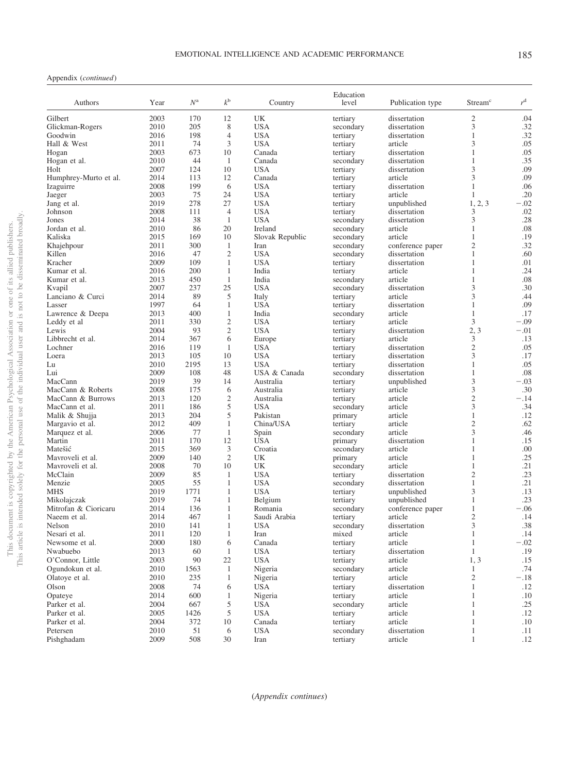## Appendix (*continued*)

| 2003<br>170<br>12<br>UK<br>dissertation<br>$\overline{c}$<br>.04<br>Gilbert<br>tertiary<br>3<br>205<br>8<br><b>USA</b><br>.32<br>Glickman-Rogers<br>2010<br>secondary<br>dissertation<br>198<br><b>USA</b><br>$\mathbf{1}$<br>.32<br>2016<br>4<br>dissertation<br>Goodwin<br>tertiary<br>74<br><b>USA</b><br>3<br>.05<br>Hall & West<br>2011<br>3<br>tertiary<br>article<br>673<br>2003<br>10<br>Canada<br>dissertation<br>$\mathbf{1}$<br>.05<br>tertiary<br>Hogan<br>44<br>2010<br>Canada<br>dissertation<br>$\mathbf{1}$<br>.35<br>Hogan et al.<br>1<br>secondary<br>2007<br>124<br>10<br><b>USA</b><br>3<br>.09<br>tertiary<br>dissertation<br>Holt<br>2014<br>12<br>3<br>.09<br>113<br>Canada<br>tertiary<br>article<br>Humphrey-Murto et al.<br>2008<br>199<br>$\mathbf{1}$<br>6<br><b>USA</b><br>tertiary<br>dissertation<br>.06<br>Izaguirre<br>2003<br>75<br>24<br><b>USA</b><br>article<br>1<br>.20<br>Jaeger<br>tertiary<br>278<br>27<br>2019<br><b>USA</b><br>1, 2, 3<br>$-.02$<br>Jang et al.<br>tertiary<br>unpublished<br>2008<br>111<br>$\overline{4}$<br><b>USA</b><br>dissertation<br>3<br>.02<br>Johnson<br>tertiary<br>38<br><b>USA</b><br>3<br>.28<br>2014<br>$\mathbf{1}$<br>Jones<br>secondary<br>dissertation<br>86<br>20<br>.08<br>Jordan et al.<br>2010<br>Ireland<br>1<br>secondary<br>article<br>Kaliska<br>2015<br>169<br>10<br>Slovak Republic<br>article<br>.19<br>secondary<br>1<br>300<br>$\mathfrak{2}$<br>.32<br>2011<br>$\mathbf{1}$<br>conference paper<br>Khajehpour<br>Iran<br>secondary<br>Killen<br>$\overline{c}$<br><b>USA</b><br>$\mathbf{1}$<br>.60<br>2016<br>47<br>dissertation<br>secondary<br>2009<br>109<br>$\mathbf{1}$<br><b>USA</b><br>$\mathbf{1}$<br>.01<br>Kracher<br>tertiary<br>dissertation<br>.24<br>2016<br>200<br>1<br>India<br>tertiary<br>article<br>1<br>Kumar et al.<br>2013<br>450<br>$\mathbf{1}$<br>India<br>article<br>1<br>.08<br>Kumar et al.<br>secondary<br>3<br>237<br>25<br>.30<br>2007<br><b>USA</b><br>dissertation<br>Kvapil<br>secondary<br>89<br>5<br>3<br>2014<br>article<br>.44<br>Lanciano & Curci<br>Italy<br>tertiary<br>1997<br>64<br><b>USA</b><br>$\mathbf{1}$<br>.09<br>$\mathbf{1}$<br>dissertation<br>Lasser<br>tertiary<br>400<br>Lawrence & Deepa<br>2013<br>1<br>India<br>secondary<br>article<br>1<br>.17<br>3<br>330<br>$\mathfrak{2}$<br>$-.09$<br>2011<br><b>USA</b><br>article<br>Leddy et al<br>tertiary<br>$\overline{c}$<br>2004<br>93<br>2, 3<br>$-.01$<br><b>USA</b><br>dissertation<br>Lewis<br>tertiary<br>3<br>Libbrecht et al.<br>2014<br>367<br>6<br>tertiary<br>article<br>.13<br>Europe<br>$\overline{c}$<br>2016<br>.05<br>Lochner<br>119<br>1<br><b>USA</b><br>tertiary<br>dissertation<br>105<br>10<br>3<br>Loera<br>2013<br><b>USA</b><br>tertiary<br>dissertation<br>.17<br>2010<br>2195<br>13<br><b>USA</b><br>1<br>.05<br>Lu<br>tertiary<br>dissertation<br>108<br>48<br>Lui<br>2009<br>USA & Canada<br>$\mathbf{1}$<br>.08<br>secondary<br>dissertation<br>3<br>39<br>MacCann<br>2019<br>14<br>$-.03$<br>Australia<br>tertiary<br>unpublished<br>2008<br>175<br>3<br>.30<br>MacCann & Roberts<br>6<br>article<br>Australia<br>tertiary<br>$\sqrt{2}$<br>120<br>MacCann & Burrows<br>2013<br>2<br>article<br>$-.14$<br>Australia<br>tertiary<br>3<br>5<br>2011<br>186<br><b>USA</b><br>article<br>.34<br>MacCann et al.<br>secondary<br>204<br>5<br>$\mathbf{1}$<br>.12<br>2013<br>Pakistan<br>article<br>Malik & Shujja<br>primary<br>$\mathfrak{2}$<br>409<br>article<br>.62<br>2012<br>1<br>China/USA<br>tertiary<br>Margavio et al.<br>3<br>2006<br>77<br>$\mathbf{1}$<br>.46<br>article<br>Marquez et al.<br>Spain<br>secondary<br>170<br>12<br><b>USA</b><br>Martin<br>2011<br>1<br>.15<br>primary<br>dissertation<br>369<br>3<br>Matešić<br>2015<br>1<br>.00<br>Croatia<br>secondary<br>article<br>$\mathfrak{2}$<br>.25<br>2009<br>140<br>1<br>Mavroveli et al.<br>UK<br>primary<br>article<br>70<br>10<br>.21<br>2008<br>UK<br>article<br>$\mathbf{1}$<br>Mavroveli et al.<br>secondary<br>$\overline{c}$<br>85<br><b>USA</b><br>.23<br>McClain<br>2009<br>1<br>dissertation<br>tertiary<br>55<br>.21<br>2005<br>1<br><b>USA</b><br>1<br>Menzie<br>secondary<br>dissertation<br>3<br>1771<br><b>MHS</b><br>2019<br>1<br><b>USA</b><br>.13<br>tertiary<br>unpublished<br>.23<br>2019<br>74<br>$\mathbf{1}$<br>Belgium<br>Mikolajczak<br>tertiary<br>unpublished<br>1<br>136<br>$-.06$<br>Mitrofan & Cioricaru<br>2014<br>1<br>Romania<br>conference paper<br>$\mathbf{1}$<br>secondary<br>$\overline{c}$<br>2014<br>467<br>1<br>Saudi Arabia<br>.14<br>tertiary<br>article<br>Naeem et al.<br>2010<br>3<br>.38<br>Nelson<br>141<br>$\mathbf{1}$<br><b>USA</b><br>secondary<br>dissertation<br>$\mathbf{1}$<br>2011<br>120<br>$\mathbf{1}$<br>article<br>.14<br>Nesari et al.<br>Iran<br>mixed<br>tertiary<br>$-.02$<br>Newsome et al.<br>2000<br>180<br>6<br>Canada<br>article<br>$\mathbf{1}$<br>$\mathbf{1}$<br>Nwabuebo<br>2013<br>60<br><b>USA</b><br>tertiary<br>dissertation<br>.19<br>1<br>O'Connor, Little<br>2003<br>90<br>22<br><b>USA</b><br>tertiary<br>article<br>1, 3<br>.15<br>.74<br>Ogundokun et al.<br>2010<br>1563<br>Nigeria<br>secondary<br>article<br>$\mathbf{1}$<br>1<br>$\mathfrak{2}$<br>$-.18$<br>Olatoye et al.<br>2010<br>235<br>1<br>Nigeria<br>tertiary<br>article<br>Olson<br>2008<br>74<br><b>USA</b><br>tertiary<br>dissertation<br>$\mathbf{1}$<br>.12<br>6<br>Opateye<br>2014<br>600<br>1<br>Nigeria<br>tertiary<br>article<br>$\mathbf{1}$<br>.10<br>$\mathbf{1}$<br>Parker et al.<br>2004<br>667<br>5<br><b>USA</b><br>secondary<br>article<br>.25<br>Parker et al.<br>2005<br>1426<br>5<br><b>USA</b><br>tertiary<br>article<br>$\mathbf{1}$<br>.12<br>$\mathbf{1}$<br>Parker et al.<br>2004<br>372<br>10<br>Canada<br>tertiary<br>article<br>.10<br>Petersen<br>2010<br>51<br>6<br><b>USA</b><br>secondary<br>dissertation<br>$\mathbf{1}$<br>.11<br>$\mathbf{1}$<br>Pishghadam<br>2009<br>508<br>30<br>Iran<br>tertiary<br>article<br>.12 | Authors | Year | $N^{\rm a}$ | $k^{\rm b}$ | Country | Education<br>level | Publication type | Stream <sup>c</sup> | $r^{\rm d}$ |
|-------------------------------------------------------------------------------------------------------------------------------------------------------------------------------------------------------------------------------------------------------------------------------------------------------------------------------------------------------------------------------------------------------------------------------------------------------------------------------------------------------------------------------------------------------------------------------------------------------------------------------------------------------------------------------------------------------------------------------------------------------------------------------------------------------------------------------------------------------------------------------------------------------------------------------------------------------------------------------------------------------------------------------------------------------------------------------------------------------------------------------------------------------------------------------------------------------------------------------------------------------------------------------------------------------------------------------------------------------------------------------------------------------------------------------------------------------------------------------------------------------------------------------------------------------------------------------------------------------------------------------------------------------------------------------------------------------------------------------------------------------------------------------------------------------------------------------------------------------------------------------------------------------------------------------------------------------------------------------------------------------------------------------------------------------------------------------------------------------------------------------------------------------------------------------------------------------------------------------------------------------------------------------------------------------------------------------------------------------------------------------------------------------------------------------------------------------------------------------------------------------------------------------------------------------------------------------------------------------------------------------------------------------------------------------------------------------------------------------------------------------------------------------------------------------------------------------------------------------------------------------------------------------------------------------------------------------------------------------------------------------------------------------------------------------------------------------------------------------------------------------------------------------------------------------------------------------------------------------------------------------------------------------------------------------------------------------------------------------------------------------------------------------------------------------------------------------------------------------------------------------------------------------------------------------------------------------------------------------------------------------------------------------------------------------------------------------------------------------------------------------------------------------------------------------------------------------------------------------------------------------------------------------------------------------------------------------------------------------------------------------------------------------------------------------------------------------------------------------------------------------------------------------------------------------------------------------------------------------------------------------------------------------------------------------------------------------------------------------------------------------------------------------------------------------------------------------------------------------------------------------------------------------------------------------------------------------------------------------------------------------------------------------------------------------------------------------------------------------------------------------------------------------------------------------------------------------------------------------------------------------------------------------------------------------------------------------------------------------------------------------------------------------------------------------------------------------------------------------------------------------------------------------------------------------------------------------------------------------------------------------------------------------------------------------------------------------------------------------------------------------------------------------------------------------------------------------------------------------------------------------------------------------------------------------------------------------------------------------------------------------------------------------------------------------------------------------------------------------------------------------------------------------------------------------------------------------------------------------------------------------------------------------------------------------------------------------------------------------------------------------------------|---------|------|-------------|-------------|---------|--------------------|------------------|---------------------|-------------|
|                                                                                                                                                                                                                                                                                                                                                                                                                                                                                                                                                                                                                                                                                                                                                                                                                                                                                                                                                                                                                                                                                                                                                                                                                                                                                                                                                                                                                                                                                                                                                                                                                                                                                                                                                                                                                                                                                                                                                                                                                                                                                                                                                                                                                                                                                                                                                                                                                                                                                                                                                                                                                                                                                                                                                                                                                                                                                                                                                                                                                                                                                                                                                                                                                                                                                                                                                                                                                                                                                                                                                                                                                                                                                                                                                                                                                                                                                                                                                                                                                                                                                                                                                                                                                                                                                                                                                                                                                                                                                                                                                                                                                                                                                                                                                                                                                                                                                                                                                                                                                                                                                                                                                                                                                                                                                                                                                                                                                                                                                                                                                                                                                                                                                                                                                                                                                                                                                                                                                                                                                   |         |      |             |             |         |                    |                  |                     |             |
|                                                                                                                                                                                                                                                                                                                                                                                                                                                                                                                                                                                                                                                                                                                                                                                                                                                                                                                                                                                                                                                                                                                                                                                                                                                                                                                                                                                                                                                                                                                                                                                                                                                                                                                                                                                                                                                                                                                                                                                                                                                                                                                                                                                                                                                                                                                                                                                                                                                                                                                                                                                                                                                                                                                                                                                                                                                                                                                                                                                                                                                                                                                                                                                                                                                                                                                                                                                                                                                                                                                                                                                                                                                                                                                                                                                                                                                                                                                                                                                                                                                                                                                                                                                                                                                                                                                                                                                                                                                                                                                                                                                                                                                                                                                                                                                                                                                                                                                                                                                                                                                                                                                                                                                                                                                                                                                                                                                                                                                                                                                                                                                                                                                                                                                                                                                                                                                                                                                                                                                                                   |         |      |             |             |         |                    |                  |                     |             |
|                                                                                                                                                                                                                                                                                                                                                                                                                                                                                                                                                                                                                                                                                                                                                                                                                                                                                                                                                                                                                                                                                                                                                                                                                                                                                                                                                                                                                                                                                                                                                                                                                                                                                                                                                                                                                                                                                                                                                                                                                                                                                                                                                                                                                                                                                                                                                                                                                                                                                                                                                                                                                                                                                                                                                                                                                                                                                                                                                                                                                                                                                                                                                                                                                                                                                                                                                                                                                                                                                                                                                                                                                                                                                                                                                                                                                                                                                                                                                                                                                                                                                                                                                                                                                                                                                                                                                                                                                                                                                                                                                                                                                                                                                                                                                                                                                                                                                                                                                                                                                                                                                                                                                                                                                                                                                                                                                                                                                                                                                                                                                                                                                                                                                                                                                                                                                                                                                                                                                                                                                   |         |      |             |             |         |                    |                  |                     |             |
|                                                                                                                                                                                                                                                                                                                                                                                                                                                                                                                                                                                                                                                                                                                                                                                                                                                                                                                                                                                                                                                                                                                                                                                                                                                                                                                                                                                                                                                                                                                                                                                                                                                                                                                                                                                                                                                                                                                                                                                                                                                                                                                                                                                                                                                                                                                                                                                                                                                                                                                                                                                                                                                                                                                                                                                                                                                                                                                                                                                                                                                                                                                                                                                                                                                                                                                                                                                                                                                                                                                                                                                                                                                                                                                                                                                                                                                                                                                                                                                                                                                                                                                                                                                                                                                                                                                                                                                                                                                                                                                                                                                                                                                                                                                                                                                                                                                                                                                                                                                                                                                                                                                                                                                                                                                                                                                                                                                                                                                                                                                                                                                                                                                                                                                                                                                                                                                                                                                                                                                                                   |         |      |             |             |         |                    |                  |                     |             |
|                                                                                                                                                                                                                                                                                                                                                                                                                                                                                                                                                                                                                                                                                                                                                                                                                                                                                                                                                                                                                                                                                                                                                                                                                                                                                                                                                                                                                                                                                                                                                                                                                                                                                                                                                                                                                                                                                                                                                                                                                                                                                                                                                                                                                                                                                                                                                                                                                                                                                                                                                                                                                                                                                                                                                                                                                                                                                                                                                                                                                                                                                                                                                                                                                                                                                                                                                                                                                                                                                                                                                                                                                                                                                                                                                                                                                                                                                                                                                                                                                                                                                                                                                                                                                                                                                                                                                                                                                                                                                                                                                                                                                                                                                                                                                                                                                                                                                                                                                                                                                                                                                                                                                                                                                                                                                                                                                                                                                                                                                                                                                                                                                                                                                                                                                                                                                                                                                                                                                                                                                   |         |      |             |             |         |                    |                  |                     |             |
|                                                                                                                                                                                                                                                                                                                                                                                                                                                                                                                                                                                                                                                                                                                                                                                                                                                                                                                                                                                                                                                                                                                                                                                                                                                                                                                                                                                                                                                                                                                                                                                                                                                                                                                                                                                                                                                                                                                                                                                                                                                                                                                                                                                                                                                                                                                                                                                                                                                                                                                                                                                                                                                                                                                                                                                                                                                                                                                                                                                                                                                                                                                                                                                                                                                                                                                                                                                                                                                                                                                                                                                                                                                                                                                                                                                                                                                                                                                                                                                                                                                                                                                                                                                                                                                                                                                                                                                                                                                                                                                                                                                                                                                                                                                                                                                                                                                                                                                                                                                                                                                                                                                                                                                                                                                                                                                                                                                                                                                                                                                                                                                                                                                                                                                                                                                                                                                                                                                                                                                                                   |         |      |             |             |         |                    |                  |                     |             |
|                                                                                                                                                                                                                                                                                                                                                                                                                                                                                                                                                                                                                                                                                                                                                                                                                                                                                                                                                                                                                                                                                                                                                                                                                                                                                                                                                                                                                                                                                                                                                                                                                                                                                                                                                                                                                                                                                                                                                                                                                                                                                                                                                                                                                                                                                                                                                                                                                                                                                                                                                                                                                                                                                                                                                                                                                                                                                                                                                                                                                                                                                                                                                                                                                                                                                                                                                                                                                                                                                                                                                                                                                                                                                                                                                                                                                                                                                                                                                                                                                                                                                                                                                                                                                                                                                                                                                                                                                                                                                                                                                                                                                                                                                                                                                                                                                                                                                                                                                                                                                                                                                                                                                                                                                                                                                                                                                                                                                                                                                                                                                                                                                                                                                                                                                                                                                                                                                                                                                                                                                   |         |      |             |             |         |                    |                  |                     |             |
|                                                                                                                                                                                                                                                                                                                                                                                                                                                                                                                                                                                                                                                                                                                                                                                                                                                                                                                                                                                                                                                                                                                                                                                                                                                                                                                                                                                                                                                                                                                                                                                                                                                                                                                                                                                                                                                                                                                                                                                                                                                                                                                                                                                                                                                                                                                                                                                                                                                                                                                                                                                                                                                                                                                                                                                                                                                                                                                                                                                                                                                                                                                                                                                                                                                                                                                                                                                                                                                                                                                                                                                                                                                                                                                                                                                                                                                                                                                                                                                                                                                                                                                                                                                                                                                                                                                                                                                                                                                                                                                                                                                                                                                                                                                                                                                                                                                                                                                                                                                                                                                                                                                                                                                                                                                                                                                                                                                                                                                                                                                                                                                                                                                                                                                                                                                                                                                                                                                                                                                                                   |         |      |             |             |         |                    |                  |                     |             |
|                                                                                                                                                                                                                                                                                                                                                                                                                                                                                                                                                                                                                                                                                                                                                                                                                                                                                                                                                                                                                                                                                                                                                                                                                                                                                                                                                                                                                                                                                                                                                                                                                                                                                                                                                                                                                                                                                                                                                                                                                                                                                                                                                                                                                                                                                                                                                                                                                                                                                                                                                                                                                                                                                                                                                                                                                                                                                                                                                                                                                                                                                                                                                                                                                                                                                                                                                                                                                                                                                                                                                                                                                                                                                                                                                                                                                                                                                                                                                                                                                                                                                                                                                                                                                                                                                                                                                                                                                                                                                                                                                                                                                                                                                                                                                                                                                                                                                                                                                                                                                                                                                                                                                                                                                                                                                                                                                                                                                                                                                                                                                                                                                                                                                                                                                                                                                                                                                                                                                                                                                   |         |      |             |             |         |                    |                  |                     |             |
|                                                                                                                                                                                                                                                                                                                                                                                                                                                                                                                                                                                                                                                                                                                                                                                                                                                                                                                                                                                                                                                                                                                                                                                                                                                                                                                                                                                                                                                                                                                                                                                                                                                                                                                                                                                                                                                                                                                                                                                                                                                                                                                                                                                                                                                                                                                                                                                                                                                                                                                                                                                                                                                                                                                                                                                                                                                                                                                                                                                                                                                                                                                                                                                                                                                                                                                                                                                                                                                                                                                                                                                                                                                                                                                                                                                                                                                                                                                                                                                                                                                                                                                                                                                                                                                                                                                                                                                                                                                                                                                                                                                                                                                                                                                                                                                                                                                                                                                                                                                                                                                                                                                                                                                                                                                                                                                                                                                                                                                                                                                                                                                                                                                                                                                                                                                                                                                                                                                                                                                                                   |         |      |             |             |         |                    |                  |                     |             |
|                                                                                                                                                                                                                                                                                                                                                                                                                                                                                                                                                                                                                                                                                                                                                                                                                                                                                                                                                                                                                                                                                                                                                                                                                                                                                                                                                                                                                                                                                                                                                                                                                                                                                                                                                                                                                                                                                                                                                                                                                                                                                                                                                                                                                                                                                                                                                                                                                                                                                                                                                                                                                                                                                                                                                                                                                                                                                                                                                                                                                                                                                                                                                                                                                                                                                                                                                                                                                                                                                                                                                                                                                                                                                                                                                                                                                                                                                                                                                                                                                                                                                                                                                                                                                                                                                                                                                                                                                                                                                                                                                                                                                                                                                                                                                                                                                                                                                                                                                                                                                                                                                                                                                                                                                                                                                                                                                                                                                                                                                                                                                                                                                                                                                                                                                                                                                                                                                                                                                                                                                   |         |      |             |             |         |                    |                  |                     |             |
|                                                                                                                                                                                                                                                                                                                                                                                                                                                                                                                                                                                                                                                                                                                                                                                                                                                                                                                                                                                                                                                                                                                                                                                                                                                                                                                                                                                                                                                                                                                                                                                                                                                                                                                                                                                                                                                                                                                                                                                                                                                                                                                                                                                                                                                                                                                                                                                                                                                                                                                                                                                                                                                                                                                                                                                                                                                                                                                                                                                                                                                                                                                                                                                                                                                                                                                                                                                                                                                                                                                                                                                                                                                                                                                                                                                                                                                                                                                                                                                                                                                                                                                                                                                                                                                                                                                                                                                                                                                                                                                                                                                                                                                                                                                                                                                                                                                                                                                                                                                                                                                                                                                                                                                                                                                                                                                                                                                                                                                                                                                                                                                                                                                                                                                                                                                                                                                                                                                                                                                                                   |         |      |             |             |         |                    |                  |                     |             |
|                                                                                                                                                                                                                                                                                                                                                                                                                                                                                                                                                                                                                                                                                                                                                                                                                                                                                                                                                                                                                                                                                                                                                                                                                                                                                                                                                                                                                                                                                                                                                                                                                                                                                                                                                                                                                                                                                                                                                                                                                                                                                                                                                                                                                                                                                                                                                                                                                                                                                                                                                                                                                                                                                                                                                                                                                                                                                                                                                                                                                                                                                                                                                                                                                                                                                                                                                                                                                                                                                                                                                                                                                                                                                                                                                                                                                                                                                                                                                                                                                                                                                                                                                                                                                                                                                                                                                                                                                                                                                                                                                                                                                                                                                                                                                                                                                                                                                                                                                                                                                                                                                                                                                                                                                                                                                                                                                                                                                                                                                                                                                                                                                                                                                                                                                                                                                                                                                                                                                                                                                   |         |      |             |             |         |                    |                  |                     |             |
|                                                                                                                                                                                                                                                                                                                                                                                                                                                                                                                                                                                                                                                                                                                                                                                                                                                                                                                                                                                                                                                                                                                                                                                                                                                                                                                                                                                                                                                                                                                                                                                                                                                                                                                                                                                                                                                                                                                                                                                                                                                                                                                                                                                                                                                                                                                                                                                                                                                                                                                                                                                                                                                                                                                                                                                                                                                                                                                                                                                                                                                                                                                                                                                                                                                                                                                                                                                                                                                                                                                                                                                                                                                                                                                                                                                                                                                                                                                                                                                                                                                                                                                                                                                                                                                                                                                                                                                                                                                                                                                                                                                                                                                                                                                                                                                                                                                                                                                                                                                                                                                                                                                                                                                                                                                                                                                                                                                                                                                                                                                                                                                                                                                                                                                                                                                                                                                                                                                                                                                                                   |         |      |             |             |         |                    |                  |                     |             |
|                                                                                                                                                                                                                                                                                                                                                                                                                                                                                                                                                                                                                                                                                                                                                                                                                                                                                                                                                                                                                                                                                                                                                                                                                                                                                                                                                                                                                                                                                                                                                                                                                                                                                                                                                                                                                                                                                                                                                                                                                                                                                                                                                                                                                                                                                                                                                                                                                                                                                                                                                                                                                                                                                                                                                                                                                                                                                                                                                                                                                                                                                                                                                                                                                                                                                                                                                                                                                                                                                                                                                                                                                                                                                                                                                                                                                                                                                                                                                                                                                                                                                                                                                                                                                                                                                                                                                                                                                                                                                                                                                                                                                                                                                                                                                                                                                                                                                                                                                                                                                                                                                                                                                                                                                                                                                                                                                                                                                                                                                                                                                                                                                                                                                                                                                                                                                                                                                                                                                                                                                   |         |      |             |             |         |                    |                  |                     |             |
|                                                                                                                                                                                                                                                                                                                                                                                                                                                                                                                                                                                                                                                                                                                                                                                                                                                                                                                                                                                                                                                                                                                                                                                                                                                                                                                                                                                                                                                                                                                                                                                                                                                                                                                                                                                                                                                                                                                                                                                                                                                                                                                                                                                                                                                                                                                                                                                                                                                                                                                                                                                                                                                                                                                                                                                                                                                                                                                                                                                                                                                                                                                                                                                                                                                                                                                                                                                                                                                                                                                                                                                                                                                                                                                                                                                                                                                                                                                                                                                                                                                                                                                                                                                                                                                                                                                                                                                                                                                                                                                                                                                                                                                                                                                                                                                                                                                                                                                                                                                                                                                                                                                                                                                                                                                                                                                                                                                                                                                                                                                                                                                                                                                                                                                                                                                                                                                                                                                                                                                                                   |         |      |             |             |         |                    |                  |                     |             |
|                                                                                                                                                                                                                                                                                                                                                                                                                                                                                                                                                                                                                                                                                                                                                                                                                                                                                                                                                                                                                                                                                                                                                                                                                                                                                                                                                                                                                                                                                                                                                                                                                                                                                                                                                                                                                                                                                                                                                                                                                                                                                                                                                                                                                                                                                                                                                                                                                                                                                                                                                                                                                                                                                                                                                                                                                                                                                                                                                                                                                                                                                                                                                                                                                                                                                                                                                                                                                                                                                                                                                                                                                                                                                                                                                                                                                                                                                                                                                                                                                                                                                                                                                                                                                                                                                                                                                                                                                                                                                                                                                                                                                                                                                                                                                                                                                                                                                                                                                                                                                                                                                                                                                                                                                                                                                                                                                                                                                                                                                                                                                                                                                                                                                                                                                                                                                                                                                                                                                                                                                   |         |      |             |             |         |                    |                  |                     |             |
|                                                                                                                                                                                                                                                                                                                                                                                                                                                                                                                                                                                                                                                                                                                                                                                                                                                                                                                                                                                                                                                                                                                                                                                                                                                                                                                                                                                                                                                                                                                                                                                                                                                                                                                                                                                                                                                                                                                                                                                                                                                                                                                                                                                                                                                                                                                                                                                                                                                                                                                                                                                                                                                                                                                                                                                                                                                                                                                                                                                                                                                                                                                                                                                                                                                                                                                                                                                                                                                                                                                                                                                                                                                                                                                                                                                                                                                                                                                                                                                                                                                                                                                                                                                                                                                                                                                                                                                                                                                                                                                                                                                                                                                                                                                                                                                                                                                                                                                                                                                                                                                                                                                                                                                                                                                                                                                                                                                                                                                                                                                                                                                                                                                                                                                                                                                                                                                                                                                                                                                                                   |         |      |             |             |         |                    |                  |                     |             |
|                                                                                                                                                                                                                                                                                                                                                                                                                                                                                                                                                                                                                                                                                                                                                                                                                                                                                                                                                                                                                                                                                                                                                                                                                                                                                                                                                                                                                                                                                                                                                                                                                                                                                                                                                                                                                                                                                                                                                                                                                                                                                                                                                                                                                                                                                                                                                                                                                                                                                                                                                                                                                                                                                                                                                                                                                                                                                                                                                                                                                                                                                                                                                                                                                                                                                                                                                                                                                                                                                                                                                                                                                                                                                                                                                                                                                                                                                                                                                                                                                                                                                                                                                                                                                                                                                                                                                                                                                                                                                                                                                                                                                                                                                                                                                                                                                                                                                                                                                                                                                                                                                                                                                                                                                                                                                                                                                                                                                                                                                                                                                                                                                                                                                                                                                                                                                                                                                                                                                                                                                   |         |      |             |             |         |                    |                  |                     |             |
|                                                                                                                                                                                                                                                                                                                                                                                                                                                                                                                                                                                                                                                                                                                                                                                                                                                                                                                                                                                                                                                                                                                                                                                                                                                                                                                                                                                                                                                                                                                                                                                                                                                                                                                                                                                                                                                                                                                                                                                                                                                                                                                                                                                                                                                                                                                                                                                                                                                                                                                                                                                                                                                                                                                                                                                                                                                                                                                                                                                                                                                                                                                                                                                                                                                                                                                                                                                                                                                                                                                                                                                                                                                                                                                                                                                                                                                                                                                                                                                                                                                                                                                                                                                                                                                                                                                                                                                                                                                                                                                                                                                                                                                                                                                                                                                                                                                                                                                                                                                                                                                                                                                                                                                                                                                                                                                                                                                                                                                                                                                                                                                                                                                                                                                                                                                                                                                                                                                                                                                                                   |         |      |             |             |         |                    |                  |                     |             |
|                                                                                                                                                                                                                                                                                                                                                                                                                                                                                                                                                                                                                                                                                                                                                                                                                                                                                                                                                                                                                                                                                                                                                                                                                                                                                                                                                                                                                                                                                                                                                                                                                                                                                                                                                                                                                                                                                                                                                                                                                                                                                                                                                                                                                                                                                                                                                                                                                                                                                                                                                                                                                                                                                                                                                                                                                                                                                                                                                                                                                                                                                                                                                                                                                                                                                                                                                                                                                                                                                                                                                                                                                                                                                                                                                                                                                                                                                                                                                                                                                                                                                                                                                                                                                                                                                                                                                                                                                                                                                                                                                                                                                                                                                                                                                                                                                                                                                                                                                                                                                                                                                                                                                                                                                                                                                                                                                                                                                                                                                                                                                                                                                                                                                                                                                                                                                                                                                                                                                                                                                   |         |      |             |             |         |                    |                  |                     |             |
|                                                                                                                                                                                                                                                                                                                                                                                                                                                                                                                                                                                                                                                                                                                                                                                                                                                                                                                                                                                                                                                                                                                                                                                                                                                                                                                                                                                                                                                                                                                                                                                                                                                                                                                                                                                                                                                                                                                                                                                                                                                                                                                                                                                                                                                                                                                                                                                                                                                                                                                                                                                                                                                                                                                                                                                                                                                                                                                                                                                                                                                                                                                                                                                                                                                                                                                                                                                                                                                                                                                                                                                                                                                                                                                                                                                                                                                                                                                                                                                                                                                                                                                                                                                                                                                                                                                                                                                                                                                                                                                                                                                                                                                                                                                                                                                                                                                                                                                                                                                                                                                                                                                                                                                                                                                                                                                                                                                                                                                                                                                                                                                                                                                                                                                                                                                                                                                                                                                                                                                                                   |         |      |             |             |         |                    |                  |                     |             |
|                                                                                                                                                                                                                                                                                                                                                                                                                                                                                                                                                                                                                                                                                                                                                                                                                                                                                                                                                                                                                                                                                                                                                                                                                                                                                                                                                                                                                                                                                                                                                                                                                                                                                                                                                                                                                                                                                                                                                                                                                                                                                                                                                                                                                                                                                                                                                                                                                                                                                                                                                                                                                                                                                                                                                                                                                                                                                                                                                                                                                                                                                                                                                                                                                                                                                                                                                                                                                                                                                                                                                                                                                                                                                                                                                                                                                                                                                                                                                                                                                                                                                                                                                                                                                                                                                                                                                                                                                                                                                                                                                                                                                                                                                                                                                                                                                                                                                                                                                                                                                                                                                                                                                                                                                                                                                                                                                                                                                                                                                                                                                                                                                                                                                                                                                                                                                                                                                                                                                                                                                   |         |      |             |             |         |                    |                  |                     |             |
|                                                                                                                                                                                                                                                                                                                                                                                                                                                                                                                                                                                                                                                                                                                                                                                                                                                                                                                                                                                                                                                                                                                                                                                                                                                                                                                                                                                                                                                                                                                                                                                                                                                                                                                                                                                                                                                                                                                                                                                                                                                                                                                                                                                                                                                                                                                                                                                                                                                                                                                                                                                                                                                                                                                                                                                                                                                                                                                                                                                                                                                                                                                                                                                                                                                                                                                                                                                                                                                                                                                                                                                                                                                                                                                                                                                                                                                                                                                                                                                                                                                                                                                                                                                                                                                                                                                                                                                                                                                                                                                                                                                                                                                                                                                                                                                                                                                                                                                                                                                                                                                                                                                                                                                                                                                                                                                                                                                                                                                                                                                                                                                                                                                                                                                                                                                                                                                                                                                                                                                                                   |         |      |             |             |         |                    |                  |                     |             |
|                                                                                                                                                                                                                                                                                                                                                                                                                                                                                                                                                                                                                                                                                                                                                                                                                                                                                                                                                                                                                                                                                                                                                                                                                                                                                                                                                                                                                                                                                                                                                                                                                                                                                                                                                                                                                                                                                                                                                                                                                                                                                                                                                                                                                                                                                                                                                                                                                                                                                                                                                                                                                                                                                                                                                                                                                                                                                                                                                                                                                                                                                                                                                                                                                                                                                                                                                                                                                                                                                                                                                                                                                                                                                                                                                                                                                                                                                                                                                                                                                                                                                                                                                                                                                                                                                                                                                                                                                                                                                                                                                                                                                                                                                                                                                                                                                                                                                                                                                                                                                                                                                                                                                                                                                                                                                                                                                                                                                                                                                                                                                                                                                                                                                                                                                                                                                                                                                                                                                                                                                   |         |      |             |             |         |                    |                  |                     |             |
|                                                                                                                                                                                                                                                                                                                                                                                                                                                                                                                                                                                                                                                                                                                                                                                                                                                                                                                                                                                                                                                                                                                                                                                                                                                                                                                                                                                                                                                                                                                                                                                                                                                                                                                                                                                                                                                                                                                                                                                                                                                                                                                                                                                                                                                                                                                                                                                                                                                                                                                                                                                                                                                                                                                                                                                                                                                                                                                                                                                                                                                                                                                                                                                                                                                                                                                                                                                                                                                                                                                                                                                                                                                                                                                                                                                                                                                                                                                                                                                                                                                                                                                                                                                                                                                                                                                                                                                                                                                                                                                                                                                                                                                                                                                                                                                                                                                                                                                                                                                                                                                                                                                                                                                                                                                                                                                                                                                                                                                                                                                                                                                                                                                                                                                                                                                                                                                                                                                                                                                                                   |         |      |             |             |         |                    |                  |                     |             |
|                                                                                                                                                                                                                                                                                                                                                                                                                                                                                                                                                                                                                                                                                                                                                                                                                                                                                                                                                                                                                                                                                                                                                                                                                                                                                                                                                                                                                                                                                                                                                                                                                                                                                                                                                                                                                                                                                                                                                                                                                                                                                                                                                                                                                                                                                                                                                                                                                                                                                                                                                                                                                                                                                                                                                                                                                                                                                                                                                                                                                                                                                                                                                                                                                                                                                                                                                                                                                                                                                                                                                                                                                                                                                                                                                                                                                                                                                                                                                                                                                                                                                                                                                                                                                                                                                                                                                                                                                                                                                                                                                                                                                                                                                                                                                                                                                                                                                                                                                                                                                                                                                                                                                                                                                                                                                                                                                                                                                                                                                                                                                                                                                                                                                                                                                                                                                                                                                                                                                                                                                   |         |      |             |             |         |                    |                  |                     |             |
|                                                                                                                                                                                                                                                                                                                                                                                                                                                                                                                                                                                                                                                                                                                                                                                                                                                                                                                                                                                                                                                                                                                                                                                                                                                                                                                                                                                                                                                                                                                                                                                                                                                                                                                                                                                                                                                                                                                                                                                                                                                                                                                                                                                                                                                                                                                                                                                                                                                                                                                                                                                                                                                                                                                                                                                                                                                                                                                                                                                                                                                                                                                                                                                                                                                                                                                                                                                                                                                                                                                                                                                                                                                                                                                                                                                                                                                                                                                                                                                                                                                                                                                                                                                                                                                                                                                                                                                                                                                                                                                                                                                                                                                                                                                                                                                                                                                                                                                                                                                                                                                                                                                                                                                                                                                                                                                                                                                                                                                                                                                                                                                                                                                                                                                                                                                                                                                                                                                                                                                                                   |         |      |             |             |         |                    |                  |                     |             |
|                                                                                                                                                                                                                                                                                                                                                                                                                                                                                                                                                                                                                                                                                                                                                                                                                                                                                                                                                                                                                                                                                                                                                                                                                                                                                                                                                                                                                                                                                                                                                                                                                                                                                                                                                                                                                                                                                                                                                                                                                                                                                                                                                                                                                                                                                                                                                                                                                                                                                                                                                                                                                                                                                                                                                                                                                                                                                                                                                                                                                                                                                                                                                                                                                                                                                                                                                                                                                                                                                                                                                                                                                                                                                                                                                                                                                                                                                                                                                                                                                                                                                                                                                                                                                                                                                                                                                                                                                                                                                                                                                                                                                                                                                                                                                                                                                                                                                                                                                                                                                                                                                                                                                                                                                                                                                                                                                                                                                                                                                                                                                                                                                                                                                                                                                                                                                                                                                                                                                                                                                   |         |      |             |             |         |                    |                  |                     |             |
|                                                                                                                                                                                                                                                                                                                                                                                                                                                                                                                                                                                                                                                                                                                                                                                                                                                                                                                                                                                                                                                                                                                                                                                                                                                                                                                                                                                                                                                                                                                                                                                                                                                                                                                                                                                                                                                                                                                                                                                                                                                                                                                                                                                                                                                                                                                                                                                                                                                                                                                                                                                                                                                                                                                                                                                                                                                                                                                                                                                                                                                                                                                                                                                                                                                                                                                                                                                                                                                                                                                                                                                                                                                                                                                                                                                                                                                                                                                                                                                                                                                                                                                                                                                                                                                                                                                                                                                                                                                                                                                                                                                                                                                                                                                                                                                                                                                                                                                                                                                                                                                                                                                                                                                                                                                                                                                                                                                                                                                                                                                                                                                                                                                                                                                                                                                                                                                                                                                                                                                                                   |         |      |             |             |         |                    |                  |                     |             |
|                                                                                                                                                                                                                                                                                                                                                                                                                                                                                                                                                                                                                                                                                                                                                                                                                                                                                                                                                                                                                                                                                                                                                                                                                                                                                                                                                                                                                                                                                                                                                                                                                                                                                                                                                                                                                                                                                                                                                                                                                                                                                                                                                                                                                                                                                                                                                                                                                                                                                                                                                                                                                                                                                                                                                                                                                                                                                                                                                                                                                                                                                                                                                                                                                                                                                                                                                                                                                                                                                                                                                                                                                                                                                                                                                                                                                                                                                                                                                                                                                                                                                                                                                                                                                                                                                                                                                                                                                                                                                                                                                                                                                                                                                                                                                                                                                                                                                                                                                                                                                                                                                                                                                                                                                                                                                                                                                                                                                                                                                                                                                                                                                                                                                                                                                                                                                                                                                                                                                                                                                   |         |      |             |             |         |                    |                  |                     |             |
|                                                                                                                                                                                                                                                                                                                                                                                                                                                                                                                                                                                                                                                                                                                                                                                                                                                                                                                                                                                                                                                                                                                                                                                                                                                                                                                                                                                                                                                                                                                                                                                                                                                                                                                                                                                                                                                                                                                                                                                                                                                                                                                                                                                                                                                                                                                                                                                                                                                                                                                                                                                                                                                                                                                                                                                                                                                                                                                                                                                                                                                                                                                                                                                                                                                                                                                                                                                                                                                                                                                                                                                                                                                                                                                                                                                                                                                                                                                                                                                                                                                                                                                                                                                                                                                                                                                                                                                                                                                                                                                                                                                                                                                                                                                                                                                                                                                                                                                                                                                                                                                                                                                                                                                                                                                                                                                                                                                                                                                                                                                                                                                                                                                                                                                                                                                                                                                                                                                                                                                                                   |         |      |             |             |         |                    |                  |                     |             |
|                                                                                                                                                                                                                                                                                                                                                                                                                                                                                                                                                                                                                                                                                                                                                                                                                                                                                                                                                                                                                                                                                                                                                                                                                                                                                                                                                                                                                                                                                                                                                                                                                                                                                                                                                                                                                                                                                                                                                                                                                                                                                                                                                                                                                                                                                                                                                                                                                                                                                                                                                                                                                                                                                                                                                                                                                                                                                                                                                                                                                                                                                                                                                                                                                                                                                                                                                                                                                                                                                                                                                                                                                                                                                                                                                                                                                                                                                                                                                                                                                                                                                                                                                                                                                                                                                                                                                                                                                                                                                                                                                                                                                                                                                                                                                                                                                                                                                                                                                                                                                                                                                                                                                                                                                                                                                                                                                                                                                                                                                                                                                                                                                                                                                                                                                                                                                                                                                                                                                                                                                   |         |      |             |             |         |                    |                  |                     |             |
|                                                                                                                                                                                                                                                                                                                                                                                                                                                                                                                                                                                                                                                                                                                                                                                                                                                                                                                                                                                                                                                                                                                                                                                                                                                                                                                                                                                                                                                                                                                                                                                                                                                                                                                                                                                                                                                                                                                                                                                                                                                                                                                                                                                                                                                                                                                                                                                                                                                                                                                                                                                                                                                                                                                                                                                                                                                                                                                                                                                                                                                                                                                                                                                                                                                                                                                                                                                                                                                                                                                                                                                                                                                                                                                                                                                                                                                                                                                                                                                                                                                                                                                                                                                                                                                                                                                                                                                                                                                                                                                                                                                                                                                                                                                                                                                                                                                                                                                                                                                                                                                                                                                                                                                                                                                                                                                                                                                                                                                                                                                                                                                                                                                                                                                                                                                                                                                                                                                                                                                                                   |         |      |             |             |         |                    |                  |                     |             |
|                                                                                                                                                                                                                                                                                                                                                                                                                                                                                                                                                                                                                                                                                                                                                                                                                                                                                                                                                                                                                                                                                                                                                                                                                                                                                                                                                                                                                                                                                                                                                                                                                                                                                                                                                                                                                                                                                                                                                                                                                                                                                                                                                                                                                                                                                                                                                                                                                                                                                                                                                                                                                                                                                                                                                                                                                                                                                                                                                                                                                                                                                                                                                                                                                                                                                                                                                                                                                                                                                                                                                                                                                                                                                                                                                                                                                                                                                                                                                                                                                                                                                                                                                                                                                                                                                                                                                                                                                                                                                                                                                                                                                                                                                                                                                                                                                                                                                                                                                                                                                                                                                                                                                                                                                                                                                                                                                                                                                                                                                                                                                                                                                                                                                                                                                                                                                                                                                                                                                                                                                   |         |      |             |             |         |                    |                  |                     |             |
|                                                                                                                                                                                                                                                                                                                                                                                                                                                                                                                                                                                                                                                                                                                                                                                                                                                                                                                                                                                                                                                                                                                                                                                                                                                                                                                                                                                                                                                                                                                                                                                                                                                                                                                                                                                                                                                                                                                                                                                                                                                                                                                                                                                                                                                                                                                                                                                                                                                                                                                                                                                                                                                                                                                                                                                                                                                                                                                                                                                                                                                                                                                                                                                                                                                                                                                                                                                                                                                                                                                                                                                                                                                                                                                                                                                                                                                                                                                                                                                                                                                                                                                                                                                                                                                                                                                                                                                                                                                                                                                                                                                                                                                                                                                                                                                                                                                                                                                                                                                                                                                                                                                                                                                                                                                                                                                                                                                                                                                                                                                                                                                                                                                                                                                                                                                                                                                                                                                                                                                                                   |         |      |             |             |         |                    |                  |                     |             |
|                                                                                                                                                                                                                                                                                                                                                                                                                                                                                                                                                                                                                                                                                                                                                                                                                                                                                                                                                                                                                                                                                                                                                                                                                                                                                                                                                                                                                                                                                                                                                                                                                                                                                                                                                                                                                                                                                                                                                                                                                                                                                                                                                                                                                                                                                                                                                                                                                                                                                                                                                                                                                                                                                                                                                                                                                                                                                                                                                                                                                                                                                                                                                                                                                                                                                                                                                                                                                                                                                                                                                                                                                                                                                                                                                                                                                                                                                                                                                                                                                                                                                                                                                                                                                                                                                                                                                                                                                                                                                                                                                                                                                                                                                                                                                                                                                                                                                                                                                                                                                                                                                                                                                                                                                                                                                                                                                                                                                                                                                                                                                                                                                                                                                                                                                                                                                                                                                                                                                                                                                   |         |      |             |             |         |                    |                  |                     |             |
|                                                                                                                                                                                                                                                                                                                                                                                                                                                                                                                                                                                                                                                                                                                                                                                                                                                                                                                                                                                                                                                                                                                                                                                                                                                                                                                                                                                                                                                                                                                                                                                                                                                                                                                                                                                                                                                                                                                                                                                                                                                                                                                                                                                                                                                                                                                                                                                                                                                                                                                                                                                                                                                                                                                                                                                                                                                                                                                                                                                                                                                                                                                                                                                                                                                                                                                                                                                                                                                                                                                                                                                                                                                                                                                                                                                                                                                                                                                                                                                                                                                                                                                                                                                                                                                                                                                                                                                                                                                                                                                                                                                                                                                                                                                                                                                                                                                                                                                                                                                                                                                                                                                                                                                                                                                                                                                                                                                                                                                                                                                                                                                                                                                                                                                                                                                                                                                                                                                                                                                                                   |         |      |             |             |         |                    |                  |                     |             |
|                                                                                                                                                                                                                                                                                                                                                                                                                                                                                                                                                                                                                                                                                                                                                                                                                                                                                                                                                                                                                                                                                                                                                                                                                                                                                                                                                                                                                                                                                                                                                                                                                                                                                                                                                                                                                                                                                                                                                                                                                                                                                                                                                                                                                                                                                                                                                                                                                                                                                                                                                                                                                                                                                                                                                                                                                                                                                                                                                                                                                                                                                                                                                                                                                                                                                                                                                                                                                                                                                                                                                                                                                                                                                                                                                                                                                                                                                                                                                                                                                                                                                                                                                                                                                                                                                                                                                                                                                                                                                                                                                                                                                                                                                                                                                                                                                                                                                                                                                                                                                                                                                                                                                                                                                                                                                                                                                                                                                                                                                                                                                                                                                                                                                                                                                                                                                                                                                                                                                                                                                   |         |      |             |             |         |                    |                  |                     |             |
|                                                                                                                                                                                                                                                                                                                                                                                                                                                                                                                                                                                                                                                                                                                                                                                                                                                                                                                                                                                                                                                                                                                                                                                                                                                                                                                                                                                                                                                                                                                                                                                                                                                                                                                                                                                                                                                                                                                                                                                                                                                                                                                                                                                                                                                                                                                                                                                                                                                                                                                                                                                                                                                                                                                                                                                                                                                                                                                                                                                                                                                                                                                                                                                                                                                                                                                                                                                                                                                                                                                                                                                                                                                                                                                                                                                                                                                                                                                                                                                                                                                                                                                                                                                                                                                                                                                                                                                                                                                                                                                                                                                                                                                                                                                                                                                                                                                                                                                                                                                                                                                                                                                                                                                                                                                                                                                                                                                                                                                                                                                                                                                                                                                                                                                                                                                                                                                                                                                                                                                                                   |         |      |             |             |         |                    |                  |                     |             |
|                                                                                                                                                                                                                                                                                                                                                                                                                                                                                                                                                                                                                                                                                                                                                                                                                                                                                                                                                                                                                                                                                                                                                                                                                                                                                                                                                                                                                                                                                                                                                                                                                                                                                                                                                                                                                                                                                                                                                                                                                                                                                                                                                                                                                                                                                                                                                                                                                                                                                                                                                                                                                                                                                                                                                                                                                                                                                                                                                                                                                                                                                                                                                                                                                                                                                                                                                                                                                                                                                                                                                                                                                                                                                                                                                                                                                                                                                                                                                                                                                                                                                                                                                                                                                                                                                                                                                                                                                                                                                                                                                                                                                                                                                                                                                                                                                                                                                                                                                                                                                                                                                                                                                                                                                                                                                                                                                                                                                                                                                                                                                                                                                                                                                                                                                                                                                                                                                                                                                                                                                   |         |      |             |             |         |                    |                  |                     |             |
|                                                                                                                                                                                                                                                                                                                                                                                                                                                                                                                                                                                                                                                                                                                                                                                                                                                                                                                                                                                                                                                                                                                                                                                                                                                                                                                                                                                                                                                                                                                                                                                                                                                                                                                                                                                                                                                                                                                                                                                                                                                                                                                                                                                                                                                                                                                                                                                                                                                                                                                                                                                                                                                                                                                                                                                                                                                                                                                                                                                                                                                                                                                                                                                                                                                                                                                                                                                                                                                                                                                                                                                                                                                                                                                                                                                                                                                                                                                                                                                                                                                                                                                                                                                                                                                                                                                                                                                                                                                                                                                                                                                                                                                                                                                                                                                                                                                                                                                                                                                                                                                                                                                                                                                                                                                                                                                                                                                                                                                                                                                                                                                                                                                                                                                                                                                                                                                                                                                                                                                                                   |         |      |             |             |         |                    |                  |                     |             |
|                                                                                                                                                                                                                                                                                                                                                                                                                                                                                                                                                                                                                                                                                                                                                                                                                                                                                                                                                                                                                                                                                                                                                                                                                                                                                                                                                                                                                                                                                                                                                                                                                                                                                                                                                                                                                                                                                                                                                                                                                                                                                                                                                                                                                                                                                                                                                                                                                                                                                                                                                                                                                                                                                                                                                                                                                                                                                                                                                                                                                                                                                                                                                                                                                                                                                                                                                                                                                                                                                                                                                                                                                                                                                                                                                                                                                                                                                                                                                                                                                                                                                                                                                                                                                                                                                                                                                                                                                                                                                                                                                                                                                                                                                                                                                                                                                                                                                                                                                                                                                                                                                                                                                                                                                                                                                                                                                                                                                                                                                                                                                                                                                                                                                                                                                                                                                                                                                                                                                                                                                   |         |      |             |             |         |                    |                  |                     |             |
|                                                                                                                                                                                                                                                                                                                                                                                                                                                                                                                                                                                                                                                                                                                                                                                                                                                                                                                                                                                                                                                                                                                                                                                                                                                                                                                                                                                                                                                                                                                                                                                                                                                                                                                                                                                                                                                                                                                                                                                                                                                                                                                                                                                                                                                                                                                                                                                                                                                                                                                                                                                                                                                                                                                                                                                                                                                                                                                                                                                                                                                                                                                                                                                                                                                                                                                                                                                                                                                                                                                                                                                                                                                                                                                                                                                                                                                                                                                                                                                                                                                                                                                                                                                                                                                                                                                                                                                                                                                                                                                                                                                                                                                                                                                                                                                                                                                                                                                                                                                                                                                                                                                                                                                                                                                                                                                                                                                                                                                                                                                                                                                                                                                                                                                                                                                                                                                                                                                                                                                                                   |         |      |             |             |         |                    |                  |                     |             |
|                                                                                                                                                                                                                                                                                                                                                                                                                                                                                                                                                                                                                                                                                                                                                                                                                                                                                                                                                                                                                                                                                                                                                                                                                                                                                                                                                                                                                                                                                                                                                                                                                                                                                                                                                                                                                                                                                                                                                                                                                                                                                                                                                                                                                                                                                                                                                                                                                                                                                                                                                                                                                                                                                                                                                                                                                                                                                                                                                                                                                                                                                                                                                                                                                                                                                                                                                                                                                                                                                                                                                                                                                                                                                                                                                                                                                                                                                                                                                                                                                                                                                                                                                                                                                                                                                                                                                                                                                                                                                                                                                                                                                                                                                                                                                                                                                                                                                                                                                                                                                                                                                                                                                                                                                                                                                                                                                                                                                                                                                                                                                                                                                                                                                                                                                                                                                                                                                                                                                                                                                   |         |      |             |             |         |                    |                  |                     |             |
|                                                                                                                                                                                                                                                                                                                                                                                                                                                                                                                                                                                                                                                                                                                                                                                                                                                                                                                                                                                                                                                                                                                                                                                                                                                                                                                                                                                                                                                                                                                                                                                                                                                                                                                                                                                                                                                                                                                                                                                                                                                                                                                                                                                                                                                                                                                                                                                                                                                                                                                                                                                                                                                                                                                                                                                                                                                                                                                                                                                                                                                                                                                                                                                                                                                                                                                                                                                                                                                                                                                                                                                                                                                                                                                                                                                                                                                                                                                                                                                                                                                                                                                                                                                                                                                                                                                                                                                                                                                                                                                                                                                                                                                                                                                                                                                                                                                                                                                                                                                                                                                                                                                                                                                                                                                                                                                                                                                                                                                                                                                                                                                                                                                                                                                                                                                                                                                                                                                                                                                                                   |         |      |             |             |         |                    |                  |                     |             |
|                                                                                                                                                                                                                                                                                                                                                                                                                                                                                                                                                                                                                                                                                                                                                                                                                                                                                                                                                                                                                                                                                                                                                                                                                                                                                                                                                                                                                                                                                                                                                                                                                                                                                                                                                                                                                                                                                                                                                                                                                                                                                                                                                                                                                                                                                                                                                                                                                                                                                                                                                                                                                                                                                                                                                                                                                                                                                                                                                                                                                                                                                                                                                                                                                                                                                                                                                                                                                                                                                                                                                                                                                                                                                                                                                                                                                                                                                                                                                                                                                                                                                                                                                                                                                                                                                                                                                                                                                                                                                                                                                                                                                                                                                                                                                                                                                                                                                                                                                                                                                                                                                                                                                                                                                                                                                                                                                                                                                                                                                                                                                                                                                                                                                                                                                                                                                                                                                                                                                                                                                   |         |      |             |             |         |                    |                  |                     |             |
|                                                                                                                                                                                                                                                                                                                                                                                                                                                                                                                                                                                                                                                                                                                                                                                                                                                                                                                                                                                                                                                                                                                                                                                                                                                                                                                                                                                                                                                                                                                                                                                                                                                                                                                                                                                                                                                                                                                                                                                                                                                                                                                                                                                                                                                                                                                                                                                                                                                                                                                                                                                                                                                                                                                                                                                                                                                                                                                                                                                                                                                                                                                                                                                                                                                                                                                                                                                                                                                                                                                                                                                                                                                                                                                                                                                                                                                                                                                                                                                                                                                                                                                                                                                                                                                                                                                                                                                                                                                                                                                                                                                                                                                                                                                                                                                                                                                                                                                                                                                                                                                                                                                                                                                                                                                                                                                                                                                                                                                                                                                                                                                                                                                                                                                                                                                                                                                                                                                                                                                                                   |         |      |             |             |         |                    |                  |                     |             |
|                                                                                                                                                                                                                                                                                                                                                                                                                                                                                                                                                                                                                                                                                                                                                                                                                                                                                                                                                                                                                                                                                                                                                                                                                                                                                                                                                                                                                                                                                                                                                                                                                                                                                                                                                                                                                                                                                                                                                                                                                                                                                                                                                                                                                                                                                                                                                                                                                                                                                                                                                                                                                                                                                                                                                                                                                                                                                                                                                                                                                                                                                                                                                                                                                                                                                                                                                                                                                                                                                                                                                                                                                                                                                                                                                                                                                                                                                                                                                                                                                                                                                                                                                                                                                                                                                                                                                                                                                                                                                                                                                                                                                                                                                                                                                                                                                                                                                                                                                                                                                                                                                                                                                                                                                                                                                                                                                                                                                                                                                                                                                                                                                                                                                                                                                                                                                                                                                                                                                                                                                   |         |      |             |             |         |                    |                  |                     |             |
|                                                                                                                                                                                                                                                                                                                                                                                                                                                                                                                                                                                                                                                                                                                                                                                                                                                                                                                                                                                                                                                                                                                                                                                                                                                                                                                                                                                                                                                                                                                                                                                                                                                                                                                                                                                                                                                                                                                                                                                                                                                                                                                                                                                                                                                                                                                                                                                                                                                                                                                                                                                                                                                                                                                                                                                                                                                                                                                                                                                                                                                                                                                                                                                                                                                                                                                                                                                                                                                                                                                                                                                                                                                                                                                                                                                                                                                                                                                                                                                                                                                                                                                                                                                                                                                                                                                                                                                                                                                                                                                                                                                                                                                                                                                                                                                                                                                                                                                                                                                                                                                                                                                                                                                                                                                                                                                                                                                                                                                                                                                                                                                                                                                                                                                                                                                                                                                                                                                                                                                                                   |         |      |             |             |         |                    |                  |                     |             |
|                                                                                                                                                                                                                                                                                                                                                                                                                                                                                                                                                                                                                                                                                                                                                                                                                                                                                                                                                                                                                                                                                                                                                                                                                                                                                                                                                                                                                                                                                                                                                                                                                                                                                                                                                                                                                                                                                                                                                                                                                                                                                                                                                                                                                                                                                                                                                                                                                                                                                                                                                                                                                                                                                                                                                                                                                                                                                                                                                                                                                                                                                                                                                                                                                                                                                                                                                                                                                                                                                                                                                                                                                                                                                                                                                                                                                                                                                                                                                                                                                                                                                                                                                                                                                                                                                                                                                                                                                                                                                                                                                                                                                                                                                                                                                                                                                                                                                                                                                                                                                                                                                                                                                                                                                                                                                                                                                                                                                                                                                                                                                                                                                                                                                                                                                                                                                                                                                                                                                                                                                   |         |      |             |             |         |                    |                  |                     |             |
|                                                                                                                                                                                                                                                                                                                                                                                                                                                                                                                                                                                                                                                                                                                                                                                                                                                                                                                                                                                                                                                                                                                                                                                                                                                                                                                                                                                                                                                                                                                                                                                                                                                                                                                                                                                                                                                                                                                                                                                                                                                                                                                                                                                                                                                                                                                                                                                                                                                                                                                                                                                                                                                                                                                                                                                                                                                                                                                                                                                                                                                                                                                                                                                                                                                                                                                                                                                                                                                                                                                                                                                                                                                                                                                                                                                                                                                                                                                                                                                                                                                                                                                                                                                                                                                                                                                                                                                                                                                                                                                                                                                                                                                                                                                                                                                                                                                                                                                                                                                                                                                                                                                                                                                                                                                                                                                                                                                                                                                                                                                                                                                                                                                                                                                                                                                                                                                                                                                                                                                                                   |         |      |             |             |         |                    |                  |                     |             |
|                                                                                                                                                                                                                                                                                                                                                                                                                                                                                                                                                                                                                                                                                                                                                                                                                                                                                                                                                                                                                                                                                                                                                                                                                                                                                                                                                                                                                                                                                                                                                                                                                                                                                                                                                                                                                                                                                                                                                                                                                                                                                                                                                                                                                                                                                                                                                                                                                                                                                                                                                                                                                                                                                                                                                                                                                                                                                                                                                                                                                                                                                                                                                                                                                                                                                                                                                                                                                                                                                                                                                                                                                                                                                                                                                                                                                                                                                                                                                                                                                                                                                                                                                                                                                                                                                                                                                                                                                                                                                                                                                                                                                                                                                                                                                                                                                                                                                                                                                                                                                                                                                                                                                                                                                                                                                                                                                                                                                                                                                                                                                                                                                                                                                                                                                                                                                                                                                                                                                                                                                   |         |      |             |             |         |                    |                  |                     |             |
|                                                                                                                                                                                                                                                                                                                                                                                                                                                                                                                                                                                                                                                                                                                                                                                                                                                                                                                                                                                                                                                                                                                                                                                                                                                                                                                                                                                                                                                                                                                                                                                                                                                                                                                                                                                                                                                                                                                                                                                                                                                                                                                                                                                                                                                                                                                                                                                                                                                                                                                                                                                                                                                                                                                                                                                                                                                                                                                                                                                                                                                                                                                                                                                                                                                                                                                                                                                                                                                                                                                                                                                                                                                                                                                                                                                                                                                                                                                                                                                                                                                                                                                                                                                                                                                                                                                                                                                                                                                                                                                                                                                                                                                                                                                                                                                                                                                                                                                                                                                                                                                                                                                                                                                                                                                                                                                                                                                                                                                                                                                                                                                                                                                                                                                                                                                                                                                                                                                                                                                                                   |         |      |             |             |         |                    |                  |                     |             |
|                                                                                                                                                                                                                                                                                                                                                                                                                                                                                                                                                                                                                                                                                                                                                                                                                                                                                                                                                                                                                                                                                                                                                                                                                                                                                                                                                                                                                                                                                                                                                                                                                                                                                                                                                                                                                                                                                                                                                                                                                                                                                                                                                                                                                                                                                                                                                                                                                                                                                                                                                                                                                                                                                                                                                                                                                                                                                                                                                                                                                                                                                                                                                                                                                                                                                                                                                                                                                                                                                                                                                                                                                                                                                                                                                                                                                                                                                                                                                                                                                                                                                                                                                                                                                                                                                                                                                                                                                                                                                                                                                                                                                                                                                                                                                                                                                                                                                                                                                                                                                                                                                                                                                                                                                                                                                                                                                                                                                                                                                                                                                                                                                                                                                                                                                                                                                                                                                                                                                                                                                   |         |      |             |             |         |                    |                  |                     |             |
|                                                                                                                                                                                                                                                                                                                                                                                                                                                                                                                                                                                                                                                                                                                                                                                                                                                                                                                                                                                                                                                                                                                                                                                                                                                                                                                                                                                                                                                                                                                                                                                                                                                                                                                                                                                                                                                                                                                                                                                                                                                                                                                                                                                                                                                                                                                                                                                                                                                                                                                                                                                                                                                                                                                                                                                                                                                                                                                                                                                                                                                                                                                                                                                                                                                                                                                                                                                                                                                                                                                                                                                                                                                                                                                                                                                                                                                                                                                                                                                                                                                                                                                                                                                                                                                                                                                                                                                                                                                                                                                                                                                                                                                                                                                                                                                                                                                                                                                                                                                                                                                                                                                                                                                                                                                                                                                                                                                                                                                                                                                                                                                                                                                                                                                                                                                                                                                                                                                                                                                                                   |         |      |             |             |         |                    |                  |                     |             |
|                                                                                                                                                                                                                                                                                                                                                                                                                                                                                                                                                                                                                                                                                                                                                                                                                                                                                                                                                                                                                                                                                                                                                                                                                                                                                                                                                                                                                                                                                                                                                                                                                                                                                                                                                                                                                                                                                                                                                                                                                                                                                                                                                                                                                                                                                                                                                                                                                                                                                                                                                                                                                                                                                                                                                                                                                                                                                                                                                                                                                                                                                                                                                                                                                                                                                                                                                                                                                                                                                                                                                                                                                                                                                                                                                                                                                                                                                                                                                                                                                                                                                                                                                                                                                                                                                                                                                                                                                                                                                                                                                                                                                                                                                                                                                                                                                                                                                                                                                                                                                                                                                                                                                                                                                                                                                                                                                                                                                                                                                                                                                                                                                                                                                                                                                                                                                                                                                                                                                                                                                   |         |      |             |             |         |                    |                  |                     |             |
|                                                                                                                                                                                                                                                                                                                                                                                                                                                                                                                                                                                                                                                                                                                                                                                                                                                                                                                                                                                                                                                                                                                                                                                                                                                                                                                                                                                                                                                                                                                                                                                                                                                                                                                                                                                                                                                                                                                                                                                                                                                                                                                                                                                                                                                                                                                                                                                                                                                                                                                                                                                                                                                                                                                                                                                                                                                                                                                                                                                                                                                                                                                                                                                                                                                                                                                                                                                                                                                                                                                                                                                                                                                                                                                                                                                                                                                                                                                                                                                                                                                                                                                                                                                                                                                                                                                                                                                                                                                                                                                                                                                                                                                                                                                                                                                                                                                                                                                                                                                                                                                                                                                                                                                                                                                                                                                                                                                                                                                                                                                                                                                                                                                                                                                                                                                                                                                                                                                                                                                                                   |         |      |             |             |         |                    |                  |                     |             |
|                                                                                                                                                                                                                                                                                                                                                                                                                                                                                                                                                                                                                                                                                                                                                                                                                                                                                                                                                                                                                                                                                                                                                                                                                                                                                                                                                                                                                                                                                                                                                                                                                                                                                                                                                                                                                                                                                                                                                                                                                                                                                                                                                                                                                                                                                                                                                                                                                                                                                                                                                                                                                                                                                                                                                                                                                                                                                                                                                                                                                                                                                                                                                                                                                                                                                                                                                                                                                                                                                                                                                                                                                                                                                                                                                                                                                                                                                                                                                                                                                                                                                                                                                                                                                                                                                                                                                                                                                                                                                                                                                                                                                                                                                                                                                                                                                                                                                                                                                                                                                                                                                                                                                                                                                                                                                                                                                                                                                                                                                                                                                                                                                                                                                                                                                                                                                                                                                                                                                                                                                   |         |      |             |             |         |                    |                  |                     |             |
|                                                                                                                                                                                                                                                                                                                                                                                                                                                                                                                                                                                                                                                                                                                                                                                                                                                                                                                                                                                                                                                                                                                                                                                                                                                                                                                                                                                                                                                                                                                                                                                                                                                                                                                                                                                                                                                                                                                                                                                                                                                                                                                                                                                                                                                                                                                                                                                                                                                                                                                                                                                                                                                                                                                                                                                                                                                                                                                                                                                                                                                                                                                                                                                                                                                                                                                                                                                                                                                                                                                                                                                                                                                                                                                                                                                                                                                                                                                                                                                                                                                                                                                                                                                                                                                                                                                                                                                                                                                                                                                                                                                                                                                                                                                                                                                                                                                                                                                                                                                                                                                                                                                                                                                                                                                                                                                                                                                                                                                                                                                                                                                                                                                                                                                                                                                                                                                                                                                                                                                                                   |         |      |             |             |         |                    |                  |                     |             |
|                                                                                                                                                                                                                                                                                                                                                                                                                                                                                                                                                                                                                                                                                                                                                                                                                                                                                                                                                                                                                                                                                                                                                                                                                                                                                                                                                                                                                                                                                                                                                                                                                                                                                                                                                                                                                                                                                                                                                                                                                                                                                                                                                                                                                                                                                                                                                                                                                                                                                                                                                                                                                                                                                                                                                                                                                                                                                                                                                                                                                                                                                                                                                                                                                                                                                                                                                                                                                                                                                                                                                                                                                                                                                                                                                                                                                                                                                                                                                                                                                                                                                                                                                                                                                                                                                                                                                                                                                                                                                                                                                                                                                                                                                                                                                                                                                                                                                                                                                                                                                                                                                                                                                                                                                                                                                                                                                                                                                                                                                                                                                                                                                                                                                                                                                                                                                                                                                                                                                                                                                   |         |      |             |             |         |                    |                  |                     |             |
|                                                                                                                                                                                                                                                                                                                                                                                                                                                                                                                                                                                                                                                                                                                                                                                                                                                                                                                                                                                                                                                                                                                                                                                                                                                                                                                                                                                                                                                                                                                                                                                                                                                                                                                                                                                                                                                                                                                                                                                                                                                                                                                                                                                                                                                                                                                                                                                                                                                                                                                                                                                                                                                                                                                                                                                                                                                                                                                                                                                                                                                                                                                                                                                                                                                                                                                                                                                                                                                                                                                                                                                                                                                                                                                                                                                                                                                                                                                                                                                                                                                                                                                                                                                                                                                                                                                                                                                                                                                                                                                                                                                                                                                                                                                                                                                                                                                                                                                                                                                                                                                                                                                                                                                                                                                                                                                                                                                                                                                                                                                                                                                                                                                                                                                                                                                                                                                                                                                                                                                                                   |         |      |             |             |         |                    |                  |                     |             |

(*Appendix continues*)